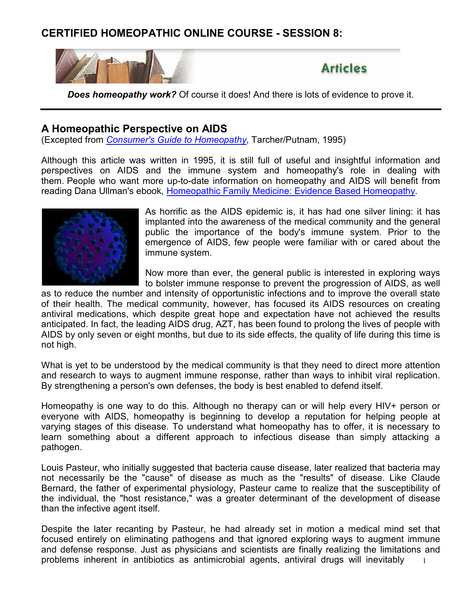# **CERTIFIED HOMEOPATHIC ONLINE COURSE - SESSION 8:**



**Articles** 

**Does homeopathy work?** Of course it does! And there is lots of evidence to prove it.

# **A Homeopathic Perspective on AIDS**

(Excepted from *Consumer's Guide to Homeopathy*, Tarcher/Putnam, 1995)

Although this article was written in 1995, it is still full of useful and insightful information and perspectives on AIDS and the immune system and homeopathy's role in dealing with them. People who want more up-to-date information on homeopathy and AIDS will benefit from reading Dana Ullman's ebook, Homeopathic Family Medicine: Evidence Based Homeopathy.



As horrific as the AIDS epidemic is, it has had one silver lining: it has implanted into the awareness of the medical community and the general public the importance of the body's immune system. Prior to the emergence of AIDS, few people were familiar with or cared about the immune system.

Now more than ever, the general public is interested in exploring ways to bolster immune response to prevent the progression of AIDS, as well

as to reduce the number and intensity of opportunistic infections and to improve the overall state of their health. The medical community, however, has focused its AIDS resources on creating antiviral medications, which despite great hope and expectation have not achieved the results anticipated. In fact, the leading AIDS drug, AZT, has been found to prolong the lives of people with AIDS by only seven or eight months, but due to its side effects, the quality of life during this time is not high.

What is yet to be understood by the medical community is that they need to direct more attention and research to ways to augment immune response, rather than ways to inhibit viral replication. By strengthening a person's own defenses, the body is best enabled to defend itself.

Homeopathy is one way to do this. Although no therapy can or will help every HIV+ person or everyone with AIDS, homeopathy is beginning to develop a reputation for helping people at varying stages of this disease. To understand what homeopathy has to offer, it is necessary to learn something about a different approach to infectious disease than simply attacking a pathogen.

Louis Pasteur, who initially suggested that bacteria cause disease, later realized that bacteria may not necessarily be the "cause" of disease as much as the "results" of disease. Like Claude Bernard, the father of experimental physiology, Pasteur came to realize that the susceptibility of the individual, the "host resistance," was a greater determinant of the development of disease than the infective agent itself.

1 Despite the later recanting by Pasteur, he had already set in motion a medical mind set that focused entirely on eliminating pathogens and that ignored exploring ways to augment immune and defense response. Just as physicians and scientists are finally realizing the limitations and problems inherent in antibiotics as antimicrobial agents, antiviral drugs will inevitably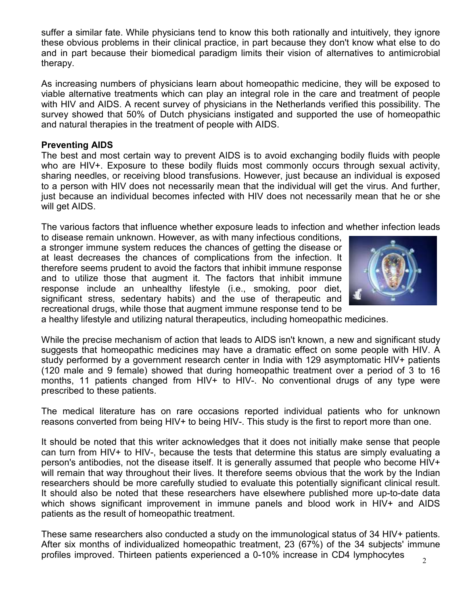suffer a similar fate. While physicians tend to know this both rationally and intuitively, they ignore these obvious problems in their clinical practice, in part because they don't know what else to do and in part because their biomedical paradigm limits their vision of alternatives to antimicrobial therapy.

As increasing numbers of physicians learn about homeopathic medicine, they will be exposed to viable alternative treatments which can play an integral role in the care and treatment of people with HIV and AIDS. A recent survey of physicians in the Netherlands verified this possibility. The survey showed that 50% of Dutch physicians instigated and supported the use of homeopathic and natural therapies in the treatment of people with AIDS.

## **Preventing AIDS**

The best and most certain way to prevent AIDS is to avoid exchanging bodily fluids with people who are HIV+. Exposure to these bodily fluids most commonly occurs through sexual activity, sharing needles, or receiving blood transfusions. However, just because an individual is exposed to a person with HIV does not necessarily mean that the individual will get the virus. And further, just because an individual becomes infected with HIV does not necessarily mean that he or she will get AIDS.

The various factors that influence whether exposure leads to infection and whether infection leads

to disease remain unknown. However, as with many infectious conditions, a stronger immune system reduces the chances of getting the disease or at least decreases the chances of complications from the infection. It therefore seems prudent to avoid the factors that inhibit immune response and to utilize those that augment it. The factors that inhibit immune response include an unhealthy lifestyle (i.e., smoking, poor diet, significant stress, sedentary habits) and the use of therapeutic and recreational drugs, while those that augment immune response tend to be



a healthy lifestyle and utilizing natural therapeutics, including homeopathic medicines.

While the precise mechanism of action that leads to AIDS isn't known, a new and significant study suggests that homeopathic medicines may have a dramatic effect on some people with HIV. A study performed by a government research center in India with 129 asymptomatic HIV+ patients (120 male and 9 female) showed that during homeopathic treatment over a period of 3 to 16 months, 11 patients changed from HIV+ to HIV-. No conventional drugs of any type were prescribed to these patients.

The medical literature has on rare occasions reported individual patients who for unknown reasons converted from being HIV+ to being HIV-. This study is the first to report more than one.

It should be noted that this writer acknowledges that it does not initially make sense that people can turn from HIV+ to HIV-, because the tests that determine this status are simply evaluating a person's antibodies, not the disease itself. It is generally assumed that people who become HIV+ will remain that way throughout their lives. It therefore seems obvious that the work by the Indian researchers should be more carefully studied to evaluate this potentially significant clinical result. It should also be noted that these researchers have elsewhere published more up-to-date data which shows significant improvement in immune panels and blood work in HIV+ and AIDS patients as the result of homeopathic treatment.

These same researchers also conducted a study on the immunological status of 34 HIV+ patients. After six months of individualized homeopathic treatment, 23 (67%) of the 34 subjects' immune profiles improved. Thirteen patients experienced a 0-10% increase in CD4 lymphocytes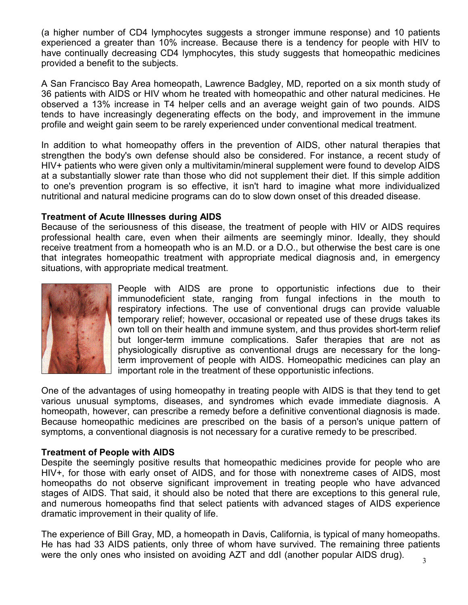(a higher number of CD4 lymphocytes suggests a stronger immune response) and 10 patients experienced a greater than 10% increase. Because there is a tendency for people with HIV to have continually decreasing CD4 lymphocytes, this study suggests that homeopathic medicines provided a benefit to the subjects.

A San Francisco Bay Area homeopath, Lawrence Badgley, MD, reported on a six month study of 36 patients with AIDS or HIV whom he treated with homeopathic and other natural medicines. He observed a 13% increase in T4 helper cells and an average weight gain of two pounds. AIDS tends to have increasingly degenerating effects on the body, and improvement in the immune profile and weight gain seem to be rarely experienced under conventional medical treatment.

In addition to what homeopathy offers in the prevention of AIDS, other natural therapies that strengthen the body's own defense should also be considered. For instance, a recent study of HIV+ patients who were given only a multivitamin/mineral supplement were found to develop AIDS at a substantially slower rate than those who did not supplement their diet. If this simple addition to one's prevention program is so effective, it isn't hard to imagine what more individualized nutritional and natural medicine programs can do to slow down onset of this dreaded disease.

#### **Treatment of Acute Illnesses during AIDS**

Because of the seriousness of this disease, the treatment of people with HIV or AIDS requires professional health care, even when their ailments are seemingly minor. Ideally, they should receive treatment from a homeopath who is an M.D. or a D.O., but otherwise the best care is one that integrates homeopathic treatment with appropriate medical diagnosis and, in emergency situations, with appropriate medical treatment.



People with AIDS are prone to opportunistic infections due to their immunodeficient state, ranging from fungal infections in the mouth to respiratory infections. The use of conventional drugs can provide valuable temporary relief; however, occasional or repeated use of these drugs takes its own toll on their health and immune system, and thus provides short-term relief but longer-term immune complications. Safer therapies that are not as physiologically disruptive as conventional drugs are necessary for the longterm improvement of people with AIDS. Homeopathic medicines can play an important role in the treatment of these opportunistic infections.

One of the advantages of using homeopathy in treating people with AIDS is that they tend to get various unusual symptoms, diseases, and syndromes which evade immediate diagnosis. A homeopath, however, can prescribe a remedy before a definitive conventional diagnosis is made. Because homeopathic medicines are prescribed on the basis of a person's unique pattern of symptoms, a conventional diagnosis is not necessary for a curative remedy to be prescribed.

#### **Treatment of People with AIDS**

Despite the seemingly positive results that homeopathic medicines provide for people who are HIV+, for those with early onset of AIDS, and for those with nonextreme cases of AIDS, most homeopaths do not observe significant improvement in treating people who have advanced stages of AIDS. That said, it should also be noted that there are exceptions to this general rule, and numerous homeopaths find that select patients with advanced stages of AIDS experience dramatic improvement in their quality of life.

The experience of Bill Gray, MD, a homeopath in Davis, California, is typical of many homeopaths. He has had 33 AIDS patients, only three of whom have survived. The remaining three patients were the only ones who insisted on avoiding AZT and ddI (another popular AIDS drug).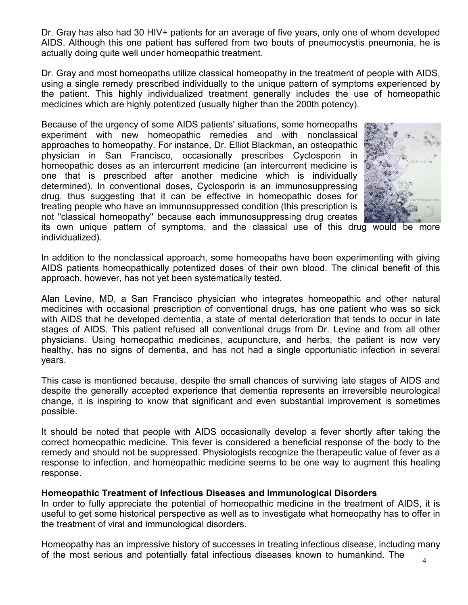Dr. Gray has also had 30 HIV+ patients for an average of five years, only one of whom developed AIDS. Although this one patient has suffered from two bouts of pneumocystis pneumonia, he is actually doing quite well under homeopathic treatment.

Dr. Gray and most homeopaths utilize classical homeopathy in the treatment of people with AIDS, using a single remedy prescribed individually to the unique pattern of symptoms experienced by the patient. This highly individualized treatment generally includes the use of homeopathic medicines which are highly potentized (usually higher than the 200th potency).

Because of the urgency of some AIDS patients' situations, some homeopaths experiment with new homeopathic remedies and with nonclassical approaches to homeopathy. For instance, Dr. Elliot Blackman, an osteopathic physician in San Francisco, occasionally prescribes Cyclosporin in homeopathic doses as an intercurrent medicine (an intercurrent medicine is one that is prescribed after another medicine which is individually determined). In conventional doses, Cyclosporin is an immunosuppressing drug, thus suggesting that it can be effective in homeopathic doses for treating people who have an immunosuppressed condition (this prescription is not "classical homeopathy" because each immunosuppressing drug creates



its own unique pattern of symptoms, and the classical use of this drug would be more individualized).

In addition to the nonclassical approach, some homeopaths have been experimenting with giving AIDS patients homeopathically potentized doses of their own blood. The clinical benefit of this approach, however, has not yet been systematically tested.

Alan Levine, MD, a San Francisco physician who integrates homeopathic and other natural medicines with occasional prescription of conventional drugs, has one patient who was so sick with AIDS that he developed dementia, a state of mental deterioration that tends to occur in late stages of AIDS. This patient refused all conventional drugs from Dr. Levine and from all other physicians. Using homeopathic medicines, acupuncture, and herbs, the patient is now very healthy, has no signs of dementia, and has not had a single opportunistic infection in several years.

This case is mentioned because, despite the small chances of surviving late stages of AIDS and despite the generally accepted experience that dementia represents an irreversible neurological change, it is inspiring to know that significant and even substantial improvement is sometimes possible.

It should be noted that people with AIDS occasionally develop a fever shortly after taking the correct homeopathic medicine. This fever is considered a beneficial response of the body to the remedy and should not be suppressed. Physiologists recognize the therapeutic value of fever as a response to infection, and homeopathic medicine seems to be one way to augment this healing response.

## **Homeopathic Treatment of Infectious Diseases and Immunological Disorders**

In order to fully appreciate the potential of homeopathic medicine in the treatment of AIDS, it is useful to get some historical perspective as well as to investigate what homeopathy has to offer in the treatment of viral and immunological disorders.

Homeopathy has an impressive history of successes in treating infectious disease, including many of the most serious and potentially fatal infectious diseases known to humankind. The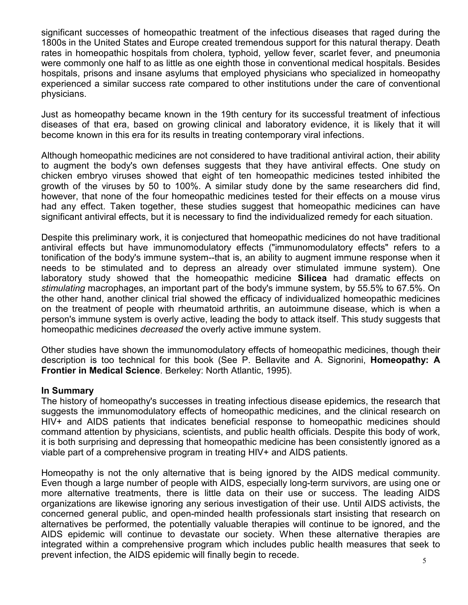significant successes of homeopathic treatment of the infectious diseases that raged during the 1800s in the United States and Europe created tremendous support for this natural therapy. Death rates in homeopathic hospitals from cholera, typhoid, yellow fever, scarlet fever, and pneumonia were commonly one half to as little as one eighth those in conventional medical hospitals. Besides hospitals, prisons and insane asylums that employed physicians who specialized in homeopathy experienced a similar success rate compared to other institutions under the care of conventional physicians.

Just as homeopathy became known in the 19th century for its successful treatment of infectious diseases of that era, based on growing clinical and laboratory evidence, it is likely that it will become known in this era for its results in treating contemporary viral infections.

Although homeopathic medicines are not considered to have traditional antiviral action, their ability to augment the body's own defenses suggests that they have antiviral effects. One study on chicken embryo viruses showed that eight of ten homeopathic medicines tested inhibited the growth of the viruses by 50 to 100%. A similar study done by the same researchers did find, however, that none of the four homeopathic medicines tested for their effects on a mouse virus had any effect. Taken together, these studies suggest that homeopathic medicines can have significant antiviral effects, but it is necessary to find the individualized remedy for each situation.

Despite this preliminary work, it is conjectured that homeopathic medicines do not have traditional antiviral effects but have immunomodulatory effects ("immunomodulatory effects" refers to a tonification of the body's immune system--that is, an ability to augment immune response when it needs to be stimulated and to depress an already over stimulated immune system). One laboratory study showed that the homeopathic medicine **Silicea** had dramatic effects on *stimulating* macrophages, an important part of the body's immune system, by 55.5% to 67.5%. On the other hand, another clinical trial showed the efficacy of individualized homeopathic medicines on the treatment of people with rheumatoid arthritis, an autoimmune disease, which is when a person's immune system is overly active, leading the body to attack itself. This study suggests that homeopathic medicines *decreased* the overly active immune system.

Other studies have shown the immunomodulatory effects of homeopathic medicines, though their description is too technical for this book (See P. Bellavite and A. Signorini, **Homeopathy: A Frontier in Medical Science**. Berkeley: North Atlantic, 1995).

#### **In Summary**

The history of homeopathy's successes in treating infectious disease epidemics, the research that suggests the immunomodulatory effects of homeopathic medicines, and the clinical research on HIV+ and AIDS patients that indicates beneficial response to homeopathic medicines should command attention by physicians, scientists, and public health officials. Despite this body of work, it is both surprising and depressing that homeopathic medicine has been consistently ignored as a viable part of a comprehensive program in treating HIV+ and AIDS patients.

Homeopathy is not the only alternative that is being ignored by the AIDS medical community. Even though a large number of people with AIDS, especially long-term survivors, are using one or more alternative treatments, there is little data on their use or success. The leading AIDS organizations are likewise ignoring any serious investigation of their use. Until AIDS activists, the concerned general public, and open-minded health professionals start insisting that research on alternatives be performed, the potentially valuable therapies will continue to be ignored, and the AIDS epidemic will continue to devastate our society. When these alternative therapies are integrated within a comprehensive program which includes public health measures that seek to prevent infection, the AIDS epidemic will finally begin to recede.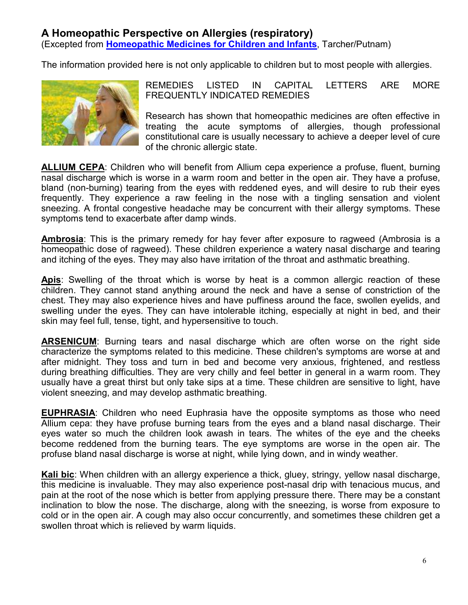# **A Homeopathic Perspective on Allergies (respiratory)**

(Excepted from **Homeopathic Medicines for Children and Infants**, Tarcher/Putnam)

The information provided here is not only applicable to children but to most people with allergies.



REMEDIES LISTED IN CAPITAL LETTERS ARE MORE FREQUENTLY INDICATED REMEDIES

Research has shown that homeopathic medicines are often effective in treating the acute symptoms of allergies, though professional constitutional care is usually necessary to achieve a deeper level of cure of the chronic allergic state.

**ALLIUM CEPA**: Children who will benefit from Allium cepa experience a profuse, fluent, burning nasal discharge which is worse in a warm room and better in the open air. They have a profuse, bland (non-burning) tearing from the eyes with reddened eyes, and will desire to rub their eyes frequently. They experience a raw feeling in the nose with a tingling sensation and violent sneezing. A frontal congestive headache may be concurrent with their allergy symptoms. These symptoms tend to exacerbate after damp winds.

**Ambrosia**: This is the primary remedy for hay fever after exposure to ragweed (Ambrosia is a homeopathic dose of ragweed). These children experience a watery nasal discharge and tearing and itching of the eyes. They may also have irritation of the throat and asthmatic breathing.

**Apis**: Swelling of the throat which is worse by heat is a common allergic reaction of these children. They cannot stand anything around the neck and have a sense of constriction of the chest. They may also experience hives and have puffiness around the face, swollen eyelids, and swelling under the eyes. They can have intolerable itching, especially at night in bed, and their skin may feel full, tense, tight, and hypersensitive to touch.

**ARSENICUM**: Burning tears and nasal discharge which are often worse on the right side characterize the symptoms related to this medicine. These children's symptoms are worse at and after midnight. They toss and turn in bed and become very anxious, frightened, and restless during breathing difficulties. They are very chilly and feel better in general in a warm room. They usually have a great thirst but only take sips at a time. These children are sensitive to light, have violent sneezing, and may develop asthmatic breathing.

**EUPHRASIA**: Children who need Euphrasia have the opposite symptoms as those who need Allium cepa: they have profuse burning tears from the eyes and a bland nasal discharge. Their eyes water so much the children look awash in tears. The whites of the eye and the cheeks become reddened from the burning tears. The eye symptoms are worse in the open air. The profuse bland nasal discharge is worse at night, while lying down, and in windy weather.

**Kali bic**: When children with an allergy experience a thick, gluey, stringy, yellow nasal discharge, this medicine is invaluable. They may also experience post-nasal drip with tenacious mucus, and pain at the root of the nose which is better from applying pressure there. There may be a constant inclination to blow the nose. The discharge, along with the sneezing, is worse from exposure to cold or in the open air. A cough may also occur concurrently, and sometimes these children get a swollen throat which is relieved by warm liquids.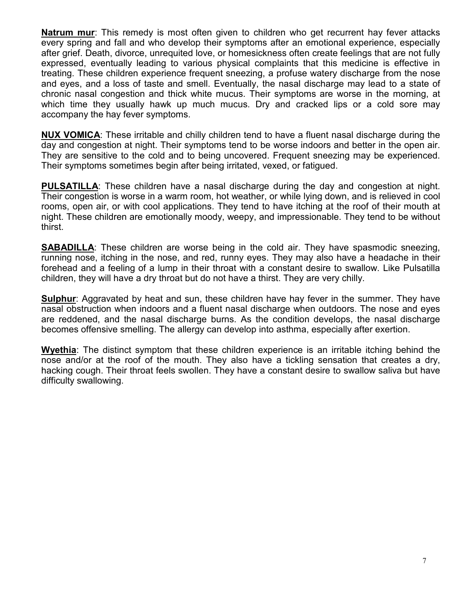**Natrum mur**: This remedy is most often given to children who get recurrent hay fever attacks every spring and fall and who develop their symptoms after an emotional experience, especially after grief. Death, divorce, unrequited love, or homesickness often create feelings that are not fully expressed, eventually leading to various physical complaints that this medicine is effective in treating. These children experience frequent sneezing, a profuse watery discharge from the nose and eyes, and a loss of taste and smell. Eventually, the nasal discharge may lead to a state of chronic nasal congestion and thick white mucus. Their symptoms are worse in the morning, at which time they usually hawk up much mucus. Dry and cracked lips or a cold sore may accompany the hay fever symptoms.

**NUX VOMICA**: These irritable and chilly children tend to have a fluent nasal discharge during the day and congestion at night. Their symptoms tend to be worse indoors and better in the open air. They are sensitive to the cold and to being uncovered. Frequent sneezing may be experienced. Their symptoms sometimes begin after being irritated, vexed, or fatigued.

**PULSATILLA**: These children have a nasal discharge during the day and congestion at night. Their congestion is worse in a warm room, hot weather, or while lying down, and is relieved in cool rooms, open air, or with cool applications. They tend to have itching at the roof of their mouth at night. These children are emotionally moody, weepy, and impressionable. They tend to be without thirst.

**SABADILLA:** These children are worse being in the cold air. They have spasmodic sneezing, running nose, itching in the nose, and red, runny eyes. They may also have a headache in their forehead and a feeling of a lump in their throat with a constant desire to swallow. Like Pulsatilla children, they will have a dry throat but do not have a thirst. They are very chilly.

**Sulphur**: Aggravated by heat and sun, these children have hay fever in the summer. They have nasal obstruction when indoors and a fluent nasal discharge when outdoors. The nose and eyes are reddened, and the nasal discharge burns. As the condition develops, the nasal discharge becomes offensive smelling. The allergy can develop into asthma, especially after exertion.

**Wyethia**: The distinct symptom that these children experience is an irritable itching behind the nose and/or at the roof of the mouth. They also have a tickling sensation that creates a dry, hacking cough. Their throat feels swollen. They have a constant desire to swallow saliva but have difficulty swallowing.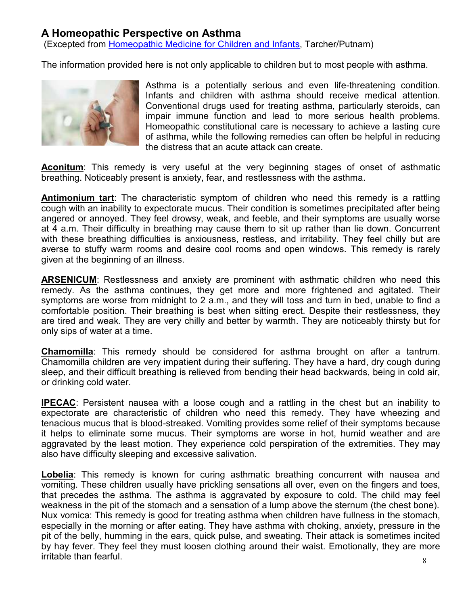# **A Homeopathic Perspective on Asthma**

(Excepted from Homeopathic Medicine for Children and Infants, Tarcher/Putnam)

The information provided here is not only applicable to children but to most people with asthma.



Asthma is a potentially serious and even life-threatening condition. Infants and children with asthma should receive medical attention. Conventional drugs used for treating asthma, particularly steroids, can impair immune function and lead to more serious health problems. Homeopathic constitutional care is necessary to achieve a lasting cure of asthma, while the following remedies can often be helpful in reducing the distress that an acute attack can create.

**Aconitum**: This remedy is very useful at the very beginning stages of onset of asthmatic breathing. Noticeably present is anxiety, fear, and restlessness with the asthma.

**Antimonium tart**: The characteristic symptom of children who need this remedy is a rattling cough with an inability to expectorate mucus. Their condition is sometimes precipitated after being angered or annoyed. They feel drowsy, weak, and feeble, and their symptoms are usually worse at 4 a.m. Their difficulty in breathing may cause them to sit up rather than lie down. Concurrent with these breathing difficulties is anxiousness, restless, and irritability. They feel chilly but are averse to stuffy warm rooms and desire cool rooms and open windows. This remedy is rarely given at the beginning of an illness.

**ARSENICUM**: Restlessness and anxiety are prominent with asthmatic children who need this remedy. As the asthma continues, they get more and more frightened and agitated. Their symptoms are worse from midnight to 2 a.m., and they will toss and turn in bed, unable to find a comfortable position. Their breathing is best when sitting erect. Despite their restlessness, they are tired and weak. They are very chilly and better by warmth. They are noticeably thirsty but for only sips of water at a time.

**Chamomilla**: This remedy should be considered for asthma brought on after a tantrum. Chamomilla children are very impatient during their suffering. They have a hard, dry cough during sleep, and their difficult breathing is relieved from bending their head backwards, being in cold air, or drinking cold water.

**IPECAC**: Persistent nausea with a loose cough and a rattling in the chest but an inability to expectorate are characteristic of children who need this remedy. They have wheezing and tenacious mucus that is blood-streaked. Vomiting provides some relief of their symptoms because it helps to eliminate some mucus. Their symptoms are worse in hot, humid weather and are aggravated by the least motion. They experience cold perspiration of the extremities. They may also have difficulty sleeping and excessive salivation.

8 **Lobelia**: This remedy is known for curing asthmatic breathing concurrent with nausea and vomiting. These children usually have prickling sensations all over, even on the fingers and toes, that precedes the asthma. The asthma is aggravated by exposure to cold. The child may feel weakness in the pit of the stomach and a sensation of a lump above the sternum (the chest bone). Nux vomica: This remedy is good for treating asthma when children have fullness in the stomach, especially in the morning or after eating. They have asthma with choking, anxiety, pressure in the pit of the belly, humming in the ears, quick pulse, and sweating. Their attack is sometimes incited by hay fever. They feel they must loosen clothing around their waist. Emotionally, they are more irritable than fearful.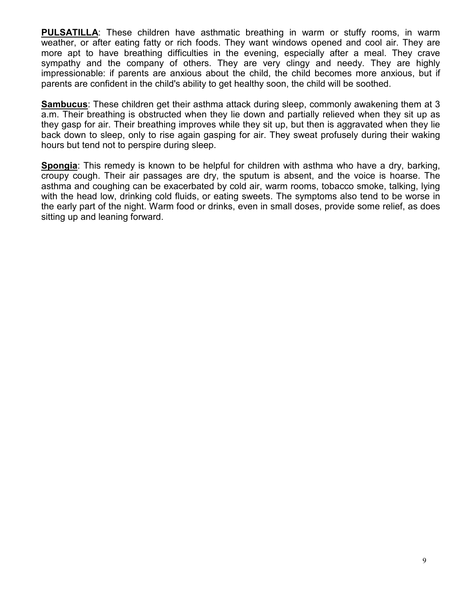**PULSATILLA**: These children have asthmatic breathing in warm or stuffy rooms, in warm weather, or after eating fatty or rich foods. They want windows opened and cool air. They are more apt to have breathing difficulties in the evening, especially after a meal. They crave sympathy and the company of others. They are very clingy and needy. They are highly impressionable: if parents are anxious about the child, the child becomes more anxious, but if parents are confident in the child's ability to get healthy soon, the child will be soothed.

**Sambucus**: These children get their asthma attack during sleep, commonly awakening them at 3 a.m. Their breathing is obstructed when they lie down and partially relieved when they sit up as they gasp for air. Their breathing improves while they sit up, but then is aggravated when they lie back down to sleep, only to rise again gasping for air. They sweat profusely during their waking hours but tend not to perspire during sleep.

**Spongia**: This remedy is known to be helpful for children with asthma who have a dry, barking, croupy cough. Their air passages are dry, the sputum is absent, and the voice is hoarse. The asthma and coughing can be exacerbated by cold air, warm rooms, tobacco smoke, talking, lying with the head low, drinking cold fluids, or eating sweets. The symptoms also tend to be worse in the early part of the night. Warm food or drinks, even in small doses, provide some relief, as does sitting up and leaning forward.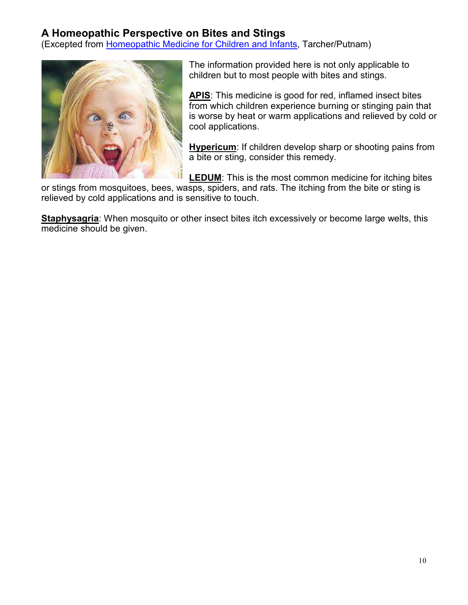# **A Homeopathic Perspective on Bites and Stings**

(Excepted from Homeopathic Medicine for Children and Infants, Tarcher/Putnam)



The information provided here is not only applicable to children but to most people with bites and stings.

**APIS**: This medicine is good for red, inflamed insect bites from which children experience burning or stinging pain that is worse by heat or warm applications and relieved by cold or cool applications.

**Hypericum**: If children develop sharp or shooting pains from a bite or sting, consider this remedy.

**LEDUM**: This is the most common medicine for itching bites

or stings from mosquitoes, bees, wasps, spiders, and rats. The itching from the bite or sting is relieved by cold applications and is sensitive to touch.

**Staphysagria**: When mosquito or other insect bites itch excessively or become large welts, this medicine should be given.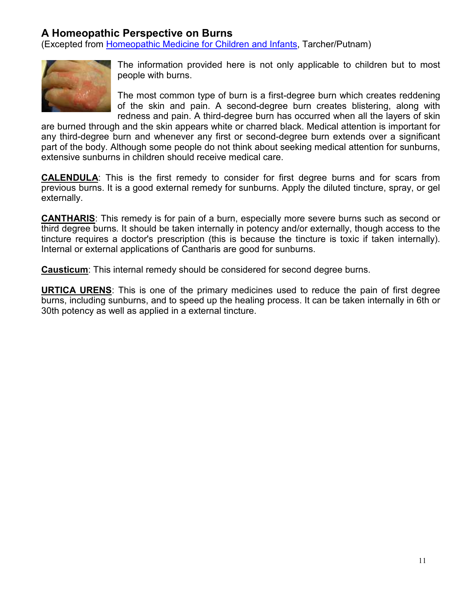# **A Homeopathic Perspective on Burns**

(Excepted from Homeopathic Medicine for Children and Infants, Tarcher/Putnam)



The information provided here is not only applicable to children but to most people with burns.

The most common type of burn is a first-degree burn which creates reddening of the skin and pain. A second-degree burn creates blistering, along with redness and pain. A third-degree burn has occurred when all the layers of skin

are burned through and the skin appears white or charred black. Medical attention is important for any third-degree burn and whenever any first or second-degree burn extends over a significant part of the body. Although some people do not think about seeking medical attention for sunburns, extensive sunburns in children should receive medical care.

**CALENDULA**: This is the first remedy to consider for first degree burns and for scars from previous burns. It is a good external remedy for sunburns. Apply the diluted tincture, spray, or gel externally.

**CANTHARIS**: This remedy is for pain of a burn, especially more severe burns such as second or third degree burns. It should be taken internally in potency and/or externally, though access to the tincture requires a doctor's prescription (this is because the tincture is toxic if taken internally). Internal or external applications of Cantharis are good for sunburns.

**Causticum**: This internal remedy should be considered for second degree burns.

**URTICA URENS**: This is one of the primary medicines used to reduce the pain of first degree burns, including sunburns, and to speed up the healing process. It can be taken internally in 6th or 30th potency as well as applied in a external tincture.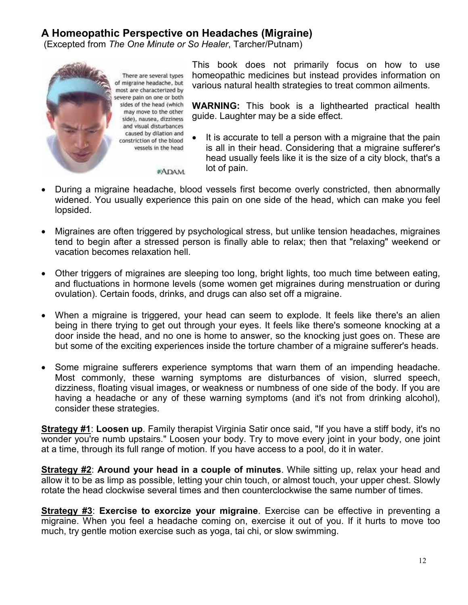# **A Homeopathic Perspective on Headaches (Migraine)**

(Excepted from *The One Minute or So Healer*, Tarcher/Putnam)



This book does not primarily focus on how to use homeopathic medicines but instead provides information on various natural health strategies to treat common ailments.

**WARNING:** This book is a lighthearted practical health guide. Laughter may be a side effect.

- It is accurate to tell a person with a migraine that the pain is all in their head. Considering that a migraine sufferer's head usually feels like it is the size of a city block, that's a lot of pain.
- During a migraine headache, blood vessels first become overly constricted, then abnormally widened. You usually experience this pain on one side of the head, which can make you feel lopsided.
- Migraines are often triggered by psychological stress, but unlike tension headaches, migraines tend to begin after a stressed person is finally able to relax; then that "relaxing" weekend or vacation becomes relaxation hell.
- Other triggers of migraines are sleeping too long, bright lights, too much time between eating, and fluctuations in hormone levels (some women get migraines during menstruation or during ovulation). Certain foods, drinks, and drugs can also set off a migraine.
- When a migraine is triggered, your head can seem to explode. It feels like there's an alien being in there trying to get out through your eyes. It feels like there's someone knocking at a door inside the head, and no one is home to answer, so the knocking just goes on. These are but some of the exciting experiences inside the torture chamber of a migraine sufferer's heads.
- Some migraine sufferers experience symptoms that warn them of an impending headache. Most commonly, these warning symptoms are disturbances of vision, slurred speech, dizziness, floating visual images, or weakness or numbness of one side of the body. If you are having a headache or any of these warning symptoms (and it's not from drinking alcohol), consider these strategies.

**Strategy #1**: **Loosen up**. Family therapist Virginia Satir once said, "If you have a stiff body, it's no wonder you're numb upstairs." Loosen your body. Try to move every joint in your body, one joint at a time, through its full range of motion. If you have access to a pool, do it in water.

**Strategy #2**: **Around your head in a couple of minutes**. While sitting up, relax your head and allow it to be as limp as possible, letting your chin touch, or almost touch, your upper chest. Slowly rotate the head clockwise several times and then counterclockwise the same number of times.

**Strategy #3**: **Exercise to exorcize your migraine**. Exercise can be effective in preventing a migraine. When you feel a headache coming on, exercise it out of you. If it hurts to move too much, try gentle motion exercise such as yoga, tai chi, or slow swimming.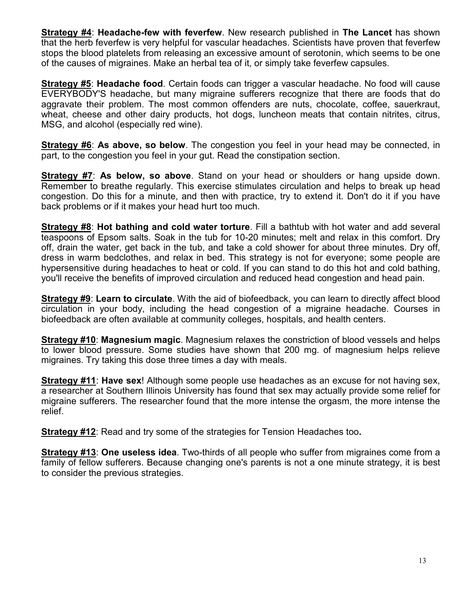**Strategy #4**: **Headache-few with feverfew**. New research published in **The Lancet** has shown that the herb feverfew is very helpful for vascular headaches. Scientists have proven that feverfew stops the blood platelets from releasing an excessive amount of serotonin, which seems to be one of the causes of migraines. Make an herbal tea of it, or simply take feverfew capsules.

**Strategy #5**: **Headache food**. Certain foods can trigger a vascular headache. No food will cause EVERYBODY'S headache, but many migraine sufferers recognize that there are foods that do aggravate their problem. The most common offenders are nuts, chocolate, coffee, sauerkraut, wheat, cheese and other dairy products, hot dogs, luncheon meats that contain nitrites, citrus, MSG, and alcohol (especially red wine).

**Strategy #6**: **As above, so below**. The congestion you feel in your head may be connected, in part, to the congestion you feel in your gut. Read the constipation section.

**Strategy #7**: **As below, so above**. Stand on your head or shoulders or hang upside down. Remember to breathe regularly. This exercise stimulates circulation and helps to break up head congestion. Do this for a minute, and then with practice, try to extend it. Don't do it if you have back problems or if it makes your head hurt too much.

**Strategy #8**: **Hot bathing and cold water torture**. Fill a bathtub with hot water and add several teaspoons of Epsom salts. Soak in the tub for 10-20 minutes; melt and relax in this comfort. Dry off, drain the water, get back in the tub, and take a cold shower for about three minutes. Dry off, dress in warm bedclothes, and relax in bed. This strategy is not for everyone; some people are hypersensitive during headaches to heat or cold. If you can stand to do this hot and cold bathing, you'll receive the benefits of improved circulation and reduced head congestion and head pain.

**Strategy #9: Learn to circulate**. With the aid of biofeedback, you can learn to directly affect blood circulation in your body, including the head congestion of a migraine headache. Courses in biofeedback are often available at community colleges, hospitals, and health centers.

**Strategy #10**: **Magnesium magic**. Magnesium relaxes the constriction of blood vessels and helps to lower blood pressure. Some studies have shown that 200 mg. of magnesium helps relieve migraines. Try taking this dose three times a day with meals.

**Strategy #11**: **Have sex**! Although some people use headaches as an excuse for not having sex, a researcher at Southern Illinois University has found that sex may actually provide some relief for migraine sufferers. The researcher found that the more intense the orgasm, the more intense the relief.

**Strategy #12**: Read and try some of the strategies for Tension Headaches too**.**

**Strategy #13**: **One useless idea**. Two-thirds of all people who suffer from migraines come from a family of fellow sufferers. Because changing one's parents is not a one minute strategy, it is best to consider the previous strategies.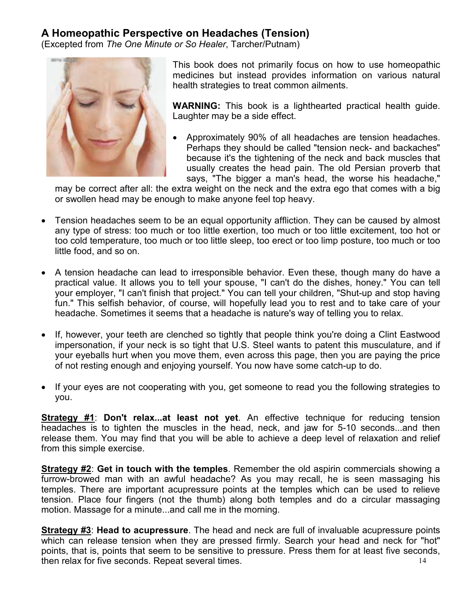# **A Homeopathic Perspective on Headaches (Tension)**

(Excepted from *The One Minute or So Healer*, Tarcher/Putnam)



This book does not primarily focus on how to use homeopathic medicines but instead provides information on various natural health strategies to treat common ailments.

**WARNING:** This book is a lighthearted practical health guide. Laughter may be a side effect.

• Approximately 90% of all headaches are tension headaches. Perhaps they should be called "tension neck- and backaches" because it's the tightening of the neck and back muscles that usually creates the head pain. The old Persian proverb that says, "The bigger a man's head, the worse his headache,"

may be correct after all: the extra weight on the neck and the extra ego that comes with a big or swollen head may be enough to make anyone feel top heavy.

- Tension headaches seem to be an equal opportunity affliction. They can be caused by almost any type of stress: too much or too little exertion, too much or too little excitement, too hot or too cold temperature, too much or too little sleep, too erect or too limp posture, too much or too little food, and so on.
- A tension headache can lead to irresponsible behavior. Even these, though many do have a practical value. It allows you to tell your spouse, "I can't do the dishes, honey." You can tell your employer, "I can't finish that project." You can tell your children, "Shut-up and stop having fun." This selfish behavior, of course, will hopefully lead you to rest and to take care of your headache. Sometimes it seems that a headache is nature's way of telling you to relax.
- If, however, your teeth are clenched so tightly that people think you're doing a Clint Eastwood impersonation, if your neck is so tight that U.S. Steel wants to patent this musculature, and if your eyeballs hurt when you move them, even across this page, then you are paying the price of not resting enough and enjoying yourself. You now have some catch-up to do.
- If your eyes are not cooperating with you, get someone to read you the following strategies to you.

**Strategy #1**: **Don't relax...at least not yet**. An effective technique for reducing tension headaches is to tighten the muscles in the head, neck, and jaw for 5-10 seconds...and then release them. You may find that you will be able to achieve a deep level of relaxation and relief from this simple exercise.

**Strategy #2**: **Get in touch with the temples**. Remember the old aspirin commercials showing a furrow-browed man with an awful headache? As you may recall, he is seen massaging his temples. There are important acupressure points at the temples which can be used to relieve tension. Place four fingers (not the thumb) along both temples and do a circular massaging motion. Massage for a minute...and call me in the morning.

14 **Strategy #3**: **Head to acupressure**. The head and neck are full of invaluable acupressure points which can release tension when they are pressed firmly. Search your head and neck for "hot" points, that is, points that seem to be sensitive to pressure. Press them for at least five seconds, then relax for five seconds. Repeat several times.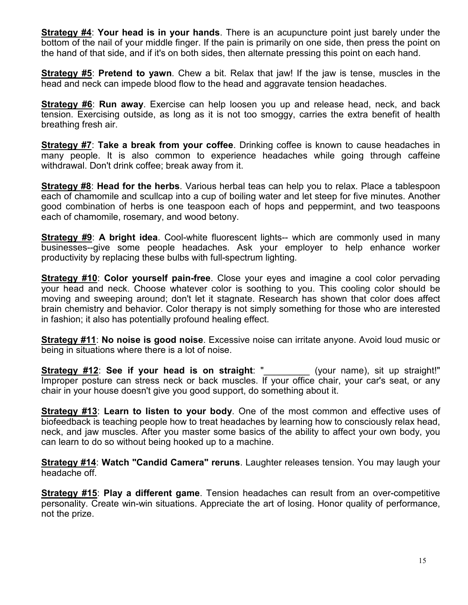**Strategy #4**: **Your head is in your hands**. There is an acupuncture point just barely under the bottom of the nail of your middle finger. If the pain is primarily on one side, then press the point on the hand of that side, and if it's on both sides, then alternate pressing this point on each hand.

**Strategy #5**: **Pretend to yawn**. Chew a bit. Relax that jaw! If the jaw is tense, muscles in the head and neck can impede blood flow to the head and aggravate tension headaches.

**Strategy #6**: **Run away**. Exercise can help loosen you up and release head, neck, and back tension. Exercising outside, as long as it is not too smoggy, carries the extra benefit of health breathing fresh air.

**Strategy #7**: **Take a break from your coffee**. Drinking coffee is known to cause headaches in many people. It is also common to experience headaches while going through caffeine withdrawal. Don't drink coffee; break away from it.

**Strategy #8**: **Head for the herbs**. Various herbal teas can help you to relax. Place a tablespoon each of chamomile and scullcap into a cup of boiling water and let steep for five minutes. Another good combination of herbs is one teaspoon each of hops and peppermint, and two teaspoons each of chamomile, rosemary, and wood betony.

**Strategy #9: A bright idea.** Cool-white fluorescent lights-- which are commonly used in many businesses--give some people headaches. Ask your employer to help enhance worker productivity by replacing these bulbs with full-spectrum lighting.

**Strategy #10**: **Color yourself pain-free**. Close your eyes and imagine a cool color pervading your head and neck. Choose whatever color is soothing to you. This cooling color should be moving and sweeping around; don't let it stagnate. Research has shown that color does affect brain chemistry and behavior. Color therapy is not simply something for those who are interested in fashion; it also has potentially profound healing effect.

**Strategy #11**: **No noise is good noise**. Excessive noise can irritate anyone. Avoid loud music or being in situations where there is a lot of noise.

**Strategy #12: See if your head is on straight:** " (your name), sit up straight!" Improper posture can stress neck or back muscles. If your office chair, your car's seat, or any chair in your house doesn't give you good support, do something about it.

**Strategy #13**: **Learn to listen to your body**. One of the most common and effective uses of biofeedback is teaching people how to treat headaches by learning how to consciously relax head, neck, and jaw muscles. After you master some basics of the ability to affect your own body, you can learn to do so without being hooked up to a machine.

**Strategy #14**: **Watch "Candid Camera" reruns**. Laughter releases tension. You may laugh your headache off.

**Strategy #15**: **Play a different game**. Tension headaches can result from an over-competitive personality. Create win-win situations. Appreciate the art of losing. Honor quality of performance, not the prize.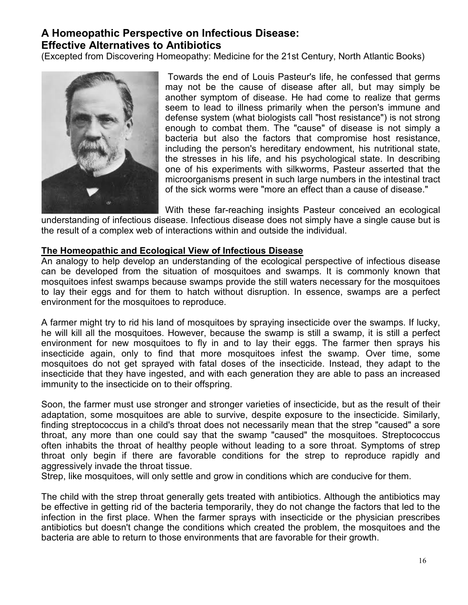# **A Homeopathic Perspective on Infectious Disease: Effective Alternatives to Antibiotics**

(Excepted from Discovering Homeopathy: Medicine for the 21st Century, North Atlantic Books)



 Towards the end of Louis Pasteur's life, he confessed that germs may not be the cause of disease after all, but may simply be another symptom of disease. He had come to realize that germs seem to lead to illness primarily when the person's immune and defense system (what biologists call "host resistance") is not strong enough to combat them. The "cause" of disease is not simply a bacteria but also the factors that compromise host resistance, including the person's hereditary endowment, his nutritional state, the stresses in his life, and his psychological state. In describing one of his experiments with silkworms, Pasteur asserted that the microorganisms present in such large numbers in the intestinal tract of the sick worms were "more an effect than a cause of disease."

With these far-reaching insights Pasteur conceived an ecological understanding of infectious disease. Infectious disease does not simply have a single cause but is the result of a complex web of interactions within and outside the individual.

#### **The Homeopathic and Ecological View of Infectious Disease**

An analogy to help develop an understanding of the ecological perspective of infectious disease can be developed from the situation of mosquitoes and swamps. It is commonly known that mosquitoes infest swamps because swamps provide the still waters necessary for the mosquitoes to lay their eggs and for them to hatch without disruption. In essence, swamps are a perfect environment for the mosquitoes to reproduce.

A farmer might try to rid his land of mosquitoes by spraying insecticide over the swamps. If lucky, he will kill all the mosquitoes. However, because the swamp is still a swamp, it is still a perfect environment for new mosquitoes to fly in and to lay their eggs. The farmer then sprays his insecticide again, only to find that more mosquitoes infest the swamp. Over time, some mosquitoes do not get sprayed with fatal doses of the insecticide. Instead, they adapt to the insecticide that they have ingested, and with each generation they are able to pass an increased immunity to the insecticide on to their offspring.

Soon, the farmer must use stronger and stronger varieties of insecticide, but as the result of their adaptation, some mosquitoes are able to survive, despite exposure to the insecticide. Similarly, finding streptococcus in a child's throat does not necessarily mean that the strep "caused" a sore throat, any more than one could say that the swamp "caused" the mosquitoes. Streptococcus often inhabits the throat of healthy people without leading to a sore throat. Symptoms of strep throat only begin if there are favorable conditions for the strep to reproduce rapidly and aggressively invade the throat tissue.

Strep, like mosquitoes, will only settle and grow in conditions which are conducive for them.

The child with the strep throat generally gets treated with antibiotics. Although the antibiotics may be effective in getting rid of the bacteria temporarily, they do not change the factors that led to the infection in the first place. When the farmer sprays with insecticide or the physician prescribes antibiotics but doesn't change the conditions which created the problem, the mosquitoes and the bacteria are able to return to those environments that are favorable for their growth.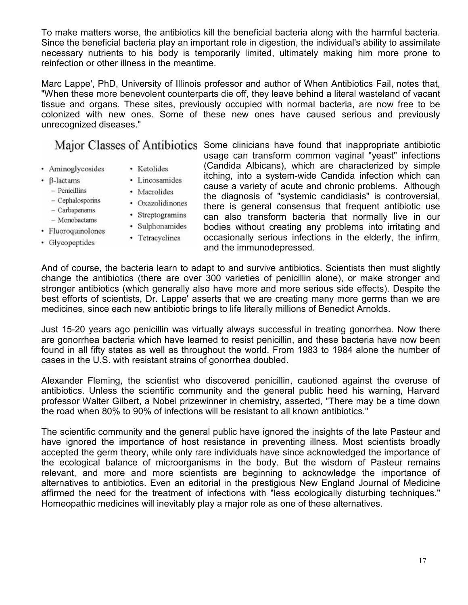To make matters worse, the antibiotics kill the beneficial bacteria along with the harmful bacteria. Since the beneficial bacteria play an important role in digestion, the individual's ability to assimilate necessary nutrients to his body is temporarily limited, ultimately making him more prone to reinfection or other illness in the meantime.

Marc Lappe', PhD, University of Illinois professor and author of When Antibiotics Fail, notes that, "When these more benevolent counterparts die off, they leave behind a literal wasteland of vacant tissue and organs. These sites, previously occupied with normal bacteria, are now free to be colonized with new ones. Some of these new ones have caused serious and previously unrecognized diseases."

Major Classes of Antibiotics Some clinicians have found that inappropriate antibiotic

• Aminoglycosides

- Cephalosporins

 $-$  Carbapenems

- Monobactams

 $-$  Penicillins

 $\cdot$   $\beta$ -lactams

- Ketolides
- Lincosamides
- Macrolides
- Oxazolidinones
	- Streptogramins
	-
- · Sulphonamides · Fluoroquinolones • Tetracyclines
- · Glycopeptides

usage can transform common vaginal "yeast" infections (Candida Albicans), which are characterized by simple itching, into a system-wide Candida infection which can cause a variety of acute and chronic problems. Although the diagnosis of "systemic candidiasis" is controversial, there is general consensus that frequent antibiotic use can also transform bacteria that normally live in our bodies without creating any problems into irritating and occasionally serious infections in the elderly, the infirm, and the immunodepressed.

And of course, the bacteria learn to adapt to and survive antibiotics. Scientists then must slightly change the antibiotics (there are over 300 varieties of penicillin alone), or make stronger and stronger antibiotics (which generally also have more and more serious side effects). Despite the best efforts of scientists, Dr. Lappe' asserts that we are creating many more germs than we are medicines, since each new antibiotic brings to life literally millions of Benedict Arnolds.

Just 15-20 years ago penicillin was virtually always successful in treating gonorrhea. Now there are gonorrhea bacteria which have learned to resist penicillin, and these bacteria have now been found in all fifty states as well as throughout the world. From 1983 to 1984 alone the number of cases in the U.S. with resistant strains of gonorrhea doubled.

Alexander Fleming, the scientist who discovered penicillin, cautioned against the overuse of antibiotics. Unless the scientific community and the general public heed his warning, Harvard professor Walter Gilbert, a Nobel prizewinner in chemistry, asserted, "There may be a time down the road when 80% to 90% of infections will be resistant to all known antibiotics."

The scientific community and the general public have ignored the insights of the late Pasteur and have ignored the importance of host resistance in preventing illness. Most scientists broadly accepted the germ theory, while only rare individuals have since acknowledged the importance of the ecological balance of microorganisms in the body. But the wisdom of Pasteur remains relevant, and more and more scientists are beginning to acknowledge the importance of alternatives to antibiotics. Even an editorial in the prestigious New England Journal of Medicine affirmed the need for the treatment of infections with "less ecologically disturbing techniques." Homeopathic medicines will inevitably play a major role as one of these alternatives.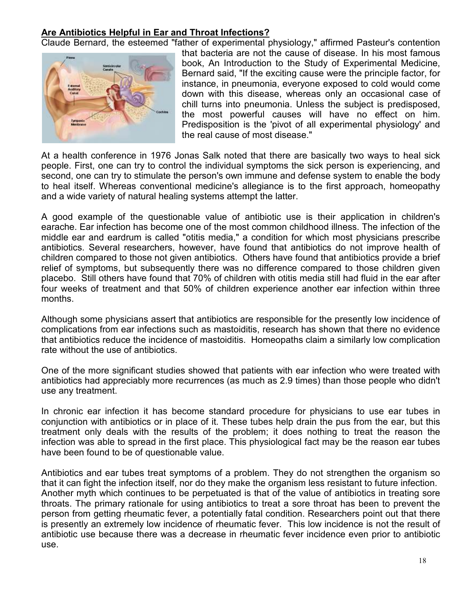## **Are Antibiotics Helpful in Ear and Throat Infections?**

Claude Bernard, the esteemed "father of experimental physiology," affirmed Pasteur's contention



that bacteria are not the cause of disease. In his most famous book, An Introduction to the Study of Experimental Medicine, Bernard said, "If the exciting cause were the principle factor, for instance, in pneumonia, everyone exposed to cold would come down with this disease, whereas only an occasional case of chill turns into pneumonia. Unless the subject is predisposed, the most powerful causes will have no effect on him. Predisposition is the 'pivot of all experimental physiology' and the real cause of most disease."

At a health conference in 1976 Jonas Salk noted that there are basically two ways to heal sick people. First, one can try to control the individual symptoms the sick person is experiencing, and second, one can try to stimulate the person's own immune and defense system to enable the body to heal itself. Whereas conventional medicine's allegiance is to the first approach, homeopathy and a wide variety of natural healing systems attempt the latter.

A good example of the questionable value of antibiotic use is their application in children's earache. Ear infection has become one of the most common childhood illness. The infection of the middle ear and eardrum is called "otitis media," a condition for which most physicians prescribe antibiotics. Several researchers, however, have found that antibiotics do not improve health of children compared to those not given antibiotics. Others have found that antibiotics provide a brief relief of symptoms, but subsequently there was no difference compared to those children given placebo. Still others have found that 70% of children with otitis media still had fluid in the ear after four weeks of treatment and that 50% of children experience another ear infection within three months.

Although some physicians assert that antibiotics are responsible for the presently low incidence of complications from ear infections such as mastoiditis, research has shown that there no evidence that antibiotics reduce the incidence of mastoiditis. Homeopaths claim a similarly low complication rate without the use of antibiotics.

One of the more significant studies showed that patients with ear infection who were treated with antibiotics had appreciably more recurrences (as much as 2.9 times) than those people who didn't use any treatment.

In chronic ear infection it has become standard procedure for physicians to use ear tubes in conjunction with antibiotics or in place of it. These tubes help drain the pus from the ear, but this treatment only deals with the results of the problem; it does nothing to treat the reason the infection was able to spread in the first place. This physiological fact may be the reason ear tubes have been found to be of questionable value.

Antibiotics and ear tubes treat symptoms of a problem. They do not strengthen the organism so that it can fight the infection itself, nor do they make the organism less resistant to future infection. Another myth which continues to be perpetuated is that of the value of antibiotics in treating sore throats. The primary rationale for using antibiotics to treat a sore throat has been to prevent the person from getting rheumatic fever, a potentially fatal condition. Researchers point out that there is presently an extremely low incidence of rheumatic fever. This low incidence is not the result of antibiotic use because there was a decrease in rheumatic fever incidence even prior to antibiotic use.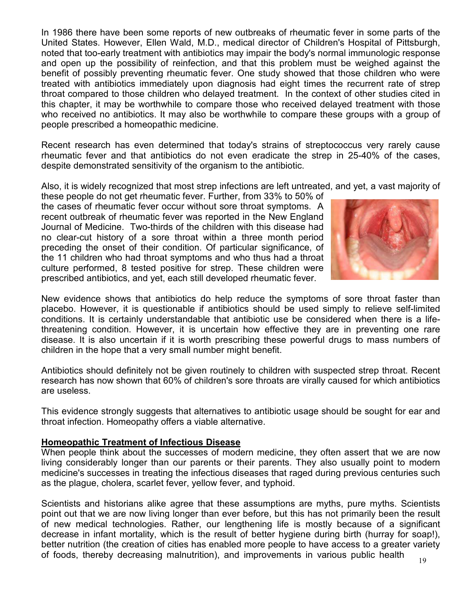In 1986 there have been some reports of new outbreaks of rheumatic fever in some parts of the United States. However, Ellen Wald, M.D., medical director of Children's Hospital of Pittsburgh, noted that too-early treatment with antibiotics may impair the body's normal immunologic response and open up the possibility of reinfection, and that this problem must be weighed against the benefit of possibly preventing rheumatic fever. One study showed that those children who were treated with antibiotics immediately upon diagnosis had eight times the recurrent rate of strep throat compared to those children who delayed treatment. In the context of other studies cited in this chapter, it may be worthwhile to compare those who received delayed treatment with those who received no antibiotics. It may also be worthwhile to compare these groups with a group of people prescribed a homeopathic medicine.

Recent research has even determined that today's strains of streptococcus very rarely cause rheumatic fever and that antibiotics do not even eradicate the strep in 25-40% of the cases, despite demonstrated sensitivity of the organism to the antibiotic.

Also, it is widely recognized that most strep infections are left untreated, and yet, a vast majority of

these people do not get rheumatic fever. Further, from 33% to 50% of the cases of rheumatic fever occur without sore throat symptoms. A recent outbreak of rheumatic fever was reported in the New England Journal of Medicine. Two-thirds of the children with this disease had no clear-cut history of a sore throat within a three month period preceding the onset of their condition. Of particular significance, of the 11 children who had throat symptoms and who thus had a throat culture performed, 8 tested positive for strep. These children were prescribed antibiotics, and yet, each still developed rheumatic fever.



New evidence shows that antibiotics do help reduce the symptoms of sore throat faster than placebo. However, it is questionable if antibiotics should be used simply to relieve self-limited conditions. It is certainly understandable that antibiotic use be considered when there is a lifethreatening condition. However, it is uncertain how effective they are in preventing one rare disease. It is also uncertain if it is worth prescribing these powerful drugs to mass numbers of children in the hope that a very small number might benefit.

Antibiotics should definitely not be given routinely to children with suspected strep throat. Recent research has now shown that 60% of children's sore throats are virally caused for which antibiotics are useless.

This evidence strongly suggests that alternatives to antibiotic usage should be sought for ear and throat infection. Homeopathy offers a viable alternative.

#### **Homeopathic Treatment of Infectious Disease**

When people think about the successes of modern medicine, they often assert that we are now living considerably longer than our parents or their parents. They also usually point to modern medicine's successes in treating the infectious diseases that raged during previous centuries such as the plague, cholera, scarlet fever, yellow fever, and typhoid.

Scientists and historians alike agree that these assumptions are myths, pure myths. Scientists point out that we are now living longer than ever before, but this has not primarily been the result of new medical technologies. Rather, our lengthening life is mostly because of a significant decrease in infant mortality, which is the result of better hygiene during birth (hurray for soap!), better nutrition (the creation of cities has enabled more people to have access to a greater variety of foods, thereby decreasing malnutrition), and improvements in various public health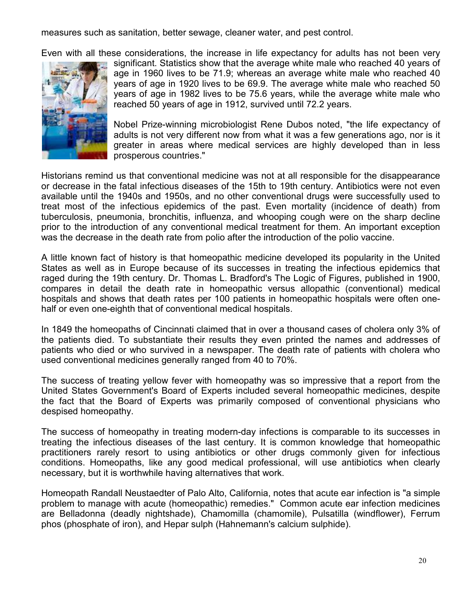measures such as sanitation, better sewage, cleaner water, and pest control.

Even with all these considerations, the increase in life expectancy for adults has not been very



significant. Statistics show that the average white male who reached 40 years of age in 1960 lives to be 71.9; whereas an average white male who reached 40 years of age in 1920 lives to be 69.9. The average white male who reached 50 years of age in 1982 lives to be 75.6 years, while the average white male who reached 50 years of age in 1912, survived until 72.2 years.

Nobel Prize-winning microbiologist Rene Dubos noted, "the life expectancy of adults is not very different now from what it was a few generations ago, nor is it greater in areas where medical services are highly developed than in less prosperous countries."

Historians remind us that conventional medicine was not at all responsible for the disappearance or decrease in the fatal infectious diseases of the 15th to 19th century. Antibiotics were not even available until the 1940s and 1950s, and no other conventional drugs were successfully used to treat most of the infectious epidemics of the past. Even mortality (incidence of death) from tuberculosis, pneumonia, bronchitis, influenza, and whooping cough were on the sharp decline prior to the introduction of any conventional medical treatment for them. An important exception was the decrease in the death rate from polio after the introduction of the polio vaccine.

A little known fact of history is that homeopathic medicine developed its popularity in the United States as well as in Europe because of its successes in treating the infectious epidemics that raged during the 19th century. Dr. Thomas L. Bradford's The Logic of Figures, published in 1900, compares in detail the death rate in homeopathic versus allopathic (conventional) medical hospitals and shows that death rates per 100 patients in homeopathic hospitals were often onehalf or even one-eighth that of conventional medical hospitals.

In 1849 the homeopaths of Cincinnati claimed that in over a thousand cases of cholera only 3% of the patients died. To substantiate their results they even printed the names and addresses of patients who died or who survived in a newspaper. The death rate of patients with cholera who used conventional medicines generally ranged from 40 to 70%.

The success of treating yellow fever with homeopathy was so impressive that a report from the United States Government's Board of Experts included several homeopathic medicines, despite the fact that the Board of Experts was primarily composed of conventional physicians who despised homeopathy.

The success of homeopathy in treating modern-day infections is comparable to its successes in treating the infectious diseases of the last century. It is common knowledge that homeopathic practitioners rarely resort to using antibiotics or other drugs commonly given for infectious conditions. Homeopaths, like any good medical professional, will use antibiotics when clearly necessary, but it is worthwhile having alternatives that work.

Homeopath Randall Neustaedter of Palo Alto, California, notes that acute ear infection is "a simple problem to manage with acute (homeopathic) remedies." Common acute ear infection medicines are Belladonna (deadly nightshade), Chamomilla (chamomile), Pulsatilla (windflower), Ferrum phos (phosphate of iron), and Hepar sulph (Hahnemann's calcium sulphide).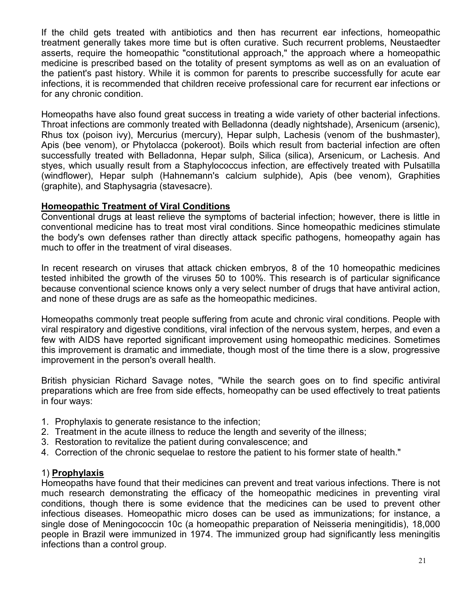If the child gets treated with antibiotics and then has recurrent ear infections, homeopathic treatment generally takes more time but is often curative. Such recurrent problems, Neustaedter asserts, require the homeopathic "constitutional approach," the approach where a homeopathic medicine is prescribed based on the totality of present symptoms as well as on an evaluation of the patient's past history. While it is common for parents to prescribe successfully for acute ear infections, it is recommended that children receive professional care for recurrent ear infections or for any chronic condition.

Homeopaths have also found great success in treating a wide variety of other bacterial infections. Throat infections are commonly treated with Belladonna (deadly nightshade), Arsenicum (arsenic), Rhus tox (poison ivy), Mercurius (mercury), Hepar sulph, Lachesis (venom of the bushmaster), Apis (bee venom), or Phytolacca (pokeroot). Boils which result from bacterial infection are often successfully treated with Belladonna, Hepar sulph, Silica (silica), Arsenicum, or Lachesis. And styes, which usually result from a Staphylococcus infection, are effectively treated with Pulsatilla (windflower), Hepar sulph (Hahnemann's calcium sulphide), Apis (bee venom), Graphities (graphite), and Staphysagria (stavesacre).

## **Homeopathic Treatment of Viral Conditions**

Conventional drugs at least relieve the symptoms of bacterial infection; however, there is little in conventional medicine has to treat most viral conditions. Since homeopathic medicines stimulate the body's own defenses rather than directly attack specific pathogens, homeopathy again has much to offer in the treatment of viral diseases.

In recent research on viruses that attack chicken embryos, 8 of the 10 homeopathic medicines tested inhibited the growth of the viruses 50 to 100%. This research is of particular significance because conventional science knows only a very select number of drugs that have antiviral action, and none of these drugs are as safe as the homeopathic medicines.

Homeopaths commonly treat people suffering from acute and chronic viral conditions. People with viral respiratory and digestive conditions, viral infection of the nervous system, herpes, and even a few with AIDS have reported significant improvement using homeopathic medicines. Sometimes this improvement is dramatic and immediate, though most of the time there is a slow, progressive improvement in the person's overall health.

British physician Richard Savage notes, "While the search goes on to find specific antiviral preparations which are free from side effects, homeopathy can be used effectively to treat patients in four ways:

- 1. Prophylaxis to generate resistance to the infection;
- 2. Treatment in the acute illness to reduce the length and severity of the illness;
- 3. Restoration to revitalize the patient during convalescence; and
- 4. Correction of the chronic sequelae to restore the patient to his former state of health."

## 1) **Prophylaxis**

Homeopaths have found that their medicines can prevent and treat various infections. There is not much research demonstrating the efficacy of the homeopathic medicines in preventing viral conditions, though there is some evidence that the medicines can be used to prevent other infectious diseases. Homeopathic micro doses can be used as immunizations; for instance, a single dose of Meningococcin 10c (a homeopathic preparation of Neisseria meningitidis), 18,000 people in Brazil were immunized in 1974. The immunized group had significantly less meningitis infections than a control group.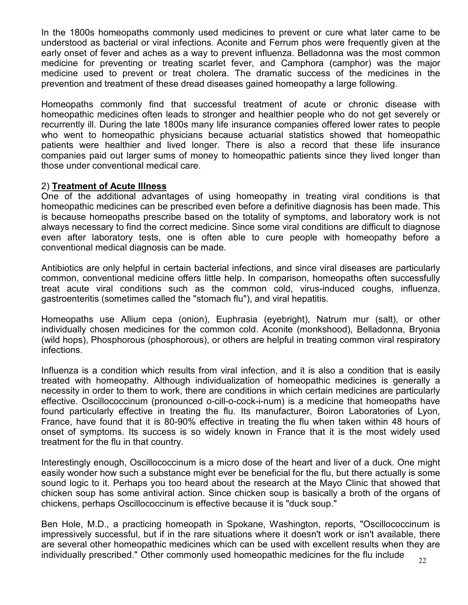In the 1800s homeopaths commonly used medicines to prevent or cure what later came to be understood as bacterial or viral infections. Aconite and Ferrum phos were frequently given at the early onset of fever and aches as a way to prevent influenza. Belladonna was the most common medicine for preventing or treating scarlet fever, and Camphora (camphor) was the major medicine used to prevent or treat cholera. The dramatic success of the medicines in the prevention and treatment of these dread diseases gained homeopathy a large following.

Homeopaths commonly find that successful treatment of acute or chronic disease with homeopathic medicines often leads to stronger and healthier people who do not get severely or recurrently ill. During the late 1800s many life insurance companies offered lower rates to people who went to homeopathic physicians because actuarial statistics showed that homeopathic patients were healthier and lived longer. There is also a record that these life insurance companies paid out larger sums of money to homeopathic patients since they lived longer than those under conventional medical care.

## 2) **Treatment of Acute Illness**

One of the additional advantages of using homeopathy in treating viral conditions is that homeopathic medicines can be prescribed even before a definitive diagnosis has been made. This is because homeopaths prescribe based on the totality of symptoms, and laboratory work is not always necessary to find the correct medicine. Since some viral conditions are difficult to diagnose even after laboratory tests, one is often able to cure people with homeopathy before a conventional medical diagnosis can be made.

Antibiotics are only helpful in certain bacterial infections, and since viral diseases are particularly common, conventional medicine offers little help. In comparison, homeopaths often successfully treat acute viral conditions such as the common cold, virus-induced coughs, influenza, gastroenteritis (sometimes called the "stomach flu"), and viral hepatitis.

Homeopaths use Allium cepa (onion), Euphrasia (eyebright), Natrum mur (salt), or other individually chosen medicines for the common cold. Aconite (monkshood), Belladonna, Bryonia (wild hops), Phosphorous (phosphorous), or others are helpful in treating common viral respiratory infections.

Influenza is a condition which results from viral infection, and it is also a condition that is easily treated with homeopathy. Although individualization of homeopathic medicines is generally a necessity in order to them to work, there are conditions in which certain medicines are particularly effective. Oscillococcinum (pronounced o-cill-o-cock-i-num) is a medicine that homeopaths have found particularly effective in treating the flu. Its manufacturer, Boiron Laboratories of Lyon, France, have found that it is 80-90% effective in treating the flu when taken within 48 hours of onset of symptoms. Its success is so widely known in France that it is the most widely used treatment for the flu in that country.

Interestingly enough, Oscillococcinum is a micro dose of the heart and liver of a duck. One might easily wonder how such a substance might ever be beneficial for the flu, but there actually is some sound logic to it. Perhaps you too heard about the research at the Mayo Clinic that showed that chicken soup has some antiviral action. Since chicken soup is basically a broth of the organs of chickens, perhaps Oscillococcinum is effective because it is "duck soup."

Ben Hole, M.D., a practicing homeopath in Spokane, Washington, reports, "Oscillococcinum is impressively successful, but if in the rare situations where it doesn't work or isn't available, there are several other homeopathic medicines which can be used with excellent results when they are individually prescribed." Other commonly used homeopathic medicines for the flu include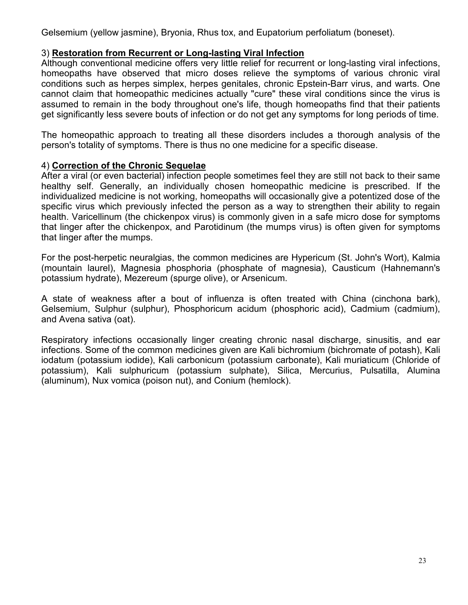Gelsemium (yellow jasmine), Bryonia, Rhus tox, and Eupatorium perfoliatum (boneset).

# 3) **Restoration from Recurrent or Long-lasting Viral Infection**

Although conventional medicine offers very little relief for recurrent or long-lasting viral infections, homeopaths have observed that micro doses relieve the symptoms of various chronic viral conditions such as herpes simplex, herpes genitales, chronic Epstein-Barr virus, and warts. One cannot claim that homeopathic medicines actually "cure" these viral conditions since the virus is assumed to remain in the body throughout one's life, though homeopaths find that their patients get significantly less severe bouts of infection or do not get any symptoms for long periods of time.

The homeopathic approach to treating all these disorders includes a thorough analysis of the person's totality of symptoms. There is thus no one medicine for a specific disease.

## 4) **Correction of the Chronic Sequelae**

After a viral (or even bacterial) infection people sometimes feel they are still not back to their same healthy self. Generally, an individually chosen homeopathic medicine is prescribed. If the individualized medicine is not working, homeopaths will occasionally give a potentized dose of the specific virus which previously infected the person as a way to strengthen their ability to regain health. Varicellinum (the chickenpox virus) is commonly given in a safe micro dose for symptoms that linger after the chickenpox, and Parotidinum (the mumps virus) is often given for symptoms that linger after the mumps.

For the post-herpetic neuralgias, the common medicines are Hypericum (St. John's Wort), Kalmia (mountain laurel), Magnesia phosphoria (phosphate of magnesia), Causticum (Hahnemann's potassium hydrate), Mezereum (spurge olive), or Arsenicum.

A state of weakness after a bout of influenza is often treated with China (cinchona bark), Gelsemium, Sulphur (sulphur), Phosphoricum acidum (phosphoric acid), Cadmium (cadmium), and Avena sativa (oat).

Respiratory infections occasionally linger creating chronic nasal discharge, sinusitis, and ear infections. Some of the common medicines given are Kali bichromium (bichromate of potash), Kali iodatum (potassium iodide), Kali carbonicum (potassium carbonate), Kali muriaticum (Chloride of potassium), Kali sulphuricum (potassium sulphate), Silica, Mercurius, Pulsatilla, Alumina (aluminum), Nux vomica (poison nut), and Conium (hemlock).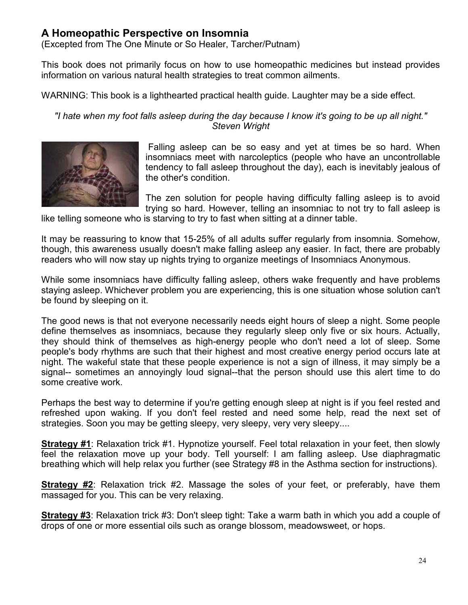# **A Homeopathic Perspective on Insomnia**

(Excepted from The One Minute or So Healer, Tarcher/Putnam)

This book does not primarily focus on how to use homeopathic medicines but instead provides information on various natural health strategies to treat common ailments.

WARNING: This book is a lighthearted practical health guide. Laughter may be a side effect.

*"I hate when my foot falls asleep during the day because I know it's going to be up all night." Steven Wright* 



 Falling asleep can be so easy and yet at times be so hard. When insomniacs meet with narcoleptics (people who have an uncontrollable tendency to fall asleep throughout the day), each is inevitably jealous of the other's condition.

The zen solution for people having difficulty falling asleep is to avoid trying so hard. However, telling an insomniac to not try to fall asleep is

like telling someone who is starving to try to fast when sitting at a dinner table.

It may be reassuring to know that 15-25% of all adults suffer regularly from insomnia. Somehow, though, this awareness usually doesn't make falling asleep any easier. In fact, there are probably readers who will now stay up nights trying to organize meetings of Insomniacs Anonymous.

While some insomniacs have difficulty falling asleep, others wake frequently and have problems staying asleep. Whichever problem you are experiencing, this is one situation whose solution can't be found by sleeping on it.

The good news is that not everyone necessarily needs eight hours of sleep a night. Some people define themselves as insomniacs, because they regularly sleep only five or six hours. Actually, they should think of themselves as high-energy people who don't need a lot of sleep. Some people's body rhythms are such that their highest and most creative energy period occurs late at night. The wakeful state that these people experience is not a sign of illness, it may simply be a signal-- sometimes an annoyingly loud signal--that the person should use this alert time to do some creative work.

Perhaps the best way to determine if you're getting enough sleep at night is if you feel rested and refreshed upon waking. If you don't feel rested and need some help, read the next set of strategies. Soon you may be getting sleepy, very sleepy, very very sleepy....

**Strategy #1**: Relaxation trick #1. Hypnotize yourself. Feel total relaxation in your feet, then slowly feel the relaxation move up your body. Tell yourself: I am falling asleep. Use diaphragmatic breathing which will help relax you further (see Strategy #8 in the Asthma section for instructions).

**Strategy #2:** Relaxation trick #2. Massage the soles of your feet, or preferably, have them massaged for you. This can be very relaxing.

**Strategy #3**: Relaxation trick #3: Don't sleep tight: Take a warm bath in which you add a couple of drops of one or more essential oils such as orange blossom, meadowsweet, or hops.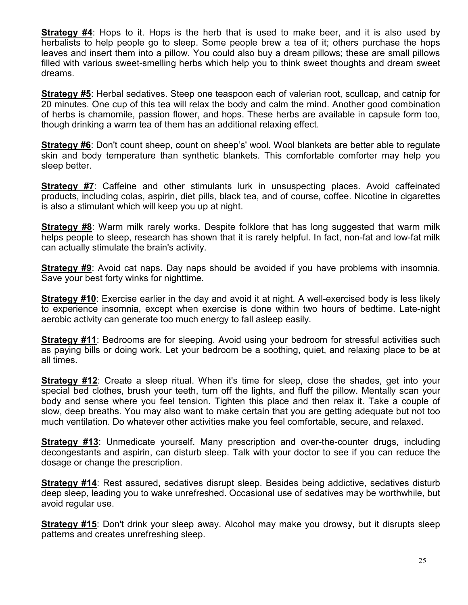**Strategy #4**: Hops to it. Hops is the herb that is used to make beer, and it is also used by herbalists to help people go to sleep. Some people brew a tea of it; others purchase the hops leaves and insert them into a pillow. You could also buy a dream pillows; these are small pillows filled with various sweet-smelling herbs which help you to think sweet thoughts and dream sweet dreams.

**Strategy #5**: Herbal sedatives. Steep one teaspoon each of valerian root, scullcap, and catnip for 20 minutes. One cup of this tea will relax the body and calm the mind. Another good combination of herbs is chamomile, passion flower, and hops. These herbs are available in capsule form too, though drinking a warm tea of them has an additional relaxing effect.

**Strategy #6**: Don't count sheep, count on sheep's' wool. Wool blankets are better able to regulate skin and body temperature than synthetic blankets. This comfortable comforter may help you sleep better.

**Strategy #7**: Caffeine and other stimulants lurk in unsuspecting places. Avoid caffeinated products, including colas, aspirin, diet pills, black tea, and of course, coffee. Nicotine in cigarettes is also a stimulant which will keep you up at night.

**Strategy #8:** Warm milk rarely works. Despite folklore that has long suggested that warm milk helps people to sleep, research has shown that it is rarely helpful. In fact, non-fat and low-fat milk can actually stimulate the brain's activity.

**Strategy #9**: Avoid cat naps. Day naps should be avoided if you have problems with insomnia. Save your best forty winks for nighttime.

**Strategy #10**: Exercise earlier in the day and avoid it at night. A well-exercised body is less likely to experience insomnia, except when exercise is done within two hours of bedtime. Late-night aerobic activity can generate too much energy to fall asleep easily.

**Strategy #11**: Bedrooms are for sleeping. Avoid using your bedroom for stressful activities such as paying bills or doing work. Let your bedroom be a soothing, quiet, and relaxing place to be at all times.

**Strategy #12**: Create a sleep ritual. When it's time for sleep, close the shades, get into your special bed clothes, brush your teeth, turn off the lights, and fluff the pillow. Mentally scan your body and sense where you feel tension. Tighten this place and then relax it. Take a couple of slow, deep breaths. You may also want to make certain that you are getting adequate but not too much ventilation. Do whatever other activities make you feel comfortable, secure, and relaxed.

**Strategy #13**: Unmedicate yourself. Many prescription and over-the-counter drugs, including decongestants and aspirin, can disturb sleep. Talk with your doctor to see if you can reduce the dosage or change the prescription.

**Strategy #14**: Rest assured, sedatives disrupt sleep. Besides being addictive, sedatives disturb deep sleep, leading you to wake unrefreshed. Occasional use of sedatives may be worthwhile, but avoid regular use.

**Strategy #15**: Don't drink your sleep away. Alcohol may make you drowsy, but it disrupts sleep patterns and creates unrefreshing sleep.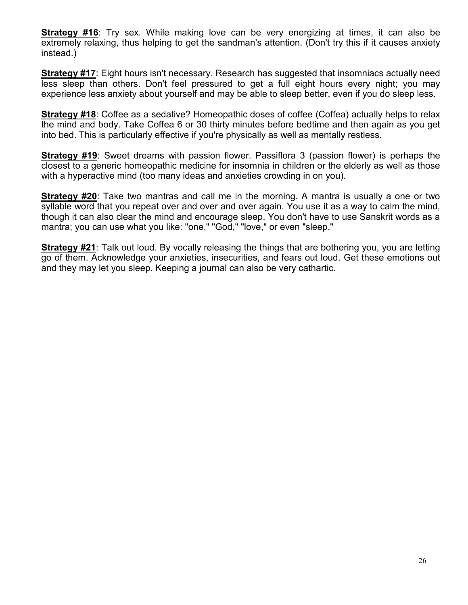**Strategy #16**: Try sex. While making love can be very energizing at times, it can also be extremely relaxing, thus helping to get the sandman's attention. (Don't try this if it causes anxiety instead.)

**Strategy #17**: Eight hours isn't necessary. Research has suggested that insomniacs actually need less sleep than others. Don't feel pressured to get a full eight hours every night; you may experience less anxiety about yourself and may be able to sleep better, even if you do sleep less.

**Strategy #18**: Coffee as a sedative? Homeopathic doses of coffee (Coffea) actually helps to relax the mind and body. Take Coffea 6 or 30 thirty minutes before bedtime and then again as you get into bed. This is particularly effective if you're physically as well as mentally restless.

**Strategy #19**: Sweet dreams with passion flower. Passiflora 3 (passion flower) is perhaps the closest to a generic homeopathic medicine for insomnia in children or the elderly as well as those with a hyperactive mind (too many ideas and anxieties crowding in on you).

**Strategy #20**: Take two mantras and call me in the morning. A mantra is usually a one or two syllable word that you repeat over and over and over again. You use it as a way to calm the mind, though it can also clear the mind and encourage sleep. You don't have to use Sanskrit words as a mantra; you can use what you like: "one," "God," "love," or even "sleep."

**Strategy #21**: Talk out loud. By vocally releasing the things that are bothering you, you are letting go of them. Acknowledge your anxieties, insecurities, and fears out loud. Get these emotions out and they may let you sleep. Keeping a journal can also be very cathartic.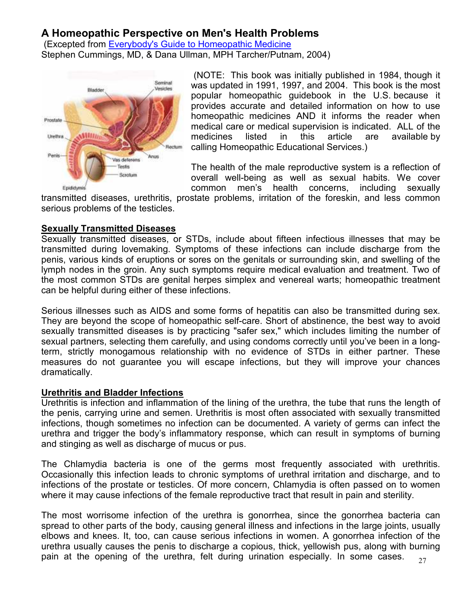# **A Homeopathic Perspective on Men's Health Problems**

 (Excepted from Everybody's Guide to Homeopathic Medicine Stephen Cummings, MD, & Dana Ullman, MPH Tarcher/Putnam, 2004)



 (NOTE: This book was initially published in 1984, though it was updated in 1991, 1997, and 2004. This book is the most popular homeopathic guidebook in the U.S. because it provides accurate and detailed information on how to use homeopathic medicines AND it informs the reader when medical care or medical supervision is indicated. ALL of the medicines listed in this article are available by calling Homeopathic Educational Services.)

The health of the male reproductive system is a reflection of overall well-being as well as sexual habits. We cover common men's health concerns, including sexually

transmitted diseases, urethritis, prostate problems, irritation of the foreskin, and less common serious problems of the testicles.

## **Sexually Transmitted Diseases**

Sexually transmitted diseases, or STDs, include about fifteen infectious illnesses that may be transmitted during lovemaking. Symptoms of these infections can include discharge from the penis, various kinds of eruptions or sores on the genitals or surrounding skin, and swelling of the lymph nodes in the groin. Any such symptoms require medical evaluation and treatment. Two of the most common STDs are genital herpes simplex and venereal warts; homeopathic treatment can be helpful during either of these infections.

Serious illnesses such as AIDS and some forms of hepatitis can also be transmitted during sex. They are beyond the scope of homeopathic self-care. Short of abstinence, the best way to avoid sexually transmitted diseases is by practicing "safer sex," which includes limiting the number of sexual partners, selecting them carefully, and using condoms correctly until you've been in a longterm, strictly monogamous relationship with no evidence of STDs in either partner. These measures do not guarantee you will escape infections, but they will improve your chances dramatically.

## **Urethritis and Bladder Infections**

Urethritis is infection and inflammation of the lining of the urethra, the tube that runs the length of the penis, carrying urine and semen. Urethritis is most often associated with sexually transmitted infections, though sometimes no infection can be documented. A variety of germs can infect the urethra and trigger the body's inflammatory response, which can result in symptoms of burning and stinging as well as discharge of mucus or pus.

The Chlamydia bacteria is one of the germs most frequently associated with urethritis. Occasionally this infection leads to chronic symptoms of urethral irritation and discharge, and to infections of the prostate or testicles. Of more concern, Chlamydia is often passed on to women where it may cause infections of the female reproductive tract that result in pain and sterility.

The most worrisome infection of the urethra is gonorrhea, since the gonorrhea bacteria can spread to other parts of the body, causing general illness and infections in the large joints, usually elbows and knees. It, too, can cause serious infections in women. A gonorrhea infection of the urethra usually causes the penis to discharge a copious, thick, yellowish pus, along with burning pain at the opening of the urethra, felt during urination especially. In some cases.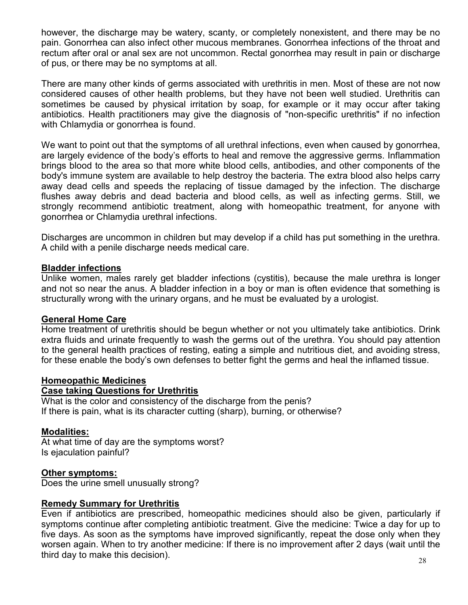however, the discharge may be watery, scanty, or completely nonexistent, and there may be no pain. Gonorrhea can also infect other mucous membranes. Gonorrhea infections of the throat and rectum after oral or anal sex are not uncommon. Rectal gonorrhea may result in pain or discharge of pus, or there may be no symptoms at all.

There are many other kinds of germs associated with urethritis in men. Most of these are not now considered causes of other health problems, but they have not been well studied. Urethritis can sometimes be caused by physical irritation by soap, for example or it may occur after taking antibiotics. Health practitioners may give the diagnosis of "non-specific urethritis" if no infection with Chlamydia or gonorrhea is found.

We want to point out that the symptoms of all urethral infections, even when caused by gonorrhea, are largely evidence of the body's efforts to heal and remove the aggressive germs. Inflammation brings blood to the area so that more white blood cells, antibodies, and other components of the body's immune system are available to help destroy the bacteria. The extra blood also helps carry away dead cells and speeds the replacing of tissue damaged by the infection. The discharge flushes away debris and dead bacteria and blood cells, as well as infecting germs. Still, we strongly recommend antibiotic treatment, along with homeopathic treatment, for anyone with gonorrhea or Chlamydia urethral infections.

Discharges are uncommon in children but may develop if a child has put something in the urethra. A child with a penile discharge needs medical care.

#### **Bladder infections**

Unlike women, males rarely get bladder infections (cystitis), because the male urethra is longer and not so near the anus. A bladder infection in a boy or man is often evidence that something is structurally wrong with the urinary organs, and he must be evaluated by a urologist.

## **General Home Care**

Home treatment of urethritis should be begun whether or not you ultimately take antibiotics. Drink extra fluids and urinate frequently to wash the germs out of the urethra. You should pay attention to the general health practices of resting, eating a simple and nutritious diet, and avoiding stress, for these enable the body's own defenses to better fight the germs and heal the inflamed tissue.

#### **Homeopathic Medicines**

#### **Case taking Questions for Urethritis**

What is the color and consistency of the discharge from the penis? If there is pain, what is its character cutting (sharp), burning, or otherwise?

## **Modalities:**

At what time of day are the symptoms worst? Is ejaculation painful?

#### **Other symptoms:**

Does the urine smell unusually strong?

## **Remedy Summary for Urethritis**

Even if antibiotics are prescribed, homeopathic medicines should also be given, particularly if symptoms continue after completing antibiotic treatment. Give the medicine: Twice a day for up to five days. As soon as the symptoms have improved significantly, repeat the dose only when they worsen again. When to try another medicine: If there is no improvement after 2 days (wait until the third day to make this decision).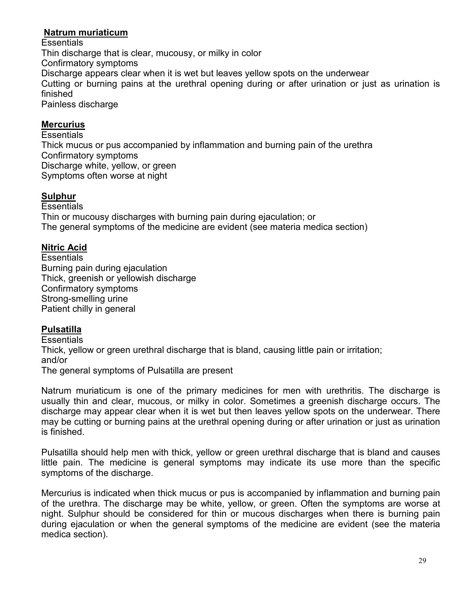## **Natrum muriaticum**

**Essentials** Thin discharge that is clear, mucousy, or milky in color Confirmatory symptoms Discharge appears clear when it is wet but leaves yellow spots on the underwear Cutting or burning pains at the urethral opening during or after urination or just as urination is finished Painless discharge

## **Mercurius**

**Essentials** Thick mucus or pus accompanied by inflammation and burning pain of the urethra Confirmatory symptoms Discharge white, yellow, or green Symptoms often worse at night

## **Sulphur**

**Essentials** Thin or mucousy discharges with burning pain during ejaculation; or The general symptoms of the medicine are evident (see materia medica section)

# **Nitric Acid**

**Essentials** Burning pain during ejaculation Thick, greenish or yellowish discharge Confirmatory symptoms Strong-smelling urine Patient chilly in general

# **Pulsatilla**

**Essentials** Thick, yellow or green urethral discharge that is bland, causing little pain or irritation; and/or The general symptoms of Pulsatilla are present

Natrum muriaticum is one of the primary medicines for men with urethritis. The discharge is usually thin and clear, mucous, or milky in color. Sometimes a greenish discharge occurs. The discharge may appear clear when it is wet but then leaves yellow spots on the underwear. There may be cutting or burning pains at the urethral opening during or after urination or just as urination is finished.

Pulsatilla should help men with thick, yellow or green urethral discharge that is bland and causes little pain. The medicine is general symptoms may indicate its use more than the specific symptoms of the discharge.

Mercurius is indicated when thick mucus or pus is accompanied by inflammation and burning pain of the urethra. The discharge may be white, yellow, or green. Often the symptoms are worse at night. Sulphur should be considered for thin or mucous discharges when there is burning pain during ejaculation or when the general symptoms of the medicine are evident (see the materia medica section).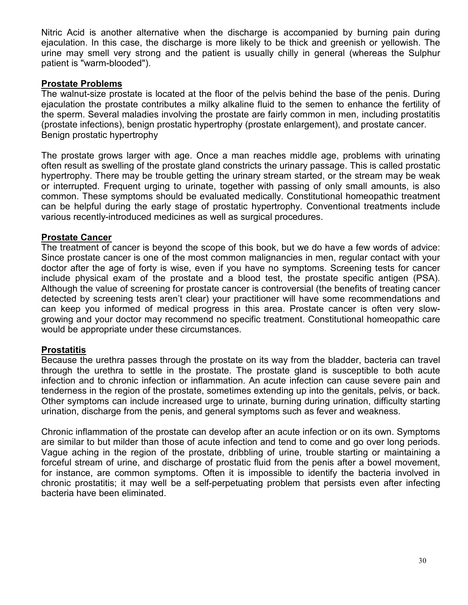Nitric Acid is another alternative when the discharge is accompanied by burning pain during ejaculation. In this case, the discharge is more likely to be thick and greenish or yellowish. The urine may smell very strong and the patient is usually chilly in general (whereas the Sulphur patient is "warm-blooded").

## **Prostate Problems**

The walnut-size prostate is located at the floor of the pelvis behind the base of the penis. During ejaculation the prostate contributes a milky alkaline fluid to the semen to enhance the fertility of the sperm. Several maladies involving the prostate are fairly common in men, including prostatitis (prostate infections), benign prostatic hypertrophy (prostate enlargement), and prostate cancer. Benign prostatic hypertrophy

The prostate grows larger with age. Once a man reaches middle age, problems with urinating often result as swelling of the prostate gland constricts the urinary passage. This is called prostatic hypertrophy. There may be trouble getting the urinary stream started, or the stream may be weak or interrupted. Frequent urging to urinate, together with passing of only small amounts, is also common. These symptoms should be evaluated medically. Constitutional homeopathic treatment can be helpful during the early stage of prostatic hypertrophy. Conventional treatments include various recently-introduced medicines as well as surgical procedures.

## **Prostate Cancer**

The treatment of cancer is beyond the scope of this book, but we do have a few words of advice: Since prostate cancer is one of the most common malignancies in men, regular contact with your doctor after the age of forty is wise, even if you have no symptoms. Screening tests for cancer include physical exam of the prostate and a blood test, the prostate specific antigen (PSA). Although the value of screening for prostate cancer is controversial (the benefits of treating cancer detected by screening tests aren't clear) your practitioner will have some recommendations and can keep you informed of medical progress in this area. Prostate cancer is often very slowgrowing and your doctor may recommend no specific treatment. Constitutional homeopathic care would be appropriate under these circumstances.

# **Prostatitis**

Because the urethra passes through the prostate on its way from the bladder, bacteria can travel through the urethra to settle in the prostate. The prostate gland is susceptible to both acute infection and to chronic infection or inflammation. An acute infection can cause severe pain and tenderness in the region of the prostate, sometimes extending up into the genitals, pelvis, or back. Other symptoms can include increased urge to urinate, burning during urination, difficulty starting urination, discharge from the penis, and general symptoms such as fever and weakness.

Chronic inflammation of the prostate can develop after an acute infection or on its own. Symptoms are similar to but milder than those of acute infection and tend to come and go over long periods. Vague aching in the region of the prostate, dribbling of urine, trouble starting or maintaining a forceful stream of urine, and discharge of prostatic fluid from the penis after a bowel movement, for instance, are common symptoms. Often it is impossible to identify the bacteria involved in chronic prostatitis; it may well be a self-perpetuating problem that persists even after infecting bacteria have been eliminated.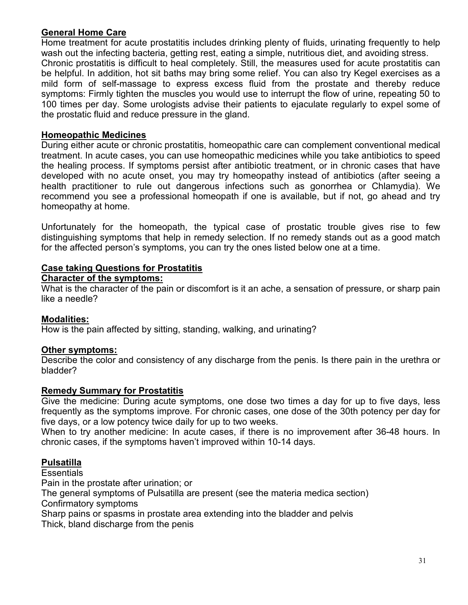# **General Home Care**

Home treatment for acute prostatitis includes drinking plenty of fluids, urinating frequently to help wash out the infecting bacteria, getting rest, eating a simple, nutritious diet, and avoiding stress. Chronic prostatitis is difficult to heal completely. Still, the measures used for acute prostatitis can be helpful. In addition, hot sit baths may bring some relief. You can also try Kegel exercises as a mild form of self-massage to express excess fluid from the prostate and thereby reduce symptoms: Firmly tighten the muscles you would use to interrupt the flow of urine, repeating 50 to 100 times per day. Some urologists advise their patients to ejaculate regularly to expel some of the prostatic fluid and reduce pressure in the gland.

## **Homeopathic Medicines**

During either acute or chronic prostatitis, homeopathic care can complement conventional medical treatment. In acute cases, you can use homeopathic medicines while you take antibiotics to speed the healing process. If symptoms persist after antibiotic treatment, or in chronic cases that have developed with no acute onset, you may try homeopathy instead of antibiotics (after seeing a health practitioner to rule out dangerous infections such as gonorrhea or Chlamydia). We recommend you see a professional homeopath if one is available, but if not, go ahead and try homeopathy at home.

Unfortunately for the homeopath, the typical case of prostatic trouble gives rise to few distinguishing symptoms that help in remedy selection. If no remedy stands out as a good match for the affected person's symptoms, you can try the ones listed below one at a time.

## **Case taking Questions for Prostatitis**

#### **Character of the symptoms:**

What is the character of the pain or discomfort is it an ache, a sensation of pressure, or sharp pain like a needle?

## **Modalities:**

How is the pain affected by sitting, standing, walking, and urinating?

## **Other symptoms:**

Describe the color and consistency of any discharge from the penis. Is there pain in the urethra or bladder?

## **Remedy Summary for Prostatitis**

Give the medicine: During acute symptoms, one dose two times a day for up to five days, less frequently as the symptoms improve. For chronic cases, one dose of the 30th potency per day for five days, or a low potency twice daily for up to two weeks.

When to try another medicine: In acute cases, if there is no improvement after 36-48 hours. In chronic cases, if the symptoms haven't improved within 10-14 days.

# **Pulsatilla**

**Essentials** 

Pain in the prostate after urination; or The general symptoms of Pulsatilla are present (see the materia medica section) Confirmatory symptoms

Sharp pains or spasms in prostate area extending into the bladder and pelvis

Thick, bland discharge from the penis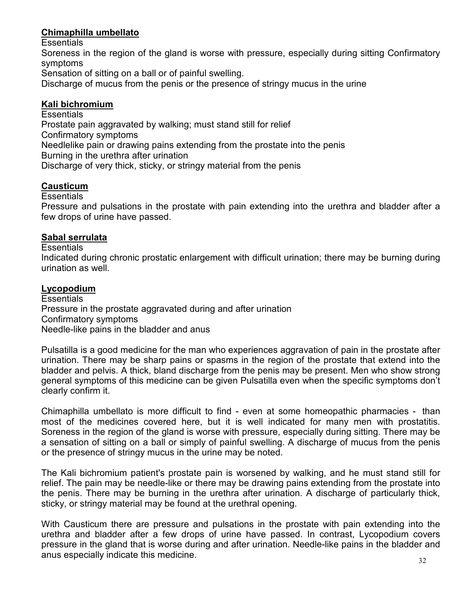# **Chimaphilla umbellato**

**Essentials** 

Soreness in the region of the gland is worse with pressure, especially during sitting Confirmatory symptoms

Sensation of sitting on a ball or of painful swelling.

Discharge of mucus from the penis or the presence of stringy mucus in the urine

# **Kali bichromium**

**Essentials** 

Prostate pain aggravated by walking; must stand still for relief

Confirmatory symptoms

Needlelike pain or drawing pains extending from the prostate into the penis

Burning in the urethra after urination

Discharge of very thick, sticky, or stringy material from the penis

# **Causticum**

**Essentials** 

Pressure and pulsations in the prostate with pain extending into the urethra and bladder after a few drops of urine have passed.

# **Sabal serrulata**

**Essentials** 

Indicated during chronic prostatic enlargement with difficult urination; there may be burning during urination as well.

# **Lycopodium**

**Essentials** Pressure in the prostate aggravated during and after urination Confirmatory symptoms Needle-like pains in the bladder and anus

Pulsatilla is a good medicine for the man who experiences aggravation of pain in the prostate after urination. There may be sharp pains or spasms in the region of the prostate that extend into the bladder and pelvis. A thick, bland discharge from the penis may be present. Men who show strong general symptoms of this medicine can be given Pulsatilla even when the specific symptoms don't clearly confirm it.

Chimaphilla umbellato is more difficult to find - even at some homeopathic pharmacies - than most of the medicines covered here, but it is well indicated for many men with prostatitis. Soreness in the region of the gland is worse with pressure, especially during sitting. There may be a sensation of sitting on a ball or simply of painful swelling. A discharge of mucus from the penis or the presence of stringy mucus in the urine may be noted.

The Kali bichromium patient's prostate pain is worsened by walking, and he must stand still for relief. The pain may be needle-like or there may be drawing pains extending from the prostate into the penis. There may be burning in the urethra after urination. A discharge of particularly thick, sticky, or stringy material may be found at the urethral opening.

With Causticum there are pressure and pulsations in the prostate with pain extending into the urethra and bladder after a few drops of urine have passed. In contrast, Lycopodium covers pressure in the gland that is worse during and after urination. Needle-like pains in the bladder and anus especially indicate this medicine.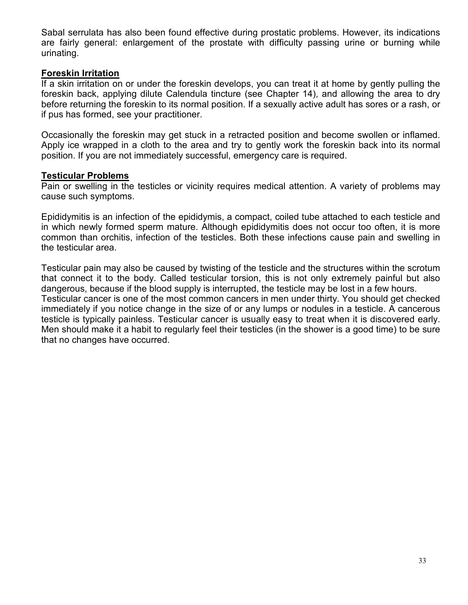Sabal serrulata has also been found effective during prostatic problems. However, its indications are fairly general: enlargement of the prostate with difficulty passing urine or burning while urinating.

### **Foreskin Irritation**

If a skin irritation on or under the foreskin develops, you can treat it at home by gently pulling the foreskin back, applying dilute Calendula tincture (see Chapter 14), and allowing the area to dry before returning the foreskin to its normal position. If a sexually active adult has sores or a rash, or if pus has formed, see your practitioner.

Occasionally the foreskin may get stuck in a retracted position and become swollen or inflamed. Apply ice wrapped in a cloth to the area and try to gently work the foreskin back into its normal position. If you are not immediately successful, emergency care is required.

#### **Testicular Problems**

Pain or swelling in the testicles or vicinity requires medical attention. A variety of problems may cause such symptoms.

Epididymitis is an infection of the epididymis, a compact, coiled tube attached to each testicle and in which newly formed sperm mature. Although epididymitis does not occur too often, it is more common than orchitis, infection of the testicles. Both these infections cause pain and swelling in the testicular area.

Testicular pain may also be caused by twisting of the testicle and the structures within the scrotum that connect it to the body. Called testicular torsion, this is not only extremely painful but also dangerous, because if the blood supply is interrupted, the testicle may be lost in a few hours. Testicular cancer is one of the most common cancers in men under thirty. You should get checked immediately if you notice change in the size of or any lumps or nodules in a testicle. A cancerous testicle is typically painless. Testicular cancer is usually easy to treat when it is discovered early. Men should make it a habit to regularly feel their testicles (in the shower is a good time) to be sure that no changes have occurred.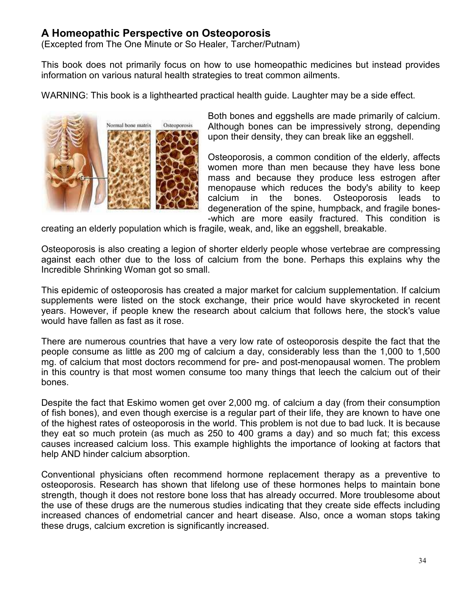# **A Homeopathic Perspective on Osteoporosis**

(Excepted from The One Minute or So Healer, Tarcher/Putnam)

This book does not primarily focus on how to use homeopathic medicines but instead provides information on various natural health strategies to treat common ailments.

WARNING: This book is a lighthearted practical health guide. Laughter may be a side effect.



Both bones and eggshells are made primarily of calcium. Although bones can be impressively strong, depending upon their density, they can break like an eggshell.

Osteoporosis, a common condition of the elderly, affects women more than men because they have less bone mass and because they produce less estrogen after menopause which reduces the body's ability to keep calcium in the bones. Osteoporosis leads to degeneration of the spine, humpback, and fragile bones- -which are more easily fractured. This condition is

creating an elderly population which is fragile, weak, and, like an eggshell, breakable.

Osteoporosis is also creating a legion of shorter elderly people whose vertebrae are compressing against each other due to the loss of calcium from the bone. Perhaps this explains why the Incredible Shrinking Woman got so small.

This epidemic of osteoporosis has created a major market for calcium supplementation. If calcium supplements were listed on the stock exchange, their price would have skyrocketed in recent years. However, if people knew the research about calcium that follows here, the stock's value would have fallen as fast as it rose.

There are numerous countries that have a very low rate of osteoporosis despite the fact that the people consume as little as 200 mg of calcium a day, considerably less than the 1,000 to 1,500 mg. of calcium that most doctors recommend for pre- and post-menopausal women. The problem in this country is that most women consume too many things that leech the calcium out of their bones.

Despite the fact that Eskimo women get over 2,000 mg. of calcium a day (from their consumption of fish bones), and even though exercise is a regular part of their life, they are known to have one of the highest rates of osteoporosis in the world. This problem is not due to bad luck. It is because they eat so much protein (as much as 250 to 400 grams a day) and so much fat; this excess causes increased calcium loss. This example highlights the importance of looking at factors that help AND hinder calcium absorption.

Conventional physicians often recommend hormone replacement therapy as a preventive to osteoporosis. Research has shown that lifelong use of these hormones helps to maintain bone strength, though it does not restore bone loss that has already occurred. More troublesome about the use of these drugs are the numerous studies indicating that they create side effects including increased chances of endometrial cancer and heart disease. Also, once a woman stops taking these drugs, calcium excretion is significantly increased.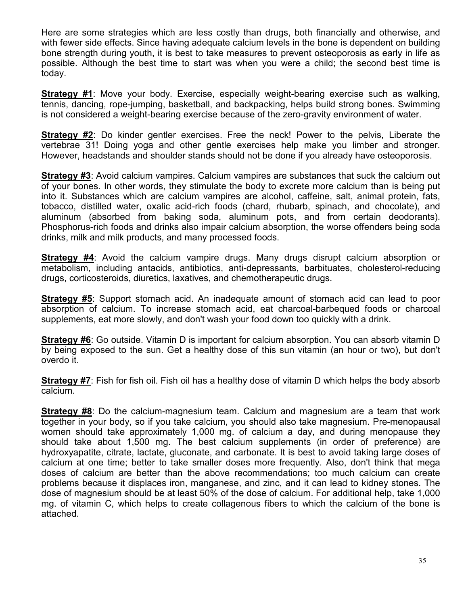Here are some strategies which are less costly than drugs, both financially and otherwise, and with fewer side effects. Since having adequate calcium levels in the bone is dependent on building bone strength during youth, it is best to take measures to prevent osteoporosis as early in life as possible. Although the best time to start was when you were a child; the second best time is today.

**Strategy #1**: Move your body. Exercise, especially weight-bearing exercise such as walking, tennis, dancing, rope-jumping, basketball, and backpacking, helps build strong bones. Swimming is not considered a weight-bearing exercise because of the zero-gravity environment of water.

**Strategy #2**: Do kinder gentler exercises. Free the neck! Power to the pelvis, Liberate the vertebrae 31! Doing yoga and other gentle exercises help make you limber and stronger. However, headstands and shoulder stands should not be done if you already have osteoporosis.

**Strategy #3**: Avoid calcium vampires. Calcium vampires are substances that suck the calcium out of your bones. In other words, they stimulate the body to excrete more calcium than is being put into it. Substances which are calcium vampires are alcohol, caffeine, salt, animal protein, fats, tobacco, distilled water, oxalic acid-rich foods (chard, rhubarb, spinach, and chocolate), and aluminum (absorbed from baking soda, aluminum pots, and from certain deodorants). Phosphorus-rich foods and drinks also impair calcium absorption, the worse offenders being soda drinks, milk and milk products, and many processed foods.

**Strategy #4**: Avoid the calcium vampire drugs. Many drugs disrupt calcium absorption or metabolism, including antacids, antibiotics, anti-depressants, barbituates, cholesterol-reducing drugs, corticosteroids, diuretics, laxatives, and chemotherapeutic drugs.

**Strategy #5**: Support stomach acid. An inadequate amount of stomach acid can lead to poor absorption of calcium. To increase stomach acid, eat charcoal-barbequed foods or charcoal supplements, eat more slowly, and don't wash your food down too quickly with a drink.

**Strategy #6**: Go outside. Vitamin D is important for calcium absorption. You can absorb vitamin D by being exposed to the sun. Get a healthy dose of this sun vitamin (an hour or two), but don't overdo it.

**Strategy #7**: Fish for fish oil. Fish oil has a healthy dose of vitamin D which helps the body absorb calcium.

**Strategy #8**: Do the calcium-magnesium team. Calcium and magnesium are a team that work together in your body, so if you take calcium, you should also take magnesium. Pre-menopausal women should take approximately 1,000 mg. of calcium a day, and during menopause they should take about 1,500 mg. The best calcium supplements (in order of preference) are hydroxyapatite, citrate, lactate, gluconate, and carbonate. It is best to avoid taking large doses of calcium at one time; better to take smaller doses more frequently. Also, don't think that mega doses of calcium are better than the above recommendations; too much calcium can create problems because it displaces iron, manganese, and zinc, and it can lead to kidney stones. The dose of magnesium should be at least 50% of the dose of calcium. For additional help, take 1,000 mg. of vitamin C, which helps to create collagenous fibers to which the calcium of the bone is attached.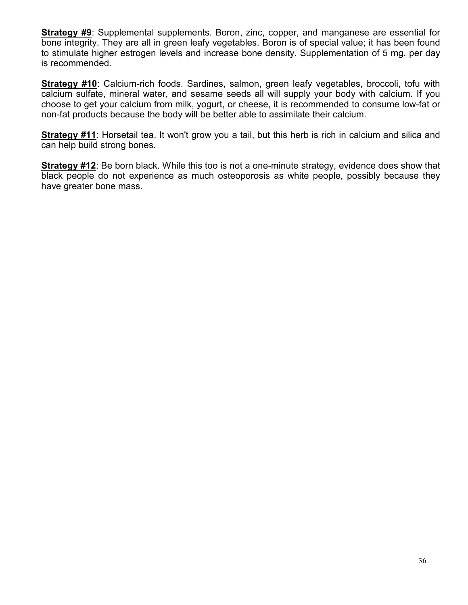**Strategy #9**: Supplemental supplements. Boron, zinc, copper, and manganese are essential for bone integrity. They are all in green leafy vegetables. Boron is of special value; it has been found to stimulate higher estrogen levels and increase bone density. Supplementation of 5 mg. per day is recommended.

**Strategy #10**: Calcium-rich foods. Sardines, salmon, green leafy vegetables, broccoli, tofu with calcium sulfate, mineral water, and sesame seeds all will supply your body with calcium. If you choose to get your calcium from milk, yogurt, or cheese, it is recommended to consume low-fat or non-fat products because the body will be better able to assimilate their calcium.

**Strategy #11**: Horsetail tea. It won't grow you a tail, but this herb is rich in calcium and silica and can help build strong bones.

**Strategy #12**: Be born black. While this too is not a one-minute strategy, evidence does show that black people do not experience as much osteoporosis as white people, possibly because they have greater bone mass.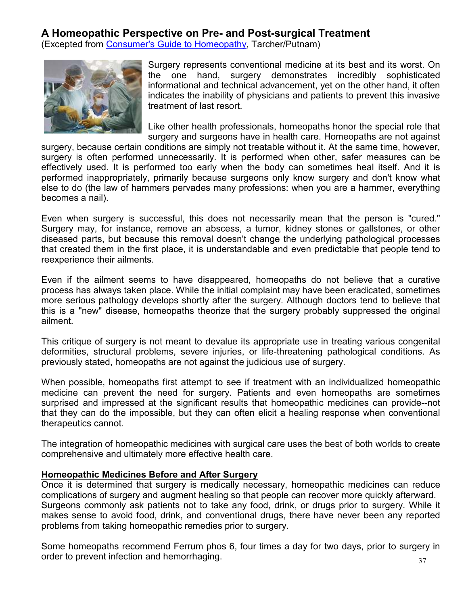# **A Homeopathic Perspective on Pre- and Post-surgical Treatment**

(Excepted from Consumer's Guide to Homeopathy, Tarcher/Putnam)



Surgery represents conventional medicine at its best and its worst. On the one hand, surgery demonstrates incredibly sophisticated informational and technical advancement, yet on the other hand, it often indicates the inability of physicians and patients to prevent this invasive treatment of last resort.

Like other health professionals, homeopaths honor the special role that surgery and surgeons have in health care. Homeopaths are not against

surgery, because certain conditions are simply not treatable without it. At the same time, however, surgery is often performed unnecessarily. It is performed when other, safer measures can be effectively used. It is performed too early when the body can sometimes heal itself. And it is performed inappropriately, primarily because surgeons only know surgery and don't know what else to do (the law of hammers pervades many professions: when you are a hammer, everything becomes a nail).

Even when surgery is successful, this does not necessarily mean that the person is "cured." Surgery may, for instance, remove an abscess, a tumor, kidney stones or gallstones, or other diseased parts, but because this removal doesn't change the underlying pathological processes that created them in the first place, it is understandable and even predictable that people tend to reexperience their ailments.

Even if the ailment seems to have disappeared, homeopaths do not believe that a curative process has always taken place. While the initial complaint may have been eradicated, sometimes more serious pathology develops shortly after the surgery. Although doctors tend to believe that this is a "new" disease, homeopaths theorize that the surgery probably suppressed the original ailment.

This critique of surgery is not meant to devalue its appropriate use in treating various congenital deformities, structural problems, severe injuries, or life-threatening pathological conditions. As previously stated, homeopaths are not against the judicious use of surgery.

When possible, homeopaths first attempt to see if treatment with an individualized homeopathic medicine can prevent the need for surgery. Patients and even homeopaths are sometimes surprised and impressed at the significant results that homeopathic medicines can provide--not that they can do the impossible, but they can often elicit a healing response when conventional therapeutics cannot.

The integration of homeopathic medicines with surgical care uses the best of both worlds to create comprehensive and ultimately more effective health care.

## **Homeopathic Medicines Before and After Surgery**

Once it is determined that surgery is medically necessary, homeopathic medicines can reduce complications of surgery and augment healing so that people can recover more quickly afterward. Surgeons commonly ask patients not to take any food, drink, or drugs prior to surgery. While it makes sense to avoid food, drink, and conventional drugs, there have never been any reported problems from taking homeopathic remedies prior to surgery.

Some homeopaths recommend Ferrum phos 6, four times a day for two days, prior to surgery in order to prevent infection and hemorrhaging.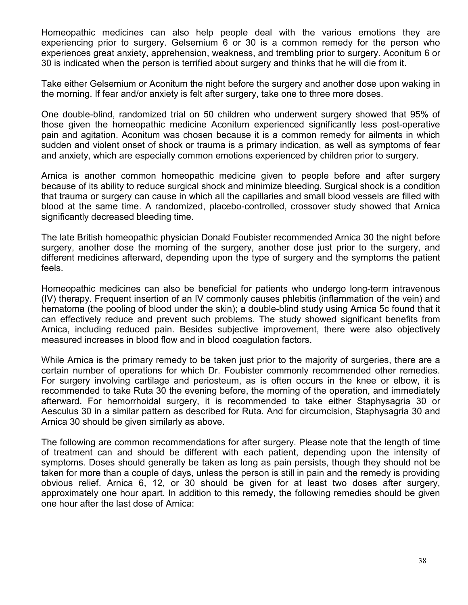Homeopathic medicines can also help people deal with the various emotions they are experiencing prior to surgery. Gelsemium 6 or 30 is a common remedy for the person who experiences great anxiety, apprehension, weakness, and trembling prior to surgery. Aconitum 6 or 30 is indicated when the person is terrified about surgery and thinks that he will die from it.

Take either Gelsemium or Aconitum the night before the surgery and another dose upon waking in the morning. If fear and/or anxiety is felt after surgery, take one to three more doses.

One double-blind, randomized trial on 50 children who underwent surgery showed that 95% of those given the homeopathic medicine Aconitum experienced significantly less post-operative pain and agitation. Aconitum was chosen because it is a common remedy for ailments in which sudden and violent onset of shock or trauma is a primary indication, as well as symptoms of fear and anxiety, which are especially common emotions experienced by children prior to surgery.

Arnica is another common homeopathic medicine given to people before and after surgery because of its ability to reduce surgical shock and minimize bleeding. Surgical shock is a condition that trauma or surgery can cause in which all the capillaries and small blood vessels are filled with blood at the same time. A randomized, placebo-controlled, crossover study showed that Arnica significantly decreased bleeding time.

The late British homeopathic physician Donald Foubister recommended Arnica 30 the night before surgery, another dose the morning of the surgery, another dose just prior to the surgery, and different medicines afterward, depending upon the type of surgery and the symptoms the patient feels.

Homeopathic medicines can also be beneficial for patients who undergo long-term intravenous (IV) therapy. Frequent insertion of an IV commonly causes phlebitis (inflammation of the vein) and hematoma (the pooling of blood under the skin); a double-blind study using Arnica 5c found that it can effectively reduce and prevent such problems. The study showed significant benefits from Arnica, including reduced pain. Besides subjective improvement, there were also objectively measured increases in blood flow and in blood coagulation factors.

While Arnica is the primary remedy to be taken just prior to the majority of surgeries, there are a certain number of operations for which Dr. Foubister commonly recommended other remedies. For surgery involving cartilage and periosteum, as is often occurs in the knee or elbow, it is recommended to take Ruta 30 the evening before, the morning of the operation, and immediately afterward. For hemorrhoidal surgery, it is recommended to take either Staphysagria 30 or Aesculus 30 in a similar pattern as described for Ruta. And for circumcision, Staphysagria 30 and Arnica 30 should be given similarly as above.

The following are common recommendations for after surgery. Please note that the length of time of treatment can and should be different with each patient, depending upon the intensity of symptoms. Doses should generally be taken as long as pain persists, though they should not be taken for more than a couple of days, unless the person is still in pain and the remedy is providing obvious relief. Arnica 6, 12, or 30 should be given for at least two doses after surgery, approximately one hour apart. In addition to this remedy, the following remedies should be given one hour after the last dose of Arnica: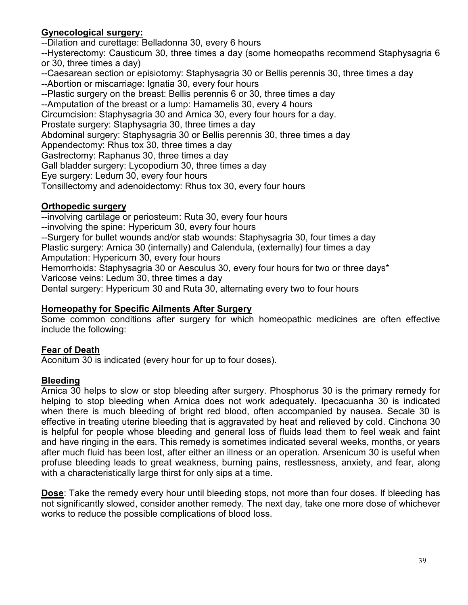# **Gynecological surgery:**

--Dilation and curettage: Belladonna 30, every 6 hours

--Hysterectomy: Causticum 30, three times a day (some homeopaths recommend Staphysagria 6 or 30, three times a day)

--Caesarean section or episiotomy: Staphysagria 30 or Bellis perennis 30, three times a day

--Abortion or miscarriage: Ignatia 30, every four hours

--Plastic surgery on the breast: Bellis perennis 6 or 30, three times a day

--Amputation of the breast or a lump: Hamamelis 30, every 4 hours

Circumcision: Staphysagria 30 and Arnica 30, every four hours for a day.

Prostate surgery: Staphysagria 30, three times a day

Abdominal surgery: Staphysagria 30 or Bellis perennis 30, three times a day

Appendectomy: Rhus tox 30, three times a day

Gastrectomy: Raphanus 30, three times a day

Gall bladder surgery: Lycopodium 30, three times a day

Eye surgery: Ledum 30, every four hours

Tonsillectomy and adenoidectomy: Rhus tox 30, every four hours

## **Orthopedic surgery**

--involving cartilage or periosteum: Ruta 30, every four hours

--involving the spine: Hypericum 30, every four hours

--Surgery for bullet wounds and/or stab wounds: Staphysagria 30, four times a day

Plastic surgery: Arnica 30 (internally) and Calendula, (externally) four times a day

Amputation: Hypericum 30, every four hours

Hemorrhoids: Staphysagria 30 or Aesculus 30, every four hours for two or three days\*

Varicose veins: Ledum 30, three times a day

Dental surgery: Hypericum 30 and Ruta 30, alternating every two to four hours

# **Homeopathy for Specific Ailments After Surgery**

Some common conditions after surgery for which homeopathic medicines are often effective include the following:

# **Fear of Death**

Aconitum 30 is indicated (every hour for up to four doses).

# **Bleeding**

Arnica 30 helps to slow or stop bleeding after surgery. Phosphorus 30 is the primary remedy for helping to stop bleeding when Arnica does not work adequately. Ipecacuanha 30 is indicated when there is much bleeding of bright red blood, often accompanied by nausea. Secale 30 is effective in treating uterine bleeding that is aggravated by heat and relieved by cold. Cinchona 30 is helpful for people whose bleeding and general loss of fluids lead them to feel weak and faint and have ringing in the ears. This remedy is sometimes indicated several weeks, months, or years after much fluid has been lost, after either an illness or an operation. Arsenicum 30 is useful when profuse bleeding leads to great weakness, burning pains, restlessness, anxiety, and fear, along with a characteristically large thirst for only sips at a time.

**Dose**: Take the remedy every hour until bleeding stops, not more than four doses. If bleeding has not significantly slowed, consider another remedy. The next day, take one more dose of whichever works to reduce the possible complications of blood loss.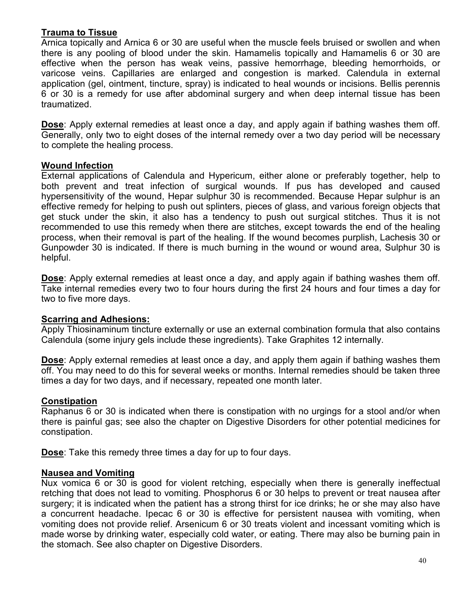## **Trauma to Tissue**

Arnica topically and Arnica 6 or 30 are useful when the muscle feels bruised or swollen and when there is any pooling of blood under the skin. Hamamelis topically and Hamamelis 6 or 30 are effective when the person has weak veins, passive hemorrhage, bleeding hemorrhoids, or varicose veins. Capillaries are enlarged and congestion is marked. Calendula in external application (gel, ointment, tincture, spray) is indicated to heal wounds or incisions. Bellis perennis 6 or 30 is a remedy for use after abdominal surgery and when deep internal tissue has been traumatized.

**Dose**: Apply external remedies at least once a day, and apply again if bathing washes them off. Generally, only two to eight doses of the internal remedy over a two day period will be necessary to complete the healing process.

## **Wound Infection**

External applications of Calendula and Hypericum, either alone or preferably together, help to both prevent and treat infection of surgical wounds. If pus has developed and caused hypersensitivity of the wound, Hepar sulphur 30 is recommended. Because Hepar sulphur is an effective remedy for helping to push out splinters, pieces of glass, and various foreign objects that get stuck under the skin, it also has a tendency to push out surgical stitches. Thus it is not recommended to use this remedy when there are stitches, except towards the end of the healing process, when their removal is part of the healing. If the wound becomes purplish, Lachesis 30 or Gunpowder 30 is indicated. If there is much burning in the wound or wound area, Sulphur 30 is helpful.

**Dose**: Apply external remedies at least once a day, and apply again if bathing washes them off. Take internal remedies every two to four hours during the first 24 hours and four times a day for two to five more days.

## **Scarring and Adhesions:**

Apply Thiosinaminum tincture externally or use an external combination formula that also contains Calendula (some injury gels include these ingredients). Take Graphites 12 internally.

**Dose**: Apply external remedies at least once a day, and apply them again if bathing washes them off. You may need to do this for several weeks or months. Internal remedies should be taken three times a day for two days, and if necessary, repeated one month later.

## **Constipation**

Raphanus 6 or 30 is indicated when there is constipation with no urgings for a stool and/or when there is painful gas; see also the chapter on Digestive Disorders for other potential medicines for constipation.

**Dose**: Take this remedy three times a day for up to four days.

## **Nausea and Vomiting**

Nux vomica 6 or 30 is good for violent retching, especially when there is generally ineffectual retching that does not lead to vomiting. Phosphorus 6 or 30 helps to prevent or treat nausea after surgery; it is indicated when the patient has a strong thirst for ice drinks; he or she may also have a concurrent headache. Ipecac 6 or 30 is effective for persistent nausea with vomiting, when vomiting does not provide relief. Arsenicum 6 or 30 treats violent and incessant vomiting which is made worse by drinking water, especially cold water, or eating. There may also be burning pain in the stomach. See also chapter on Digestive Disorders.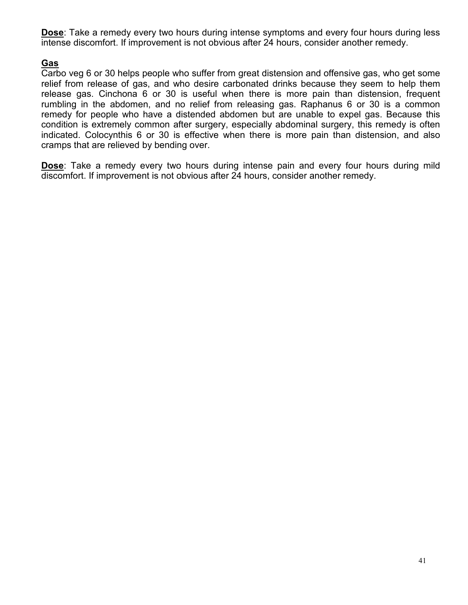**Dose**: Take a remedy every two hours during intense symptoms and every four hours during less intense discomfort. If improvement is not obvious after 24 hours, consider another remedy.

## **Gas**

Carbo veg 6 or 30 helps people who suffer from great distension and offensive gas, who get some relief from release of gas, and who desire carbonated drinks because they seem to help them release gas. Cinchona 6 or 30 is useful when there is more pain than distension, frequent rumbling in the abdomen, and no relief from releasing gas. Raphanus 6 or 30 is a common remedy for people who have a distended abdomen but are unable to expel gas. Because this condition is extremely common after surgery, especially abdominal surgery, this remedy is often indicated. Colocynthis 6 or 30 is effective when there is more pain than distension, and also cramps that are relieved by bending over.

**Dose**: Take a remedy every two hours during intense pain and every four hours during mild discomfort. If improvement is not obvious after 24 hours, consider another remedy.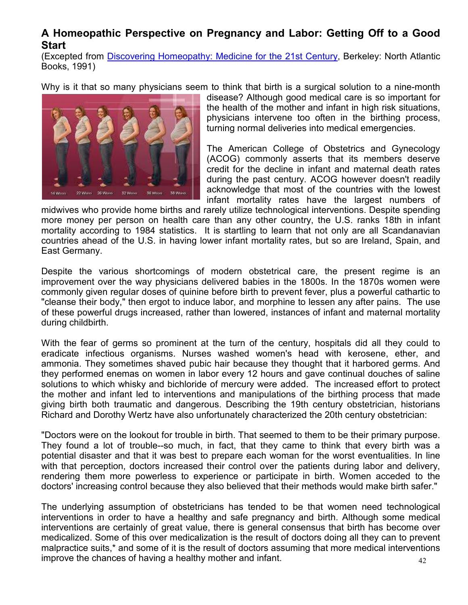# **A Homeopathic Perspective on Pregnancy and Labor: Getting Off to a Good Start**

(Excepted from Discovering Homeopathy: Medicine for the 21st Century, Berkeley: North Atlantic Books, 1991)

Why is it that so many physicians seem to think that birth is a surgical solution to a nine-month



disease? Although good medical care is so important for the health of the mother and infant in high risk situations, physicians intervene too often in the birthing process, turning normal deliveries into medical emergencies.

The American College of Obstetrics and Gynecology (ACOG) commonly asserts that its members deserve credit for the decline in infant and maternal death rates during the past century. ACOG however doesn't readily acknowledge that most of the countries with the lowest infant mortality rates have the largest numbers of

midwives who provide home births and rarely utilize technological interventions. Despite spending more money per person on health care than any other country, the U.S. ranks 18th in infant mortality according to 1984 statistics. It is startling to learn that not only are all Scandanavian countries ahead of the U.S. in having lower infant mortality rates, but so are Ireland, Spain, and East Germany.

Despite the various shortcomings of modern obstetrical care, the present regime is an improvement over the way physicians delivered babies in the 1800s. In the 1870s women were commonly given regular doses of quinine before birth to prevent fever, plus a powerful cathartic to "cleanse their body," then ergot to induce labor, and morphine to lessen any after pains. The use of these powerful drugs increased, rather than lowered, instances of infant and maternal mortality during childbirth.

With the fear of germs so prominent at the turn of the century, hospitals did all they could to eradicate infectious organisms. Nurses washed women's head with kerosene, ether, and ammonia. They sometimes shaved pubic hair because they thought that it harbored germs. And they performed enemas on women in labor every 12 hours and gave continual douches of saline solutions to which whisky and bichloride of mercury were added. The increased effort to protect the mother and infant led to interventions and manipulations of the birthing process that made giving birth both traumatic and dangerous. Describing the 19th century obstetrician, historians Richard and Dorothy Wertz have also unfortunately characterized the 20th century obstetrician:

"Doctors were on the lookout for trouble in birth. That seemed to them to be their primary purpose. They found a lot of trouble--so much, in fact, that they came to think that every birth was a potential disaster and that it was best to prepare each woman for the worst eventualities. In line with that perception, doctors increased their control over the patients during labor and delivery, rendering them more powerless to experience or participate in birth. Women acceded to the doctors' increasing control because they also believed that their methods would make birth safer."

42 The underlying assumption of obstetricians has tended to be that women need technological interventions in order to have a healthy and safe pregnancy and birth. Although some medical interventions are certainly of great value, there is general consensus that birth has become over medicalized. Some of this over medicalization is the result of doctors doing all they can to prevent malpractice suits,\* and some of it is the result of doctors assuming that more medical interventions improve the chances of having a healthy mother and infant.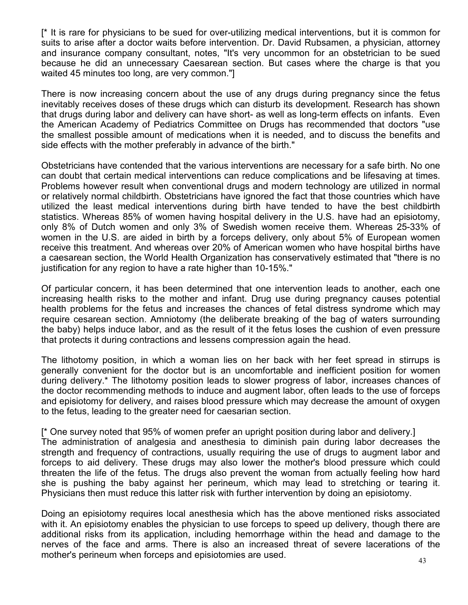[\* It is rare for physicians to be sued for over-utilizing medical interventions, but it is common for suits to arise after a doctor waits before intervention. Dr. David Rubsamen, a physician, attorney and insurance company consultant, notes, "It's very uncommon for an obstetrician to be sued because he did an unnecessary Caesarean section. But cases where the charge is that you waited 45 minutes too long, are very common."]

There is now increasing concern about the use of any drugs during pregnancy since the fetus inevitably receives doses of these drugs which can disturb its development. Research has shown that drugs during labor and delivery can have short- as well as long-term effects on infants. Even the American Academy of Pediatrics Committee on Drugs has recommended that doctors "use the smallest possible amount of medications when it is needed, and to discuss the benefits and side effects with the mother preferably in advance of the birth."

Obstetricians have contended that the various interventions are necessary for a safe birth. No one can doubt that certain medical interventions can reduce complications and be lifesaving at times. Problems however result when conventional drugs and modern technology are utilized in normal or relatively normal childbirth. Obstetricians have ignored the fact that those countries which have utilized the least medical interventions during birth have tended to have the best childbirth statistics. Whereas 85% of women having hospital delivery in the U.S. have had an episiotomy, only 8% of Dutch women and only 3% of Swedish women receive them. Whereas 25-33% of women in the U.S. are aided in birth by a forceps delivery, only about 5% of European women receive this treatment. And whereas over 20% of American women who have hospital births have a caesarean section, the World Health Organization has conservatively estimated that "there is no justification for any region to have a rate higher than 10-15%."

Of particular concern, it has been determined that one intervention leads to another, each one increasing health risks to the mother and infant. Drug use during pregnancy causes potential health problems for the fetus and increases the chances of fetal distress syndrome which may require cesarean section. Amniotomy (the deliberate breaking of the bag of waters surrounding the baby) helps induce labor, and as the result of it the fetus loses the cushion of even pressure that protects it during contractions and lessens compression again the head.

The lithotomy position, in which a woman lies on her back with her feet spread in stirrups is generally convenient for the doctor but is an uncomfortable and inefficient position for women during delivery.\* The lithotomy position leads to slower progress of labor, increases chances of the doctor recommending methods to induce and augment labor, often leads to the use of forceps and episiotomy for delivery, and raises blood pressure which may decrease the amount of oxygen to the fetus, leading to the greater need for caesarian section.

[\* One survey noted that 95% of women prefer an upright position during labor and delivery.] The administration of analgesia and anesthesia to diminish pain during labor decreases the strength and frequency of contractions, usually requiring the use of drugs to augment labor and forceps to aid delivery. These drugs may also lower the mother's blood pressure which could threaten the life of the fetus. The drugs also prevent the woman from actually feeling how hard she is pushing the baby against her perineum, which may lead to stretching or tearing it. Physicians then must reduce this latter risk with further intervention by doing an episiotomy.

Doing an episiotomy requires local anesthesia which has the above mentioned risks associated with it. An episiotomy enables the physician to use forceps to speed up delivery, though there are additional risks from its application, including hemorrhage within the head and damage to the nerves of the face and arms. There is also an increased threat of severe lacerations of the mother's perineum when forceps and episiotomies are used.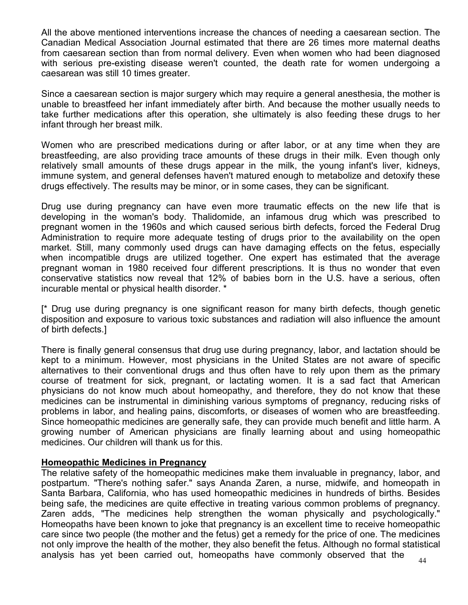All the above mentioned interventions increase the chances of needing a caesarean section. The Canadian Medical Association Journal estimated that there are 26 times more maternal deaths from caesarean section than from normal delivery. Even when women who had been diagnosed with serious pre-existing disease weren't counted, the death rate for women undergoing a caesarean was still 10 times greater.

Since a caesarean section is major surgery which may require a general anesthesia, the mother is unable to breastfeed her infant immediately after birth. And because the mother usually needs to take further medications after this operation, she ultimately is also feeding these drugs to her infant through her breast milk.

Women who are prescribed medications during or after labor, or at any time when they are breastfeeding, are also providing trace amounts of these drugs in their milk. Even though only relatively small amounts of these drugs appear in the milk, the young infant's liver, kidneys, immune system, and general defenses haven't matured enough to metabolize and detoxify these drugs effectively. The results may be minor, or in some cases, they can be significant.

Drug use during pregnancy can have even more traumatic effects on the new life that is developing in the woman's body. Thalidomide, an infamous drug which was prescribed to pregnant women in the 1960s and which caused serious birth defects, forced the Federal Drug Administration to require more adequate testing of drugs prior to the availability on the open market. Still, many commonly used drugs can have damaging effects on the fetus, especially when incompatible drugs are utilized together. One expert has estimated that the average pregnant woman in 1980 received four different prescriptions. It is thus no wonder that even conservative statistics now reveal that 12% of babies born in the U.S. have a serious, often incurable mental or physical health disorder. \*

[\* Drug use during pregnancy is one significant reason for many birth defects, though genetic disposition and exposure to various toxic substances and radiation will also influence the amount of birth defects.]

There is finally general consensus that drug use during pregnancy, labor, and lactation should be kept to a minimum. However, most physicians in the United States are not aware of specific alternatives to their conventional drugs and thus often have to rely upon them as the primary course of treatment for sick, pregnant, or lactating women. It is a sad fact that American physicians do not know much about homeopathy, and therefore, they do not know that these medicines can be instrumental in diminishing various symptoms of pregnancy, reducing risks of problems in labor, and healing pains, discomforts, or diseases of women who are breastfeeding. Since homeopathic medicines are generally safe, they can provide much benefit and little harm. A growing number of American physicians are finally learning about and using homeopathic medicines. Our children will thank us for this.

#### **Homeopathic Medicines in Pregnancy**

The relative safety of the homeopathic medicines make them invaluable in pregnancy, labor, and postpartum. "There's nothing safer." says Ananda Zaren, a nurse, midwife, and homeopath in Santa Barbara, California, who has used homeopathic medicines in hundreds of births. Besides being safe, the medicines are quite effective in treating various common problems of pregnancy. Zaren adds, "The medicines help strengthen the woman physically and psychologically." Homeopaths have been known to joke that pregnancy is an excellent time to receive homeopathic care since two people (the mother and the fetus) get a remedy for the price of one. The medicines not only improve the health of the mother, they also benefit the fetus. Although no formal statistical analysis has yet been carried out, homeopaths have commonly observed that the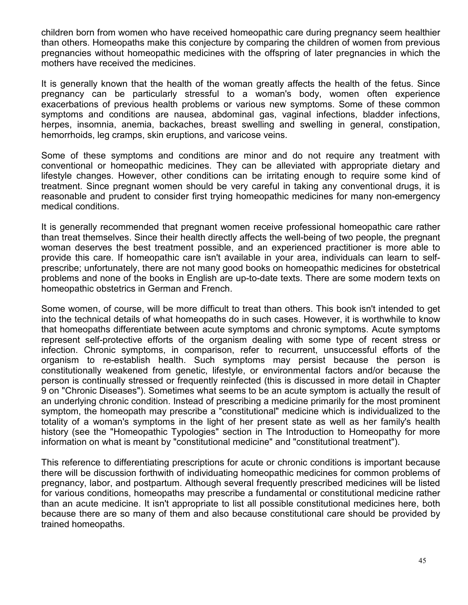children born from women who have received homeopathic care during pregnancy seem healthier than others. Homeopaths make this conjecture by comparing the children of women from previous pregnancies without homeopathic medicines with the offspring of later pregnancies in which the mothers have received the medicines.

It is generally known that the health of the woman greatly affects the health of the fetus. Since pregnancy can be particularly stressful to a woman's body, women often experience exacerbations of previous health problems or various new symptoms. Some of these common symptoms and conditions are nausea, abdominal gas, vaginal infections, bladder infections, herpes, insomnia, anemia, backaches, breast swelling and swelling in general, constipation, hemorrhoids, leg cramps, skin eruptions, and varicose veins.

Some of these symptoms and conditions are minor and do not require any treatment with conventional or homeopathic medicines. They can be alleviated with appropriate dietary and lifestyle changes. However, other conditions can be irritating enough to require some kind of treatment. Since pregnant women should be very careful in taking any conventional drugs, it is reasonable and prudent to consider first trying homeopathic medicines for many non-emergency medical conditions.

It is generally recommended that pregnant women receive professional homeopathic care rather than treat themselves. Since their health directly affects the well-being of two people, the pregnant woman deserves the best treatment possible, and an experienced practitioner is more able to provide this care. If homeopathic care isn't available in your area, individuals can learn to selfprescribe; unfortunately, there are not many good books on homeopathic medicines for obstetrical problems and none of the books in English are up-to-date texts. There are some modern texts on homeopathic obstetrics in German and French.

Some women, of course, will be more difficult to treat than others. This book isn't intended to get into the technical details of what homeopaths do in such cases. However, it is worthwhile to know that homeopaths differentiate between acute symptoms and chronic symptoms. Acute symptoms represent self-protective efforts of the organism dealing with some type of recent stress or infection. Chronic symptoms, in comparison, refer to recurrent, unsuccessful efforts of the organism to re-establish health. Such symptoms may persist because the person is constitutionally weakened from genetic, lifestyle, or environmental factors and/or because the person is continually stressed or frequently reinfected (this is discussed in more detail in Chapter 9 on "Chronic Diseases"). Sometimes what seems to be an acute symptom is actually the result of an underlying chronic condition. Instead of prescribing a medicine primarily for the most prominent symptom, the homeopath may prescribe a "constitutional" medicine which is individualized to the totality of a woman's symptoms in the light of her present state as well as her family's health history (see the "Homeopathic Typologies" section in The Introduction to Homeopathy for more information on what is meant by "constitutional medicine" and "constitutional treatment").

This reference to differentiating prescriptions for acute or chronic conditions is important because there will be discussion forthwith of individuating homeopathic medicines for common problems of pregnancy, labor, and postpartum. Although several frequently prescribed medicines will be listed for various conditions, homeopaths may prescribe a fundamental or constitutional medicine rather than an acute medicine. It isn't appropriate to list all possible constitutional medicines here, both because there are so many of them and also because constitutional care should be provided by trained homeopaths.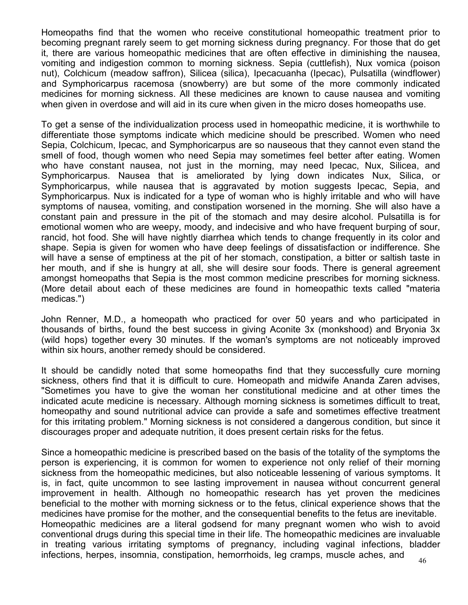Homeopaths find that the women who receive constitutional homeopathic treatment prior to becoming pregnant rarely seem to get morning sickness during pregnancy. For those that do get it, there are various homeopathic medicines that are often effective in diminishing the nausea, vomiting and indigestion common to morning sickness. Sepia (cuttlefish), Nux vomica (poison nut), Colchicum (meadow saffron), Silicea (silica), Ipecacuanha (Ipecac), Pulsatilla (windflower) and Symphoricarpus racemosa (snowberry) are but some of the more commonly indicated medicines for morning sickness. All these medicines are known to cause nausea and vomiting when given in overdose and will aid in its cure when given in the micro doses homeopaths use.

To get a sense of the individualization process used in homeopathic medicine, it is worthwhile to differentiate those symptoms indicate which medicine should be prescribed. Women who need Sepia, Colchicum, Ipecac, and Symphoricarpus are so nauseous that they cannot even stand the smell of food, though women who need Sepia may sometimes feel better after eating. Women who have constant nausea, not just in the morning, may need Ipecac, Nux, Silicea, and Symphoricarpus. Nausea that is ameliorated by lying down indicates Nux, Silica, or Symphoricarpus, while nausea that is aggravated by motion suggests Ipecac, Sepia, and Symphoricarpus. Nux is indicated for a type of woman who is highly irritable and who will have symptoms of nausea, vomiting, and constipation worsened in the morning. She will also have a constant pain and pressure in the pit of the stomach and may desire alcohol. Pulsatilla is for emotional women who are weepy, moody, and indecisive and who have frequent burping of sour, rancid, hot food. She will have nightly diarrhea which tends to change frequently in its color and shape. Sepia is given for women who have deep feelings of dissatisfaction or indifference. She will have a sense of emptiness at the pit of her stomach, constipation, a bitter or saltish taste in her mouth, and if she is hungry at all, she will desire sour foods. There is general agreement amongst homeopaths that Sepia is the most common medicine prescribes for morning sickness. (More detail about each of these medicines are found in homeopathic texts called "materia medicas.")

John Renner, M.D., a homeopath who practiced for over 50 years and who participated in thousands of births, found the best success in giving Aconite 3x (monkshood) and Bryonia 3x (wild hops) together every 30 minutes. If the woman's symptoms are not noticeably improved within six hours, another remedy should be considered.

It should be candidly noted that some homeopaths find that they successfully cure morning sickness, others find that it is difficult to cure. Homeopath and midwife Ananda Zaren advises, "Sometimes you have to give the woman her constitutional medicine and at other times the indicated acute medicine is necessary. Although morning sickness is sometimes difficult to treat, homeopathy and sound nutritional advice can provide a safe and sometimes effective treatment for this irritating problem." Morning sickness is not considered a dangerous condition, but since it discourages proper and adequate nutrition, it does present certain risks for the fetus.

Since a homeopathic medicine is prescribed based on the basis of the totality of the symptoms the person is experiencing, it is common for women to experience not only relief of their morning sickness from the homeopathic medicines, but also noticeable lessening of various symptoms. It is, in fact, quite uncommon to see lasting improvement in nausea without concurrent general improvement in health. Although no homeopathic research has yet proven the medicines beneficial to the mother with morning sickness or to the fetus, clinical experience shows that the medicines have promise for the mother, and the consequential benefits to the fetus are inevitable. Homeopathic medicines are a literal godsend for many pregnant women who wish to avoid conventional drugs during this special time in their life. The homeopathic medicines are invaluable in treating various irritating symptoms of pregnancy, including vaginal infections, bladder infections, herpes, insomnia, constipation, hemorrhoids, leg cramps, muscle aches, and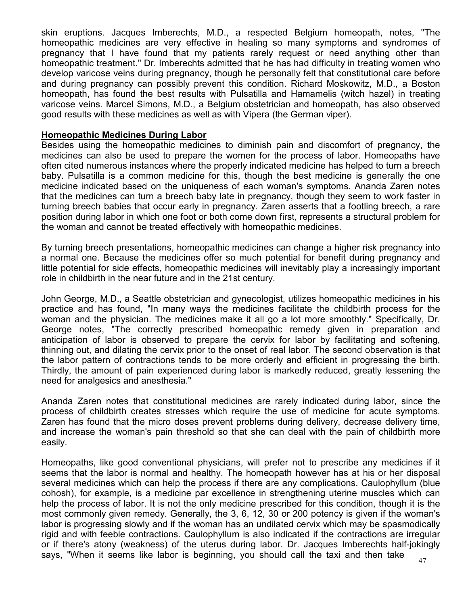skin eruptions. Jacques Imberechts, M.D., a respected Belgium homeopath, notes, "The homeopathic medicines are very effective in healing so many symptoms and syndromes of pregnancy that I have found that my patients rarely request or need anything other than homeopathic treatment." Dr. Imberechts admitted that he has had difficulty in treating women who develop varicose veins during pregnancy, though he personally felt that constitutional care before and during pregnancy can possibly prevent this condition. Richard Moskowitz, M.D., a Boston homeopath, has found the best results with Pulsatilla and Hamamelis (witch hazel) in treating varicose veins. Marcel Simons, M.D., a Belgium obstetrician and homeopath, has also observed good results with these medicines as well as with Vipera (the German viper).

#### **Homeopathic Medicines During Labor**

Besides using the homeopathic medicines to diminish pain and discomfort of pregnancy, the medicines can also be used to prepare the women for the process of labor. Homeopaths have often cited numerous instances where the properly indicated medicine has helped to turn a breech baby. Pulsatilla is a common medicine for this, though the best medicine is generally the one medicine indicated based on the uniqueness of each woman's symptoms. Ananda Zaren notes that the medicines can turn a breech baby late in pregnancy, though they seem to work faster in turning breech babies that occur early in pregnancy. Zaren asserts that a footling breech, a rare position during labor in which one foot or both come down first, represents a structural problem for the woman and cannot be treated effectively with homeopathic medicines.

By turning breech presentations, homeopathic medicines can change a higher risk pregnancy into a normal one. Because the medicines offer so much potential for benefit during pregnancy and little potential for side effects, homeopathic medicines will inevitably play a increasingly important role in childbirth in the near future and in the 21st century.

John George, M.D., a Seattle obstetrician and gynecologist, utilizes homeopathic medicines in his practice and has found, "In many ways the medicines facilitate the childbirth process for the woman and the physician. The medicines make it all go a lot more smoothly." Specifically, Dr. George notes, "The correctly prescribed homeopathic remedy given in preparation and anticipation of labor is observed to prepare the cervix for labor by facilitating and softening, thinning out, and dilating the cervix prior to the onset of real labor. The second observation is that the labor pattern of contractions tends to be more orderly and efficient in progressing the birth. Thirdly, the amount of pain experienced during labor is markedly reduced, greatly lessening the need for analgesics and anesthesia."

Ananda Zaren notes that constitutional medicines are rarely indicated during labor, since the process of childbirth creates stresses which require the use of medicine for acute symptoms. Zaren has found that the micro doses prevent problems during delivery, decrease delivery time, and increase the woman's pain threshold so that she can deal with the pain of childbirth more easily.

Homeopaths, like good conventional physicians, will prefer not to prescribe any medicines if it seems that the labor is normal and healthy. The homeopath however has at his or her disposal several medicines which can help the process if there are any complications. Caulophyllum (blue cohosh), for example, is a medicine par excellence in strengthening uterine muscles which can help the process of labor. It is not the only medicine prescribed for this condition, though it is the most commonly given remedy. Generally, the 3, 6, 12, 30 or 200 potency is given if the woman's labor is progressing slowly and if the woman has an undilated cervix which may be spasmodically rigid and with feeble contractions. Caulophyllum is also indicated if the contractions are irregular or if there's atony (weakness) of the uterus during labor. Dr. Jacques Imberechts half-jokingly says, "When it seems like labor is beginning, you should call the taxi and then take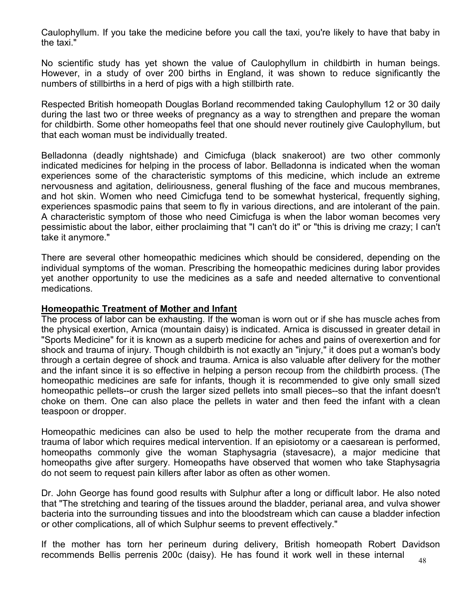Caulophyllum. If you take the medicine before you call the taxi, you're likely to have that baby in the taxi."

No scientific study has yet shown the value of Caulophyllum in childbirth in human beings. However, in a study of over 200 births in England, it was shown to reduce significantly the numbers of stillbirths in a herd of pigs with a high stillbirth rate.

Respected British homeopath Douglas Borland recommended taking Caulophyllum 12 or 30 daily during the last two or three weeks of pregnancy as a way to strengthen and prepare the woman for childbirth. Some other homeopaths feel that one should never routinely give Caulophyllum, but that each woman must be individually treated.

Belladonna (deadly nightshade) and Cimicfuga (black snakeroot) are two other commonly indicated medicines for helping in the process of labor. Belladonna is indicated when the woman experiences some of the characteristic symptoms of this medicine, which include an extreme nervousness and agitation, deliriousness, general flushing of the face and mucous membranes, and hot skin. Women who need Cimicfuga tend to be somewhat hysterical, frequently sighing, experiences spasmodic pains that seem to fly in various directions, and are intolerant of the pain. A characteristic symptom of those who need Cimicfuga is when the labor woman becomes very pessimistic about the labor, either proclaiming that "I can't do it" or "this is driving me crazy; I can't take it anymore."

There are several other homeopathic medicines which should be considered, depending on the individual symptoms of the woman. Prescribing the homeopathic medicines during labor provides yet another opportunity to use the medicines as a safe and needed alternative to conventional medications.

#### **Homeopathic Treatment of Mother and Infant**

The process of labor can be exhausting. If the woman is worn out or if she has muscle aches from the physical exertion, Arnica (mountain daisy) is indicated. Arnica is discussed in greater detail in "Sports Medicine" for it is known as a superb medicine for aches and pains of overexertion and for shock and trauma of injury. Though childbirth is not exactly an "injury," it does put a woman's body through a certain degree of shock and trauma. Arnica is also valuable after delivery for the mother and the infant since it is so effective in helping a person recoup from the childbirth process. (The homeopathic medicines are safe for infants, though it is recommended to give only small sized homeopathic pellets--or crush the larger sized pellets into small pieces--so that the infant doesn't choke on them. One can also place the pellets in water and then feed the infant with a clean teaspoon or dropper.

Homeopathic medicines can also be used to help the mother recuperate from the drama and trauma of labor which requires medical intervention. If an episiotomy or a caesarean is performed, homeopaths commonly give the woman Staphysagria (stavesacre), a major medicine that homeopaths give after surgery. Homeopaths have observed that women who take Staphysagria do not seem to request pain killers after labor as often as other women.

Dr. John George has found good results with Sulphur after a long or difficult labor. He also noted that "The stretching and tearing of the tissues around the bladder, perianal area, and vulva shower bacteria into the surrounding tissues and into the bloodstream which can cause a bladder infection or other complications, all of which Sulphur seems to prevent effectively."

If the mother has torn her perineum during delivery, British homeopath Robert Davidson recommends Bellis perrenis 200c (daisy). He has found it work well in these internal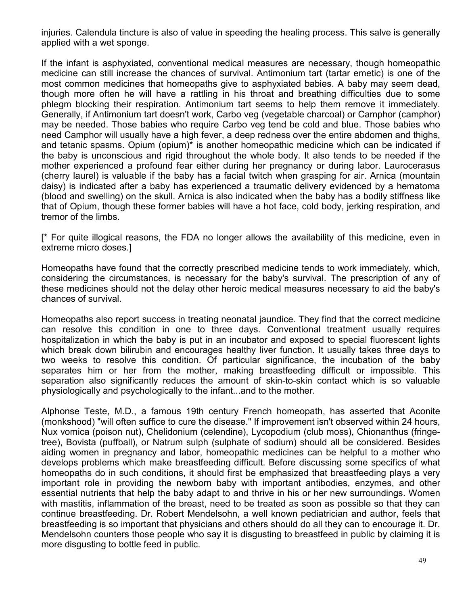injuries. Calendula tincture is also of value in speeding the healing process. This salve is generally applied with a wet sponge.

If the infant is asphyxiated, conventional medical measures are necessary, though homeopathic medicine can still increase the chances of survival. Antimonium tart (tartar emetic) is one of the most common medicines that homeopaths give to asphyxiated babies. A baby may seem dead, though more often he will have a rattling in his throat and breathing difficulties due to some phlegm blocking their respiration. Antimonium tart seems to help them remove it immediately. Generally, if Antimonium tart doesn't work, Carbo veg (vegetable charcoal) or Camphor (camphor) may be needed. Those babies who require Carbo veg tend be cold and blue. Those babies who need Camphor will usually have a high fever, a deep redness over the entire abdomen and thighs, and tetanic spasms. Opium (opium)\* is another homeopathic medicine which can be indicated if the baby is unconscious and rigid throughout the whole body. It also tends to be needed if the mother experienced a profound fear either during her pregnancy or during labor. Laurocerasus (cherry laurel) is valuable if the baby has a facial twitch when grasping for air. Arnica (mountain daisy) is indicated after a baby has experienced a traumatic delivery evidenced by a hematoma (blood and swelling) on the skull. Arnica is also indicated when the baby has a bodily stiffness like that of Opium, though these former babies will have a hot face, cold body, jerking respiration, and tremor of the limbs.

[\* For quite illogical reasons, the FDA no longer allows the availability of this medicine, even in extreme micro doses.]

Homeopaths have found that the correctly prescribed medicine tends to work immediately, which, considering the circumstances, is necessary for the baby's survival. The prescription of any of these medicines should not the delay other heroic medical measures necessary to aid the baby's chances of survival.

Homeopaths also report success in treating neonatal jaundice. They find that the correct medicine can resolve this condition in one to three days. Conventional treatment usually requires hospitalization in which the baby is put in an incubator and exposed to special fluorescent lights which break down bilirubin and encourages healthy liver function. It usually takes three days to two weeks to resolve this condition. Of particular significance, the incubation of the baby separates him or her from the mother, making breastfeeding difficult or impossible. This separation also significantly reduces the amount of skin-to-skin contact which is so valuable physiologically and psychologically to the infant...and to the mother.

Alphonse Teste, M.D., a famous 19th century French homeopath, has asserted that Aconite (monkshood) "will often suffice to cure the disease." If improvement isn't observed within 24 hours, Nux vomica (poison nut), Chelidonium (celendine), Lycopodium (club moss), Chionanthus (fringetree), Bovista (puffball), or Natrum sulph (sulphate of sodium) should all be considered. Besides aiding women in pregnancy and labor, homeopathic medicines can be helpful to a mother who develops problems which make breastfeeding difficult. Before discussing some specifics of what homeopaths do in such conditions, it should first be emphasized that breastfeeding plays a very important role in providing the newborn baby with important antibodies, enzymes, and other essential nutrients that help the baby adapt to and thrive in his or her new surroundings. Women with mastitis, inflammation of the breast, need to be treated as soon as possible so that they can continue breastfeeding. Dr. Robert Mendelsohn, a well known pediatrician and author, feels that breastfeeding is so important that physicians and others should do all they can to encourage it. Dr. Mendelsohn counters those people who say it is disgusting to breastfeed in public by claiming it is more disgusting to bottle feed in public.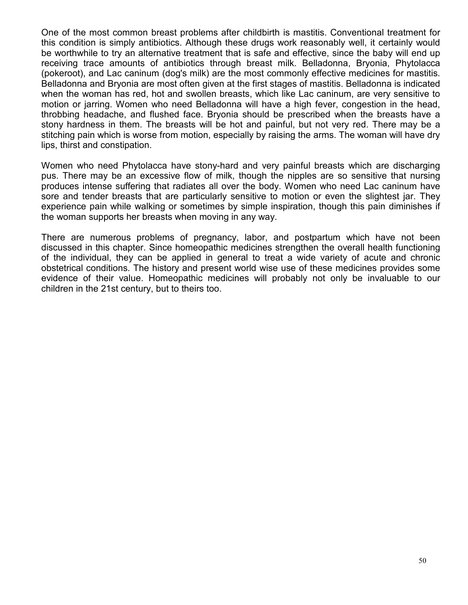One of the most common breast problems after childbirth is mastitis. Conventional treatment for this condition is simply antibiotics. Although these drugs work reasonably well, it certainly would be worthwhile to try an alternative treatment that is safe and effective, since the baby will end up receiving trace amounts of antibiotics through breast milk. Belladonna, Bryonia, Phytolacca (pokeroot), and Lac caninum (dog's milk) are the most commonly effective medicines for mastitis. Belladonna and Bryonia are most often given at the first stages of mastitis. Belladonna is indicated when the woman has red, hot and swollen breasts, which like Lac caninum, are very sensitive to motion or jarring. Women who need Belladonna will have a high fever, congestion in the head, throbbing headache, and flushed face. Bryonia should be prescribed when the breasts have a stony hardness in them. The breasts will be hot and painful, but not very red. There may be a stitching pain which is worse from motion, especially by raising the arms. The woman will have dry lips, thirst and constipation.

Women who need Phytolacca have stony-hard and very painful breasts which are discharging pus. There may be an excessive flow of milk, though the nipples are so sensitive that nursing produces intense suffering that radiates all over the body. Women who need Lac caninum have sore and tender breasts that are particularly sensitive to motion or even the slightest jar. They experience pain while walking or sometimes by simple inspiration, though this pain diminishes if the woman supports her breasts when moving in any way.

There are numerous problems of pregnancy, labor, and postpartum which have not been discussed in this chapter. Since homeopathic medicines strengthen the overall health functioning of the individual, they can be applied in general to treat a wide variety of acute and chronic obstetrical conditions. The history and present world wise use of these medicines provides some evidence of their value. Homeopathic medicines will probably not only be invaluable to our children in the 21st century, but to theirs too.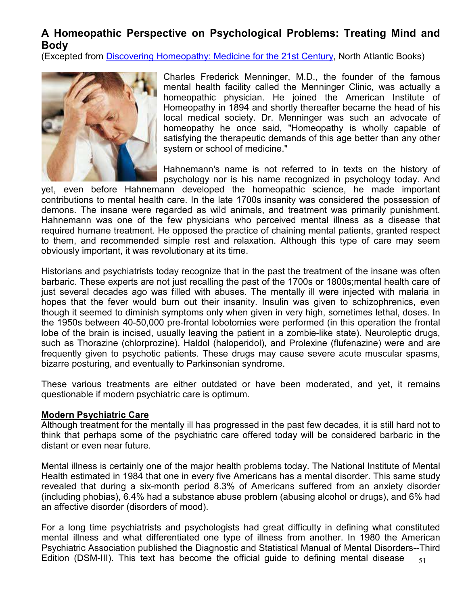# **A Homeopathic Perspective on Psychological Problems: Treating Mind and Body**

(Excepted from Discovering Homeopathy: Medicine for the 21st Century, North Atlantic Books)



Charles Frederick Menninger, M.D., the founder of the famous mental health facility called the Menninger Clinic, was actually a homeopathic physician. He joined the American Institute of Homeopathy in 1894 and shortly thereafter became the head of his local medical society. Dr. Menninger was such an advocate of homeopathy he once said, "Homeopathy is wholly capable of satisfying the therapeutic demands of this age better than any other system or school of medicine."

Hahnemann's name is not referred to in texts on the history of psychology nor is his name recognized in psychology today. And

yet, even before Hahnemann developed the homeopathic science, he made important contributions to mental health care. In the late 1700s insanity was considered the possession of demons. The insane were regarded as wild animals, and treatment was primarily punishment. Hahnemann was one of the few physicians who perceived mental illness as a disease that required humane treatment. He opposed the practice of chaining mental patients, granted respect to them, and recommended simple rest and relaxation. Although this type of care may seem obviously important, it was revolutionary at its time.

Historians and psychiatrists today recognize that in the past the treatment of the insane was often barbaric. These experts are not just recalling the past of the 1700s or 1800s;mental health care of just several decades ago was filled with abuses. The mentally ill were injected with malaria in hopes that the fever would burn out their insanity. Insulin was given to schizophrenics, even though it seemed to diminish symptoms only when given in very high, sometimes lethal, doses. In the 1950s between 40-50,000 pre-frontal lobotomies were performed (in this operation the frontal lobe of the brain is incised, usually leaving the patient in a zombie-like state). Neuroleptic drugs, such as Thorazine (chlorprozine), Haldol (haloperidol), and Prolexine (flufenazine) were and are frequently given to psychotic patients. These drugs may cause severe acute muscular spasms, bizarre posturing, and eventually to Parkinsonian syndrome.

These various treatments are either outdated or have been moderated, and yet, it remains questionable if modern psychiatric care is optimum.

#### **Modern Psychiatric Care**

Although treatment for the mentally ill has progressed in the past few decades, it is still hard not to think that perhaps some of the psychiatric care offered today will be considered barbaric in the distant or even near future.

Mental illness is certainly one of the major health problems today. The National Institute of Mental Health estimated in 1984 that one in every five Americans has a mental disorder. This same study revealed that during a six-month period 8.3% of Americans suffered from an anxiety disorder (including phobias), 6.4% had a substance abuse problem (abusing alcohol or drugs), and 6% had an affective disorder (disorders of mood).

51 For a long time psychiatrists and psychologists had great difficulty in defining what constituted mental illness and what differentiated one type of illness from another. In 1980 the American Psychiatric Association published the Diagnostic and Statistical Manual of Mental Disorders--Third Edition (DSM-III). This text has become the official guide to defining mental disease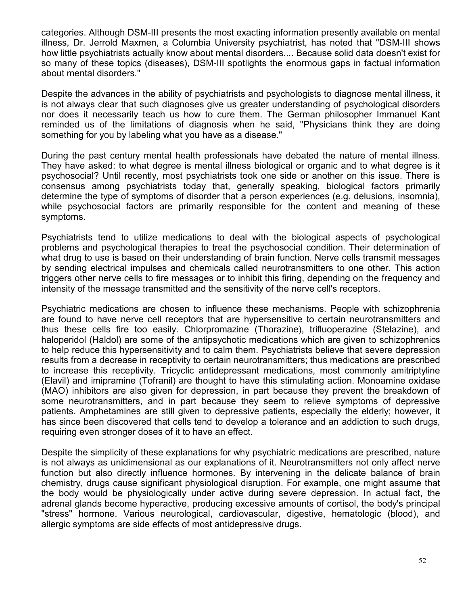categories. Although DSM-III presents the most exacting information presently available on mental illness, Dr. Jerrold Maxmen, a Columbia University psychiatrist, has noted that "DSM-III shows how little psychiatrists actually know about mental disorders.... Because solid data doesn't exist for so many of these topics (diseases), DSM-III spotlights the enormous gaps in factual information about mental disorders."

Despite the advances in the ability of psychiatrists and psychologists to diagnose mental illness, it is not always clear that such diagnoses give us greater understanding of psychological disorders nor does it necessarily teach us how to cure them. The German philosopher Immanuel Kant reminded us of the limitations of diagnosis when he said, "Physicians think they are doing something for you by labeling what you have as a disease."

During the past century mental health professionals have debated the nature of mental illness. They have asked: to what degree is mental illness biological or organic and to what degree is it psychosocial? Until recently, most psychiatrists took one side or another on this issue. There is consensus among psychiatrists today that, generally speaking, biological factors primarily determine the type of symptoms of disorder that a person experiences (e.g. delusions, insomnia), while psychosocial factors are primarily responsible for the content and meaning of these symptoms.

Psychiatrists tend to utilize medications to deal with the biological aspects of psychological problems and psychological therapies to treat the psychosocial condition. Their determination of what drug to use is based on their understanding of brain function. Nerve cells transmit messages by sending electrical impulses and chemicals called neurotransmitters to one other. This action triggers other nerve cells to fire messages or to inhibit this firing, depending on the frequency and intensity of the message transmitted and the sensitivity of the nerve cell's receptors.

Psychiatric medications are chosen to influence these mechanisms. People with schizophrenia are found to have nerve cell receptors that are hypersensitive to certain neurotransmitters and thus these cells fire too easily. Chlorpromazine (Thorazine), trifluoperazine (Stelazine), and haloperidol (Haldol) are some of the antipsychotic medications which are given to schizophrenics to help reduce this hypersensitivity and to calm them. Psychiatrists believe that severe depression results from a decrease in receptivity to certain neurotransmitters; thus medications are prescribed to increase this receptivity. Tricyclic antidepressant medications, most commonly amitriptyline (Elavil) and imipramine (Tofranil) are thought to have this stimulating action. Monoamine oxidase (MAO) inhibitors are also given for depression, in part because they prevent the breakdown of some neurotransmitters, and in part because they seem to relieve symptoms of depressive patients. Amphetamines are still given to depressive patients, especially the elderly; however, it has since been discovered that cells tend to develop a tolerance and an addiction to such drugs, requiring even stronger doses of it to have an effect.

Despite the simplicity of these explanations for why psychiatric medications are prescribed, nature is not always as unidimensional as our explanations of it. Neurotransmitters not only affect nerve function but also directly influence hormones. By intervening in the delicate balance of brain chemistry, drugs cause significant physiological disruption. For example, one might assume that the body would be physiologically under active during severe depression. In actual fact, the adrenal glands become hyperactive, producing excessive amounts of cortisol, the body's principal "stress" hormone. Various neurological, cardiovascular, digestive, hematologic (blood), and allergic symptoms are side effects of most antidepressive drugs.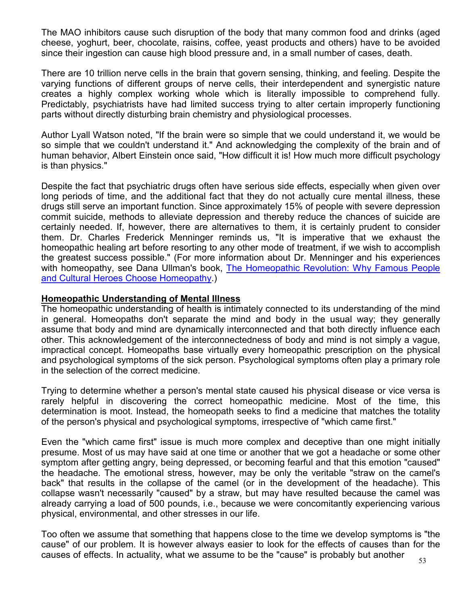The MAO inhibitors cause such disruption of the body that many common food and drinks (aged cheese, yoghurt, beer, chocolate, raisins, coffee, yeast products and others) have to be avoided since their ingestion can cause high blood pressure and, in a small number of cases, death.

There are 10 trillion nerve cells in the brain that govern sensing, thinking, and feeling. Despite the varying functions of different groups of nerve cells, their interdependent and synergistic nature creates a highly complex working whole which is literally impossible to comprehend fully. Predictably, psychiatrists have had limited success trying to alter certain improperly functioning parts without directly disturbing brain chemistry and physiological processes.

Author Lyall Watson noted, "If the brain were so simple that we could understand it, we would be so simple that we couldn't understand it." And acknowledging the complexity of the brain and of human behavior, Albert Einstein once said, "How difficult it is! How much more difficult psychology is than physics."

Despite the fact that psychiatric drugs often have serious side effects, especially when given over long periods of time, and the additional fact that they do not actually cure mental illness, these drugs still serve an important function. Since approximately 15% of people with severe depression commit suicide, methods to alleviate depression and thereby reduce the chances of suicide are certainly needed. If, however, there are alternatives to them, it is certainly prudent to consider them. Dr. Charles Frederick Menninger reminds us, "It is imperative that we exhaust the homeopathic healing art before resorting to any other mode of treatment, if we wish to accomplish the greatest success possible." (For more information about Dr. Menninger and his experiences with homeopathy, see Dana Ullman's book, The Homeopathic Revolution: Why Famous People and Cultural Heroes Choose Homeopathy.)

## **Homeopathic Understanding of Mental Illness**

The homeopathic understanding of health is intimately connected to its understanding of the mind in general. Homeopaths don't separate the mind and body in the usual way; they generally assume that body and mind are dynamically interconnected and that both directly influence each other. This acknowledgement of the interconnectedness of body and mind is not simply a vague, impractical concept. Homeopaths base virtually every homeopathic prescription on the physical and psychological symptoms of the sick person. Psychological symptoms often play a primary role in the selection of the correct medicine.

Trying to determine whether a person's mental state caused his physical disease or vice versa is rarely helpful in discovering the correct homeopathic medicine. Most of the time, this determination is moot. Instead, the homeopath seeks to find a medicine that matches the totality of the person's physical and psychological symptoms, irrespective of "which came first."

Even the "which came first" issue is much more complex and deceptive than one might initially presume. Most of us may have said at one time or another that we got a headache or some other symptom after getting angry, being depressed, or becoming fearful and that this emotion "caused" the headache. The emotional stress, however, may be only the veritable "straw on the camel's back" that results in the collapse of the camel (or in the development of the headache). This collapse wasn't necessarily "caused" by a straw, but may have resulted because the camel was already carrying a load of 500 pounds, i.e., because we were concomitantly experiencing various physical, environmental, and other stresses in our life.

Too often we assume that something that happens close to the time we develop symptoms is "the cause" of our problem. It is however always easier to look for the effects of causes than for the causes of effects. In actuality, what we assume to be the "cause" is probably but another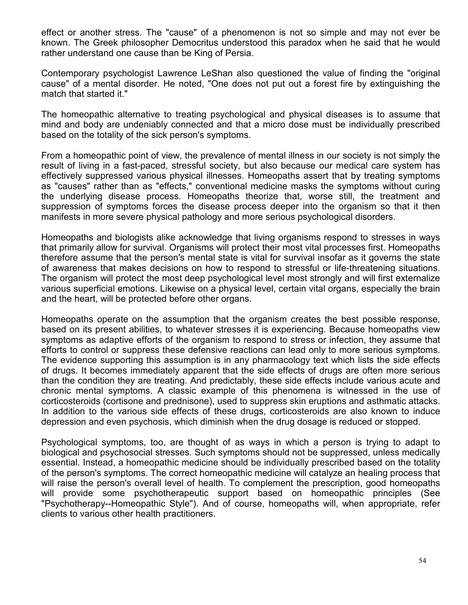effect or another stress. The "cause" of a phenomenon is not so simple and may not ever be known. The Greek philosopher Democritus understood this paradox when he said that he would rather understand one cause than be King of Persia.

Contemporary psychologist Lawrence LeShan also questioned the value of finding the "original cause" of a mental disorder. He noted, "One does not put out a forest fire by extinguishing the match that started it."

The homeopathic alternative to treating psychological and physical diseases is to assume that mind and body are undeniably connected and that a micro dose must be individually prescribed based on the totality of the sick person's symptoms.

From a homeopathic point of view, the prevalence of mental illness in our society is not simply the result of living in a fast-paced, stressful society, but also because our medical care system has effectively suppressed various physical illnesses. Homeopaths assert that by treating symptoms as "causes" rather than as "effects," conventional medicine masks the symptoms without curing the underlying disease process. Homeopaths theorize that, worse still, the treatment and suppression of symptoms forces the disease process deeper into the organism so that it then manifests in more severe physical pathology and more serious psychological disorders.

Homeopaths and biologists alike acknowledge that living organisms respond to stresses in ways that primarily allow for survival. Organisms will protect their most vital processes first. Homeopaths therefore assume that the person's mental state is vital for survival insofar as it governs the state of awareness that makes decisions on how to respond to stressful or life-threatening situations. The organism will protect the most deep psychological level most strongly and will first externalize various superficial emotions. Likewise on a physical level, certain vital organs, especially the brain and the heart, will be protected before other organs.

Homeopaths operate on the assumption that the organism creates the best possible response, based on its present abilities, to whatever stresses it is experiencing. Because homeopaths view symptoms as adaptive efforts of the organism to respond to stress or infection, they assume that efforts to control or suppress these defensive reactions can lead only to more serious symptoms. The evidence supporting this assumption is in any pharmacology text which lists the side effects of drugs. It becomes immediately apparent that the side effects of drugs are often more serious than the condition they are treating. And predictably, these side effects include various acute and chronic mental symptoms. A classic example of this phenomena is witnessed in the use of corticosteroids (cortisone and prednisone), used to suppress skin eruptions and asthmatic attacks. In addition to the various side effects of these drugs, corticosteroids are also known to induce depression and even psychosis, which diminish when the drug dosage is reduced or stopped.

Psychological symptoms, too, are thought of as ways in which a person is trying to adapt to biological and psychosocial stresses. Such symptoms should not be suppressed, unless medically essential. Instead, a homeopathic medicine should be individually prescribed based on the totality of the person's symptoms. The correct homeopathic medicine will catalyze an healing process that will raise the person's overall level of health. To complement the prescription, good homeopaths will provide some psychotherapeutic support based on homeopathic principles (See "Psychotherapy--Homeopathic Style"). And of course, homeopaths will, when appropriate, refer clients to various other health practitioners.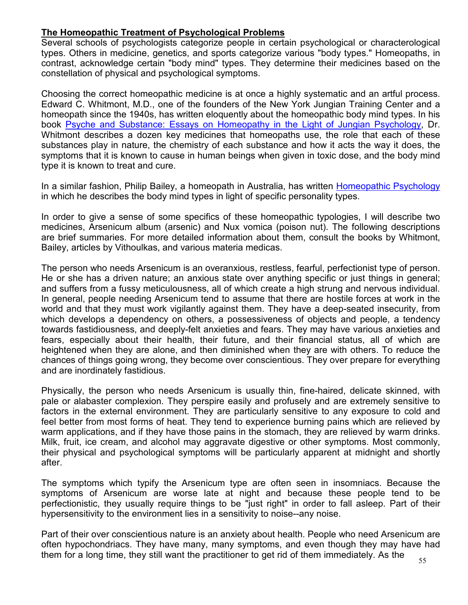## **The Homeopathic Treatment of Psychological Problems**

Several schools of psychologists categorize people in certain psychological or characterological types. Others in medicine, genetics, and sports categorize various "body types." Homeopaths, in contrast, acknowledge certain "body mind" types. They determine their medicines based on the constellation of physical and psychological symptoms.

Choosing the correct homeopathic medicine is at once a highly systematic and an artful process. Edward C. Whitmont, M.D., one of the founders of the New York Jungian Training Center and a homeopath since the 1940s, has written eloquently about the homeopathic body mind types. In his book Psyche and Substance: Essays on Homeopathy in the Light of Jungian Psychology, Dr. Whitmont describes a dozen key medicines that homeopaths use, the role that each of these substances play in nature, the chemistry of each substance and how it acts the way it does, the symptoms that it is known to cause in human beings when given in toxic dose, and the body mind type it is known to treat and cure.

In a similar fashion, Philip Bailey, a homeopath in Australia, has written Homeopathic Psychology in which he describes the body mind types in light of specific personality types.

In order to give a sense of some specifics of these homeopathic typologies, I will describe two medicines, Arsenicum album (arsenic) and Nux vomica (poison nut). The following descriptions are brief summaries. For more detailed information about them, consult the books by Whitmont, Bailey, articles by Vithoulkas, and various materia medicas.

The person who needs Arsenicum is an overanxious, restless, fearful, perfectionist type of person. He or she has a driven nature; an anxious state over anything specific or just things in general; and suffers from a fussy meticulousness, all of which create a high strung and nervous individual. In general, people needing Arsenicum tend to assume that there are hostile forces at work in the world and that they must work vigilantly against them. They have a deep-seated insecurity, from which develops a dependency on others, a possessiveness of objects and people, a tendency towards fastidiousness, and deeply-felt anxieties and fears. They may have various anxieties and fears, especially about their health, their future, and their financial status, all of which are heightened when they are alone, and then diminished when they are with others. To reduce the chances of things going wrong, they become over conscientious. They over prepare for everything and are inordinately fastidious.

Physically, the person who needs Arsenicum is usually thin, fine-haired, delicate skinned, with pale or alabaster complexion. They perspire easily and profusely and are extremely sensitive to factors in the external environment. They are particularly sensitive to any exposure to cold and feel better from most forms of heat. They tend to experience burning pains which are relieved by warm applications, and if they have those pains in the stomach, they are relieved by warm drinks. Milk, fruit, ice cream, and alcohol may aggravate digestive or other symptoms. Most commonly, their physical and psychological symptoms will be particularly apparent at midnight and shortly after.

The symptoms which typify the Arsenicum type are often seen in insomniacs. Because the symptoms of Arsenicum are worse late at night and because these people tend to be perfectionistic, they usually require things to be "just right" in order to fall asleep. Part of their hypersensitivity to the environment lies in a sensitivity to noise--any noise.

Part of their over conscientious nature is an anxiety about health. People who need Arsenicum are often hypochondriacs. They have many, many symptoms, and even though they may have had them for a long time, they still want the practitioner to get rid of them immediately. As the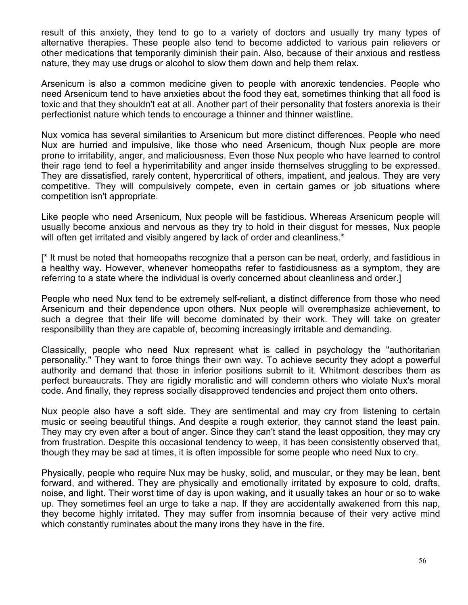result of this anxiety, they tend to go to a variety of doctors and usually try many types of alternative therapies. These people also tend to become addicted to various pain relievers or other medications that temporarily diminish their pain. Also, because of their anxious and restless nature, they may use drugs or alcohol to slow them down and help them relax.

Arsenicum is also a common medicine given to people with anorexic tendencies. People who need Arsenicum tend to have anxieties about the food they eat, sometimes thinking that all food is toxic and that they shouldn't eat at all. Another part of their personality that fosters anorexia is their perfectionist nature which tends to encourage a thinner and thinner waistline.

Nux vomica has several similarities to Arsenicum but more distinct differences. People who need Nux are hurried and impulsive, like those who need Arsenicum, though Nux people are more prone to irritability, anger, and maliciousness. Even those Nux people who have learned to control their rage tend to feel a hyperirritability and anger inside themselves struggling to be expressed. They are dissatisfied, rarely content, hypercritical of others, impatient, and jealous. They are very competitive. They will compulsively compete, even in certain games or job situations where competition isn't appropriate.

Like people who need Arsenicum, Nux people will be fastidious. Whereas Arsenicum people will usually become anxious and nervous as they try to hold in their disgust for messes, Nux people will often get irritated and visibly angered by lack of order and cleanliness.\*

[\* It must be noted that homeopaths recognize that a person can be neat, orderly, and fastidious in a healthy way. However, whenever homeopaths refer to fastidiousness as a symptom, they are referring to a state where the individual is overly concerned about cleanliness and order.]

People who need Nux tend to be extremely self-reliant, a distinct difference from those who need Arsenicum and their dependence upon others. Nux people will overemphasize achievement, to such a degree that their life will become dominated by their work. They will take on greater responsibility than they are capable of, becoming increasingly irritable and demanding.

Classically, people who need Nux represent what is called in psychology the "authoritarian personality." They want to force things their own way. To achieve security they adopt a powerful authority and demand that those in inferior positions submit to it. Whitmont describes them as perfect bureaucrats. They are rigidly moralistic and will condemn others who violate Nux's moral code. And finally, they repress socially disapproved tendencies and project them onto others.

Nux people also have a soft side. They are sentimental and may cry from listening to certain music or seeing beautiful things. And despite a rough exterior, they cannot stand the least pain. They may cry even after a bout of anger. Since they can't stand the least opposition, they may cry from frustration. Despite this occasional tendency to weep, it has been consistently observed that, though they may be sad at times, it is often impossible for some people who need Nux to cry.

Physically, people who require Nux may be husky, solid, and muscular, or they may be lean, bent forward, and withered. They are physically and emotionally irritated by exposure to cold, drafts, noise, and light. Their worst time of day is upon waking, and it usually takes an hour or so to wake up. They sometimes feel an urge to take a nap. If they are accidentally awakened from this nap, they become highly irritated. They may suffer from insomnia because of their very active mind which constantly ruminates about the many irons they have in the fire.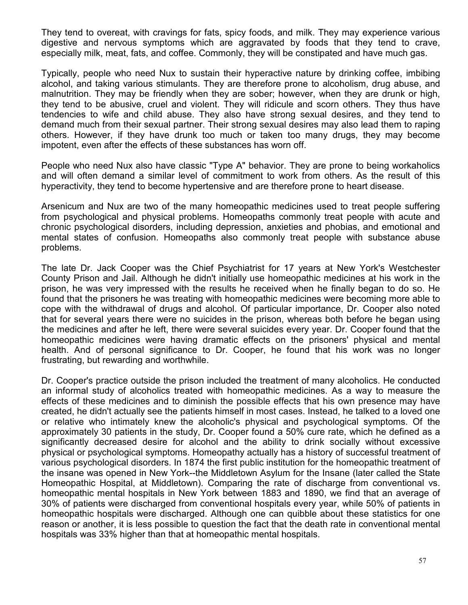They tend to overeat, with cravings for fats, spicy foods, and milk. They may experience various digestive and nervous symptoms which are aggravated by foods that they tend to crave, especially milk, meat, fats, and coffee. Commonly, they will be constipated and have much gas.

Typically, people who need Nux to sustain their hyperactive nature by drinking coffee, imbibing alcohol, and taking various stimulants. They are therefore prone to alcoholism, drug abuse, and malnutrition. They may be friendly when they are sober; however, when they are drunk or high, they tend to be abusive, cruel and violent. They will ridicule and scorn others. They thus have tendencies to wife and child abuse. They also have strong sexual desires, and they tend to demand much from their sexual partner. Their strong sexual desires may also lead them to raping others. However, if they have drunk too much or taken too many drugs, they may become impotent, even after the effects of these substances has worn off.

People who need Nux also have classic "Type A" behavior. They are prone to being workaholics and will often demand a similar level of commitment to work from others. As the result of this hyperactivity, they tend to become hypertensive and are therefore prone to heart disease.

Arsenicum and Nux are two of the many homeopathic medicines used to treat people suffering from psychological and physical problems. Homeopaths commonly treat people with acute and chronic psychological disorders, including depression, anxieties and phobias, and emotional and mental states of confusion. Homeopaths also commonly treat people with substance abuse problems.

The late Dr. Jack Cooper was the Chief Psychiatrist for 17 years at New York's Westchester County Prison and Jail. Although he didn't initially use homeopathic medicines at his work in the prison, he was very impressed with the results he received when he finally began to do so. He found that the prisoners he was treating with homeopathic medicines were becoming more able to cope with the withdrawal of drugs and alcohol. Of particular importance, Dr. Cooper also noted that for several years there were no suicides in the prison, whereas both before he began using the medicines and after he left, there were several suicides every year. Dr. Cooper found that the homeopathic medicines were having dramatic effects on the prisoners' physical and mental health. And of personal significance to Dr. Cooper, he found that his work was no longer frustrating, but rewarding and worthwhile.

Dr. Cooper's practice outside the prison included the treatment of many alcoholics. He conducted an informal study of alcoholics treated with homeopathic medicines. As a way to measure the effects of these medicines and to diminish the possible effects that his own presence may have created, he didn't actually see the patients himself in most cases. Instead, he talked to a loved one or relative who intimately knew the alcoholic's physical and psychological symptoms. Of the approximately 30 patients in the study, Dr. Cooper found a 50% cure rate, which he defined as a significantly decreased desire for alcohol and the ability to drink socially without excessive physical or psychological symptoms. Homeopathy actually has a history of successful treatment of various psychological disorders. In 1874 the first public institution for the homeopathic treatment of the insane was opened in New York--the Middletown Asylum for the Insane (later called the State Homeopathic Hospital, at Middletown). Comparing the rate of discharge from conventional vs. homeopathic mental hospitals in New York between 1883 and 1890, we find that an average of 30% of patients were discharged from conventional hospitals every year, while 50% of patients in homeopathic hospitals were discharged. Although one can quibble about these statistics for one reason or another, it is less possible to question the fact that the death rate in conventional mental hospitals was 33% higher than that at homeopathic mental hospitals.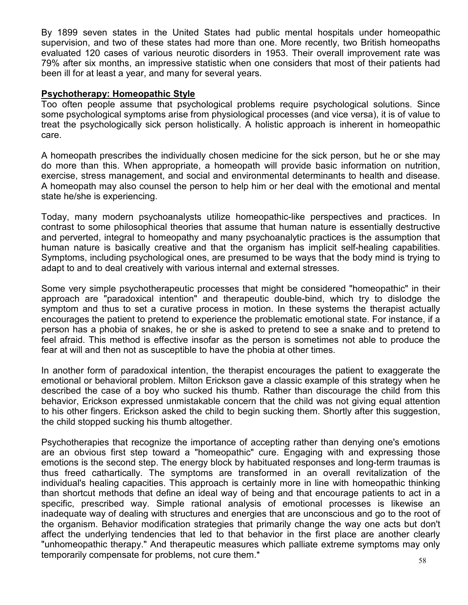By 1899 seven states in the United States had public mental hospitals under homeopathic supervision, and two of these states had more than one. More recently, two British homeopaths evaluated 120 cases of various neurotic disorders in 1953. Their overall improvement rate was 79% after six months, an impressive statistic when one considers that most of their patients had been ill for at least a year, and many for several years.

## **Psychotherapy: Homeopathic Style**

Too often people assume that psychological problems require psychological solutions. Since some psychological symptoms arise from physiological processes (and vice versa), it is of value to treat the psychologically sick person holistically. A holistic approach is inherent in homeopathic care.

A homeopath prescribes the individually chosen medicine for the sick person, but he or she may do more than this. When appropriate, a homeopath will provide basic information on nutrition, exercise, stress management, and social and environmental determinants to health and disease. A homeopath may also counsel the person to help him or her deal with the emotional and mental state he/she is experiencing.

Today, many modern psychoanalysts utilize homeopathic-like perspectives and practices. In contrast to some philosophical theories that assume that human nature is essentially destructive and perverted, integral to homeopathy and many psychoanalytic practices is the assumption that human nature is basically creative and that the organism has implicit self-healing capabilities. Symptoms, including psychological ones, are presumed to be ways that the body mind is trying to adapt to and to deal creatively with various internal and external stresses.

Some very simple psychotherapeutic processes that might be considered "homeopathic" in their approach are "paradoxical intention" and therapeutic double-bind, which try to dislodge the symptom and thus to set a curative process in motion. In these systems the therapist actually encourages the patient to pretend to experience the problematic emotional state. For instance, if a person has a phobia of snakes, he or she is asked to pretend to see a snake and to pretend to feel afraid. This method is effective insofar as the person is sometimes not able to produce the fear at will and then not as susceptible to have the phobia at other times.

In another form of paradoxical intention, the therapist encourages the patient to exaggerate the emotional or behavioral problem. Milton Erickson gave a classic example of this strategy when he described the case of a boy who sucked his thumb. Rather than discourage the child from this behavior, Erickson expressed unmistakable concern that the child was not giving equal attention to his other fingers. Erickson asked the child to begin sucking them. Shortly after this suggestion, the child stopped sucking his thumb altogether.

Psychotherapies that recognize the importance of accepting rather than denying one's emotions are an obvious first step toward a "homeopathic" cure. Engaging with and expressing those emotions is the second step. The energy block by habituated responses and long-term traumas is thus freed cathartically. The symptoms are transformed in an overall revitalization of the individual's healing capacities. This approach is certainly more in line with homeopathic thinking than shortcut methods that define an ideal way of being and that encourage patients to act in a specific, prescribed way. Simple rational analysis of emotional processes is likewise an inadequate way of dealing with structures and energies that are unconscious and go to the root of the organism. Behavior modification strategies that primarily change the way one acts but don't affect the underlying tendencies that led to that behavior in the first place are another clearly "unhomeopathic therapy." And therapeutic measures which palliate extreme symptoms may only temporarily compensate for problems, not cure them.\*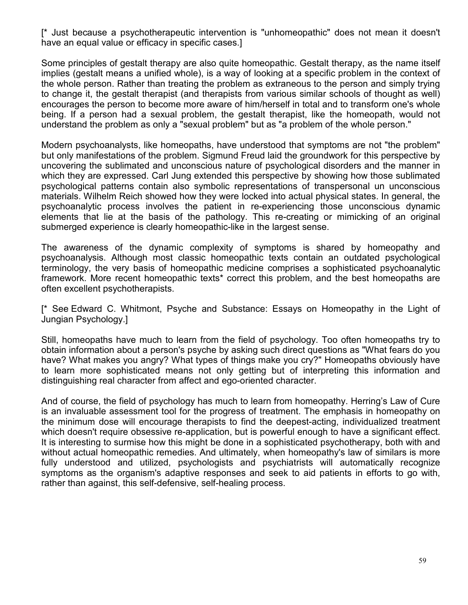[\* Just because a psychotherapeutic intervention is "unhomeopathic" does not mean it doesn't have an equal value or efficacy in specific cases.]

Some principles of gestalt therapy are also quite homeopathic. Gestalt therapy, as the name itself implies (gestalt means a unified whole), is a way of looking at a specific problem in the context of the whole person. Rather than treating the problem as extraneous to the person and simply trying to change it, the gestalt therapist (and therapists from various similar schools of thought as well) encourages the person to become more aware of him/herself in total and to transform one's whole being. If a person had a sexual problem, the gestalt therapist, like the homeopath, would not understand the problem as only a "sexual problem" but as "a problem of the whole person."

Modern psychoanalysts, like homeopaths, have understood that symptoms are not "the problem" but only manifestations of the problem. Sigmund Freud laid the groundwork for this perspective by uncovering the sublimated and unconscious nature of psychological disorders and the manner in which they are expressed. Carl Jung extended this perspective by showing how those sublimated psychological patterns contain also symbolic representations of transpersonal un unconscious materials. Wilhelm Reich showed how they were locked into actual physical states. In general, the psychoanalytic process involves the patient in re-experiencing those unconscious dynamic elements that lie at the basis of the pathology. This re-creating or mimicking of an original submerged experience is clearly homeopathic-like in the largest sense.

The awareness of the dynamic complexity of symptoms is shared by homeopathy and psychoanalysis. Although most classic homeopathic texts contain an outdated psychological terminology, the very basis of homeopathic medicine comprises a sophisticated psychoanalytic framework. More recent homeopathic texts\* correct this problem, and the best homeopaths are often excellent psychotherapists.

[\* See Edward C. Whitmont, Psyche and Substance: Essays on Homeopathy in the Light of Jungian Psychology.]

Still, homeopaths have much to learn from the field of psychology. Too often homeopaths try to obtain information about a person's psyche by asking such direct questions as "What fears do you have? What makes you angry? What types of things make you cry?" Homeopaths obviously have to learn more sophisticated means not only getting but of interpreting this information and distinguishing real character from affect and ego-oriented character.

And of course, the field of psychology has much to learn from homeopathy. Herring's Law of Cure is an invaluable assessment tool for the progress of treatment. The emphasis in homeopathy on the minimum dose will encourage therapists to find the deepest-acting, individualized treatment which doesn't require obsessive re-application, but is powerful enough to have a significant effect. It is interesting to surmise how this might be done in a sophisticated psychotherapy, both with and without actual homeopathic remedies. And ultimately, when homeopathy's law of similars is more fully understood and utilized, psychologists and psychiatrists will automatically recognize symptoms as the organism's adaptive responses and seek to aid patients in efforts to go with, rather than against, this self-defensive, self-healing process.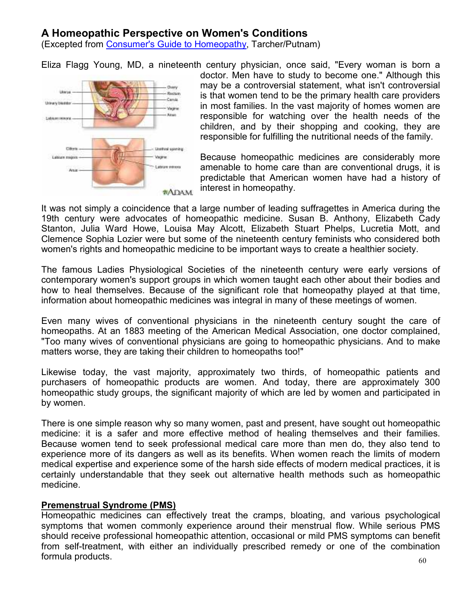# **A Homeopathic Perspective on Women's Conditions**

(Excepted from Consumer's Guide to Homeopathy, Tarcher/Putnam)

Eliza Flagg Young, MD, a nineteenth century physician, once said, "Every woman is born a



doctor. Men have to study to become one." Although this may be a controversial statement, what isn't controversial is that women tend to be the primary health care providers in most families. In the vast majority of homes women are responsible for watching over the health needs of the children, and by their shopping and cooking, they are responsible for fulfilling the nutritional needs of the family.

Because homeopathic medicines are considerably more amenable to home care than are conventional drugs, it is predictable that American women have had a history of interest in homeopathy.

It was not simply a coincidence that a large number of leading suffragettes in America during the 19th century were advocates of homeopathic medicine. Susan B. Anthony, Elizabeth Cady Stanton, Julia Ward Howe, Louisa May Alcott, Elizabeth Stuart Phelps, Lucretia Mott, and Clemence Sophia Lozier were but some of the nineteenth century feminists who considered both women's rights and homeopathic medicine to be important ways to create a healthier society.

The famous Ladies Physiological Societies of the nineteenth century were early versions of contemporary women's support groups in which women taught each other about their bodies and how to heal themselves. Because of the significant role that homeopathy played at that time, information about homeopathic medicines was integral in many of these meetings of women.

Even many wives of conventional physicians in the nineteenth century sought the care of homeopaths. At an 1883 meeting of the American Medical Association, one doctor complained, "Too many wives of conventional physicians are going to homeopathic physicians. And to make matters worse, they are taking their children to homeopaths too!"

Likewise today, the vast majority, approximately two thirds, of homeopathic patients and purchasers of homeopathic products are women. And today, there are approximately 300 homeopathic study groups, the significant majority of which are led by women and participated in by women.

There is one simple reason why so many women, past and present, have sought out homeopathic medicine: it is a safer and more effective method of healing themselves and their families. Because women tend to seek professional medical care more than men do, they also tend to experience more of its dangers as well as its benefits. When women reach the limits of modern medical expertise and experience some of the harsh side effects of modern medical practices, it is certainly understandable that they seek out alternative health methods such as homeopathic medicine.

#### **Premenstrual Syndrome (PMS)**

Homeopathic medicines can effectively treat the cramps, bloating, and various psychological symptoms that women commonly experience around their menstrual flow. While serious PMS should receive professional homeopathic attention, occasional or mild PMS symptoms can benefit from self-treatment, with either an individually prescribed remedy or one of the combination formula products.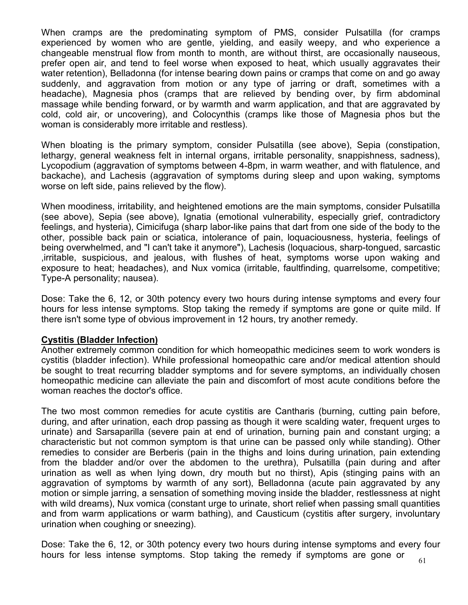When cramps are the predominating symptom of PMS, consider Pulsatilla (for cramps experienced by women who are gentle, yielding, and easily weepy, and who experience a changeable menstrual flow from month to month, are without thirst, are occasionally nauseous, prefer open air, and tend to feel worse when exposed to heat, which usually aggravates their water retention), Belladonna (for intense bearing down pains or cramps that come on and go away suddenly, and aggravation from motion or any type of jarring or draft, sometimes with a headache), Magnesia phos (cramps that are relieved by bending over, by firm abdominal massage while bending forward, or by warmth and warm application, and that are aggravated by cold, cold air, or uncovering), and Colocynthis (cramps like those of Magnesia phos but the woman is considerably more irritable and restless).

When bloating is the primary symptom, consider Pulsatilla (see above), Sepia (constipation, lethargy, general weakness felt in internal organs, irritable personality, snappishness, sadness), Lycopodium (aggravation of symptoms between 4-8pm, in warm weather, and with flatulence, and backache), and Lachesis (aggravation of symptoms during sleep and upon waking, symptoms worse on left side, pains relieved by the flow).

When moodiness, irritability, and heightened emotions are the main symptoms, consider Pulsatilla (see above), Sepia (see above), Ignatia (emotional vulnerability, especially grief, contradictory feelings, and hysteria), Cimicifuga (sharp labor-like pains that dart from one side of the body to the other, possible back pain or sciatica, intolerance of pain, loquaciousness, hysteria, feelings of being overwhelmed, and "I can't take it anymore"), Lachesis (loquacious, sharp-tongued, sarcastic ,irritable, suspicious, and jealous, with flushes of heat, symptoms worse upon waking and exposure to heat; headaches), and Nux vomica (irritable, faultfinding, quarrelsome, competitive; Type-A personality; nausea).

Dose: Take the 6, 12, or 30th potency every two hours during intense symptoms and every four hours for less intense symptoms. Stop taking the remedy if symptoms are gone or quite mild. If there isn't some type of obvious improvement in 12 hours, try another remedy.

## **Cystitis (Bladder Infection)**

Another extremely common condition for which homeopathic medicines seem to work wonders is cystitis (bladder infection). While professional homeopathic care and/or medical attention should be sought to treat recurring bladder symptoms and for severe symptoms, an individually chosen homeopathic medicine can alleviate the pain and discomfort of most acute conditions before the woman reaches the doctor's office.

The two most common remedies for acute cystitis are Cantharis (burning, cutting pain before, during, and after urination, each drop passing as though it were scalding water, frequent urges to urinate) and Sarsaparilla (severe pain at end of urination, burning pain and constant urging; a characteristic but not common symptom is that urine can be passed only while standing). Other remedies to consider are Berberis (pain in the thighs and loins during urination, pain extending from the bladder and/or over the abdomen to the urethra), Pulsatilla (pain during and after urination as well as when lying down, dry mouth but no thirst), Apis (stinging pains with an aggravation of symptoms by warmth of any sort), Belladonna (acute pain aggravated by any motion or simple jarring, a sensation of something moving inside the bladder, restlessness at night with wild dreams), Nux vomica (constant urge to urinate, short relief when passing small quantities and from warm applications or warm bathing), and Causticum (cystitis after surgery, involuntary urination when coughing or sneezing).

Dose: Take the 6, 12, or 30th potency every two hours during intense symptoms and every four hours for less intense symptoms. Stop taking the remedy if symptoms are gone or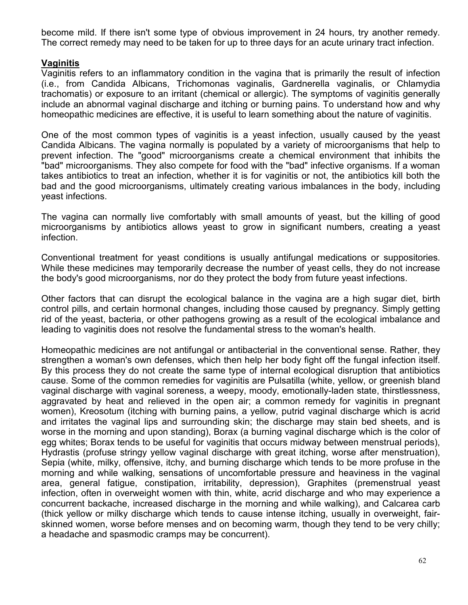become mild. If there isn't some type of obvious improvement in 24 hours, try another remedy. The correct remedy may need to be taken for up to three days for an acute urinary tract infection.

## **Vaginitis**

Vaginitis refers to an inflammatory condition in the vagina that is primarily the result of infection (i.e., from Candida Albicans, Trichomonas vaginalis, Gardnerella vaginalis, or Chlamydia trachomatis) or exposure to an irritant (chemical or allergic). The symptoms of vaginitis generally include an abnormal vaginal discharge and itching or burning pains. To understand how and why homeopathic medicines are effective, it is useful to learn something about the nature of vaginitis.

One of the most common types of vaginitis is a yeast infection, usually caused by the yeast Candida Albicans. The vagina normally is populated by a variety of microorganisms that help to prevent infection. The "good" microorganisms create a chemical environment that inhibits the "bad" microorganisms. They also compete for food with the "bad" infective organisms. If a woman takes antibiotics to treat an infection, whether it is for vaginitis or not, the antibiotics kill both the bad and the good microorganisms, ultimately creating various imbalances in the body, including yeast infections.

The vagina can normally live comfortably with small amounts of yeast, but the killing of good microorganisms by antibiotics allows yeast to grow in significant numbers, creating a yeast infection.

Conventional treatment for yeast conditions is usually antifungal medications or suppositories. While these medicines may temporarily decrease the number of yeast cells, they do not increase the body's good microorganisms, nor do they protect the body from future yeast infections.

Other factors that can disrupt the ecological balance in the vagina are a high sugar diet, birth control pills, and certain hormonal changes, including those caused by pregnancy. Simply getting rid of the yeast, bacteria, or other pathogens growing as a result of the ecological imbalance and leading to vaginitis does not resolve the fundamental stress to the woman's health.

Homeopathic medicines are not antifungal or antibacterial in the conventional sense. Rather, they strengthen a woman's own defenses, which then help her body fight off the fungal infection itself. By this process they do not create the same type of internal ecological disruption that antibiotics cause. Some of the common remedies for vaginitis are Pulsatilla (white, yellow, or greenish bland vaginal discharge with vaginal soreness, a weepy, moody, emotionally-laden state, thirstlessness, aggravated by heat and relieved in the open air; a common remedy for vaginitis in pregnant women), Kreosotum (itching with burning pains, a yellow, putrid vaginal discharge which is acrid and irritates the vaginal lips and surrounding skin; the discharge may stain bed sheets, and is worse in the morning and upon standing), Borax (a burning vaginal discharge which is the color of egg whites; Borax tends to be useful for vaginitis that occurs midway between menstrual periods), Hydrastis (profuse stringy yellow vaginal discharge with great itching, worse after menstruation), Sepia (white, milky, offensive, itchy, and burning discharge which tends to be more profuse in the morning and while walking, sensations of uncomfortable pressure and heaviness in the vaginal area, general fatigue, constipation, irritability, depression), Graphites (premenstrual yeast infection, often in overweight women with thin, white, acrid discharge and who may experience a concurrent backache, increased discharge in the morning and while walking), and Calcarea carb (thick yellow or milky discharge which tends to cause intense itching, usually in overweight, fairskinned women, worse before menses and on becoming warm, though they tend to be very chilly; a headache and spasmodic cramps may be concurrent).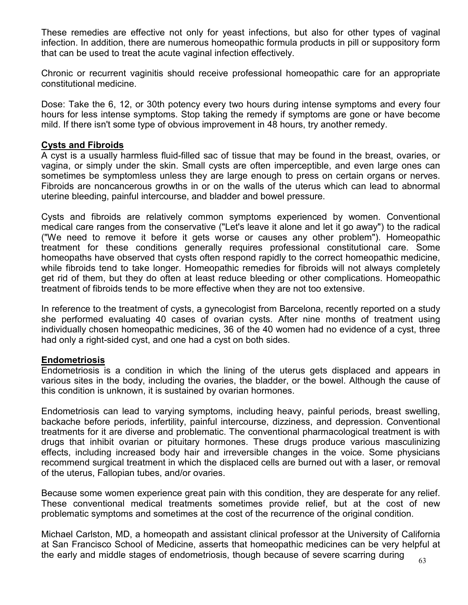These remedies are effective not only for yeast infections, but also for other types of vaginal infection. In addition, there are numerous homeopathic formula products in pill or suppository form that can be used to treat the acute vaginal infection effectively.

Chronic or recurrent vaginitis should receive professional homeopathic care for an appropriate constitutional medicine.

Dose: Take the 6, 12, or 30th potency every two hours during intense symptoms and every four hours for less intense symptoms. Stop taking the remedy if symptoms are gone or have become mild. If there isn't some type of obvious improvement in 48 hours, try another remedy.

### **Cysts and Fibroids**

A cyst is a usually harmless fluid-filled sac of tissue that may be found in the breast, ovaries, or vagina, or simply under the skin. Small cysts are often imperceptible, and even large ones can sometimes be symptomless unless they are large enough to press on certain organs or nerves. Fibroids are noncancerous growths in or on the walls of the uterus which can lead to abnormal uterine bleeding, painful intercourse, and bladder and bowel pressure.

Cysts and fibroids are relatively common symptoms experienced by women. Conventional medical care ranges from the conservative ("Let's leave it alone and let it go away") to the radical ("We need to remove it before it gets worse or causes any other problem"). Homeopathic treatment for these conditions generally requires professional constitutional care. Some homeopaths have observed that cysts often respond rapidly to the correct homeopathic medicine, while fibroids tend to take longer. Homeopathic remedies for fibroids will not always completely get rid of them, but they do often at least reduce bleeding or other complications. Homeopathic treatment of fibroids tends to be more effective when they are not too extensive.

In reference to the treatment of cysts, a gynecologist from Barcelona, recently reported on a study she performed evaluating 40 cases of ovarian cysts. After nine months of treatment using individually chosen homeopathic medicines, 36 of the 40 women had no evidence of a cyst, three had only a right-sided cyst, and one had a cyst on both sides.

#### **Endometriosis**

Endometriosis is a condition in which the lining of the uterus gets displaced and appears in various sites in the body, including the ovaries, the bladder, or the bowel. Although the cause of this condition is unknown, it is sustained by ovarian hormones.

Endometriosis can lead to varying symptoms, including heavy, painful periods, breast swelling, backache before periods, infertility, painful intercourse, dizziness, and depression. Conventional treatments for it are diverse and problematic. The conventional pharmacological treatment is with drugs that inhibit ovarian or pituitary hormones. These drugs produce various masculinizing effects, including increased body hair and irreversible changes in the voice. Some physicians recommend surgical treatment in which the displaced cells are burned out with a laser, or removal of the uterus, Fallopian tubes, and/or ovaries.

Because some women experience great pain with this condition, they are desperate for any relief. These conventional medical treatments sometimes provide relief, but at the cost of new problematic symptoms and sometimes at the cost of the recurrence of the original condition.

Michael Carlston, MD, a homeopath and assistant clinical professor at the University of California at San Francisco School of Medicine, asserts that homeopathic medicines can be very helpful at the early and middle stages of endometriosis, though because of severe scarring during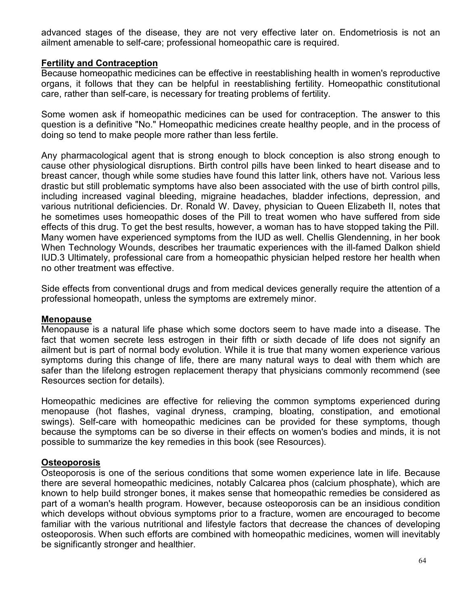advanced stages of the disease, they are not very effective later on. Endometriosis is not an ailment amenable to self-care; professional homeopathic care is required.

## **Fertility and Contraception**

Because homeopathic medicines can be effective in reestablishing health in women's reproductive organs, it follows that they can be helpful in reestablishing fertility. Homeopathic constitutional care, rather than self-care, is necessary for treating problems of fertility.

Some women ask if homeopathic medicines can be used for contraception. The answer to this question is a definitive "No." Homeopathic medicines create healthy people, and in the process of doing so tend to make people more rather than less fertile.

Any pharmacological agent that is strong enough to block conception is also strong enough to cause other physiological disruptions. Birth control pills have been linked to heart disease and to breast cancer, though while some studies have found this latter link, others have not. Various less drastic but still problematic symptoms have also been associated with the use of birth control pills, including increased vaginal bleeding, migraine headaches, bladder infections, depression, and various nutritional deficiencies. Dr. Ronald W. Davey, physician to Queen Elizabeth II, notes that he sometimes uses homeopathic doses of the Pill to treat women who have suffered from side effects of this drug. To get the best results, however, a woman has to have stopped taking the Pill. Many women have experienced symptoms from the IUD as well. Chellis Glendenning, in her book When Technology Wounds, describes her traumatic experiences with the ill-famed Dalkon shield IUD.3 Ultimately, professional care from a homeopathic physician helped restore her health when no other treatment was effective.

Side effects from conventional drugs and from medical devices generally require the attention of a professional homeopath, unless the symptoms are extremely minor.

#### **Menopause**

Menopause is a natural life phase which some doctors seem to have made into a disease. The fact that women secrete less estrogen in their fifth or sixth decade of life does not signify an ailment but is part of normal body evolution. While it is true that many women experience various symptoms during this change of life, there are many natural ways to deal with them which are safer than the lifelong estrogen replacement therapy that physicians commonly recommend (see Resources section for details).

Homeopathic medicines are effective for relieving the common symptoms experienced during menopause (hot flashes, vaginal dryness, cramping, bloating, constipation, and emotional swings). Self-care with homeopathic medicines can be provided for these symptoms, though because the symptoms can be so diverse in their effects on women's bodies and minds, it is not possible to summarize the key remedies in this book (see Resources).

## **Osteoporosis**

Osteoporosis is one of the serious conditions that some women experience late in life. Because there are several homeopathic medicines, notably Calcarea phos (calcium phosphate), which are known to help build stronger bones, it makes sense that homeopathic remedies be considered as part of a woman's health program. However, because osteoporosis can be an insidious condition which develops without obvious symptoms prior to a fracture, women are encouraged to become familiar with the various nutritional and lifestyle factors that decrease the chances of developing osteoporosis. When such efforts are combined with homeopathic medicines, women will inevitably be significantly stronger and healthier.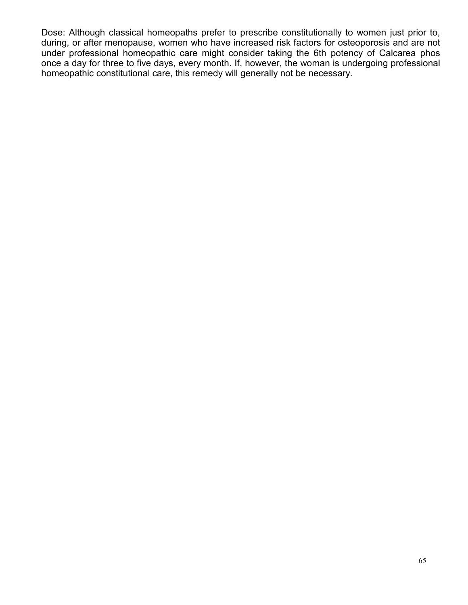Dose: Although classical homeopaths prefer to prescribe constitutionally to women just prior to, during, or after menopause, women who have increased risk factors for osteoporosis and are not under professional homeopathic care might consider taking the 6th potency of Calcarea phos once a day for three to five days, every month. If, however, the woman is undergoing professional homeopathic constitutional care, this remedy will generally not be necessary.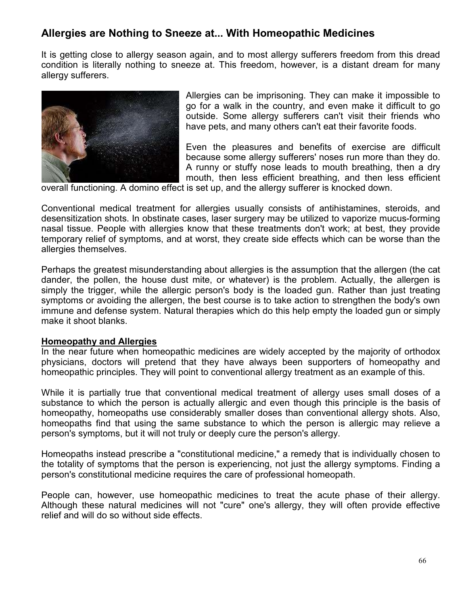# **Allergies are Nothing to Sneeze at... With Homeopathic Medicines**

It is getting close to allergy season again, and to most allergy sufferers freedom from this dread condition is literally nothing to sneeze at. This freedom, however, is a distant dream for many allergy sufferers.



Allergies can be imprisoning. They can make it impossible to go for a walk in the country, and even make it difficult to go outside. Some allergy sufferers can't visit their friends who have pets, and many others can't eat their favorite foods.

Even the pleasures and benefits of exercise are difficult because some allergy sufferers' noses run more than they do. A runny or stuffy nose leads to mouth breathing, then a dry mouth, then less efficient breathing, and then less efficient

overall functioning. A domino effect is set up, and the allergy sufferer is knocked down.

Conventional medical treatment for allergies usually consists of antihistamines, steroids, and desensitization shots. In obstinate cases, laser surgery may be utilized to vaporize mucus-forming nasal tissue. People with allergies know that these treatments don't work; at best, they provide temporary relief of symptoms, and at worst, they create side effects which can be worse than the allergies themselves.

Perhaps the greatest misunderstanding about allergies is the assumption that the allergen (the cat dander, the pollen, the house dust mite, or whatever) is the problem. Actually, the allergen is simply the trigger, while the allergic person's body is the loaded gun. Rather than just treating symptoms or avoiding the allergen, the best course is to take action to strengthen the body's own immune and defense system. Natural therapies which do this help empty the loaded gun or simply make it shoot blanks.

#### **Homeopathy and Allergies**

In the near future when homeopathic medicines are widely accepted by the majority of orthodox physicians, doctors will pretend that they have always been supporters of homeopathy and homeopathic principles. They will point to conventional allergy treatment as an example of this.

While it is partially true that conventional medical treatment of allergy uses small doses of a substance to which the person is actually allergic and even though this principle is the basis of homeopathy, homeopaths use considerably smaller doses than conventional allergy shots. Also, homeopaths find that using the same substance to which the person is allergic may relieve a person's symptoms, but it will not truly or deeply cure the person's allergy.

Homeopaths instead prescribe a "constitutional medicine," a remedy that is individually chosen to the totality of symptoms that the person is experiencing, not just the allergy symptoms. Finding a person's constitutional medicine requires the care of professional homeopath.

People can, however, use homeopathic medicines to treat the acute phase of their allergy. Although these natural medicines will not "cure" one's allergy, they will often provide effective relief and will do so without side effects.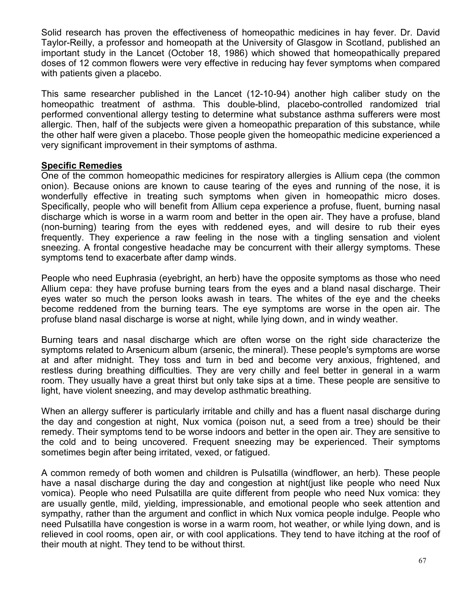Solid research has proven the effectiveness of homeopathic medicines in hay fever. Dr. David Taylor-Reilly, a professor and homeopath at the University of Glasgow in Scotland, published an important study in the Lancet (October 18, 1986) which showed that homeopathically prepared doses of 12 common flowers were very effective in reducing hay fever symptoms when compared with patients given a placebo.

This same researcher published in the Lancet (12-10-94) another high caliber study on the homeopathic treatment of asthma. This double-blind, placebo-controlled randomized trial performed conventional allergy testing to determine what substance asthma sufferers were most allergic. Then, half of the subjects were given a homeopathic preparation of this substance, while the other half were given a placebo. Those people given the homeopathic medicine experienced a very significant improvement in their symptoms of asthma.

### **Specific Remedies**

One of the common homeopathic medicines for respiratory allergies is Allium cepa (the common onion). Because onions are known to cause tearing of the eyes and running of the nose, it is wonderfully effective in treating such symptoms when given in homeopathic micro doses. Specifically, people who will benefit from Allium cepa experience a profuse, fluent, burning nasal discharge which is worse in a warm room and better in the open air. They have a profuse, bland (non-burning) tearing from the eyes with reddened eyes, and will desire to rub their eyes frequently. They experience a raw feeling in the nose with a tingling sensation and violent sneezing. A frontal congestive headache may be concurrent with their allergy symptoms. These symptoms tend to exacerbate after damp winds.

People who need Euphrasia (eyebright, an herb) have the opposite symptoms as those who need Allium cepa: they have profuse burning tears from the eyes and a bland nasal discharge. Their eyes water so much the person looks awash in tears. The whites of the eye and the cheeks become reddened from the burning tears. The eye symptoms are worse in the open air. The profuse bland nasal discharge is worse at night, while lying down, and in windy weather.

Burning tears and nasal discharge which are often worse on the right side characterize the symptoms related to Arsenicum album (arsenic, the mineral). These people's symptoms are worse at and after midnight. They toss and turn in bed and become very anxious, frightened, and restless during breathing difficulties. They are very chilly and feel better in general in a warm room. They usually have a great thirst but only take sips at a time. These people are sensitive to light, have violent sneezing, and may develop asthmatic breathing.

When an allergy sufferer is particularly irritable and chilly and has a fluent nasal discharge during the day and congestion at night, Nux vomica (poison nut, a seed from a tree) should be their remedy. Their symptoms tend to be worse indoors and better in the open air. They are sensitive to the cold and to being uncovered. Frequent sneezing may be experienced. Their symptoms sometimes begin after being irritated, vexed, or fatigued.

A common remedy of both women and children is Pulsatilla (windflower, an herb). These people have a nasal discharge during the day and congestion at night(just like people who need Nux vomica). People who need Pulsatilla are quite different from people who need Nux vomica: they are usually gentle, mild, yielding, impressionable, and emotional people who seek attention and sympathy, rather than the argument and conflict in which Nux vomica people indulge. People who need Pulsatilla have congestion is worse in a warm room, hot weather, or while lying down, and is relieved in cool rooms, open air, or with cool applications. They tend to have itching at the roof of their mouth at night. They tend to be without thirst.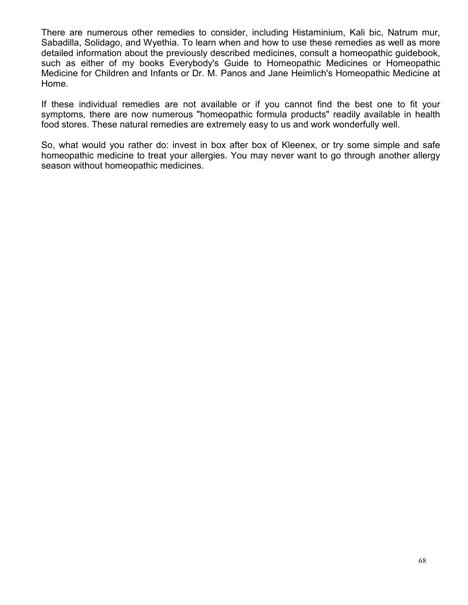There are numerous other remedies to consider, including Histaminium, Kali bic, Natrum mur, Sabadilla, Solidago, and Wyethia. To learn when and how to use these remedies as well as more detailed information about the previously described medicines, consult a homeopathic guidebook, such as either of my books Everybody's Guide to Homeopathic Medicines or Homeopathic Medicine for Children and Infants or Dr. M. Panos and Jane Heimlich's Homeopathic Medicine at Home.

If these individual remedies are not available or if you cannot find the best one to fit your symptoms, there are now numerous "homeopathic formula products" readily available in health food stores. These natural remedies are extremely easy to us and work wonderfully well.

So, what would you rather do: invest in box after box of Kleenex, or try some simple and safe homeopathic medicine to treat your allergies. You may never want to go through another allergy season without homeopathic medicines.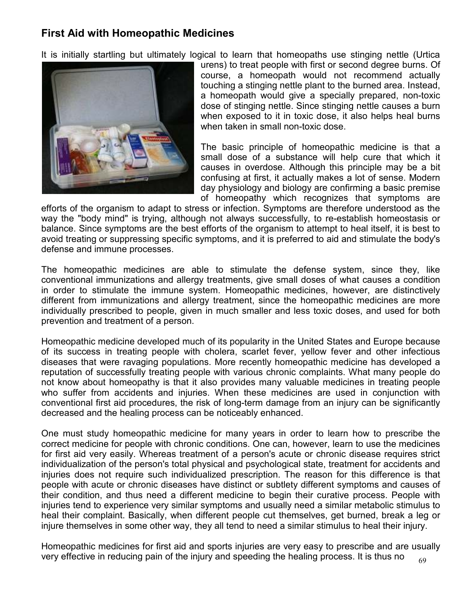# **First Aid with Homeopathic Medicines**

It is initially startling but ultimately logical to learn that homeopaths use stinging nettle (Urtica



urens) to treat people with first or second degree burns. Of course, a homeopath would not recommend actually touching a stinging nettle plant to the burned area. Instead, a homeopath would give a specially prepared, non-toxic dose of stinging nettle. Since stinging nettle causes a burn when exposed to it in toxic dose, it also helps heal burns when taken in small non-toxic dose.

The basic principle of homeopathic medicine is that a small dose of a substance will help cure that which it causes in overdose. Although this principle may be a bit confusing at first, it actually makes a lot of sense. Modern day physiology and biology are confirming a basic premise of homeopathy which recognizes that symptoms are

efforts of the organism to adapt to stress or infection. Symptoms are therefore understood as the way the "body mind" is trying, although not always successfully, to re-establish homeostasis or balance. Since symptoms are the best efforts of the organism to attempt to heal itself, it is best to avoid treating or suppressing specific symptoms, and it is preferred to aid and stimulate the body's defense and immune processes.

The homeopathic medicines are able to stimulate the defense system, since they, like conventional immunizations and allergy treatments, give small doses of what causes a condition in order to stimulate the immune system. Homeopathic medicines, however, are distinctively different from immunizations and allergy treatment, since the homeopathic medicines are more individually prescribed to people, given in much smaller and less toxic doses, and used for both prevention and treatment of a person.

Homeopathic medicine developed much of its popularity in the United States and Europe because of its success in treating people with cholera, scarlet fever, yellow fever and other infectious diseases that were ravaging populations. More recently homeopathic medicine has developed a reputation of successfully treating people with various chronic complaints. What many people do not know about homeopathy is that it also provides many valuable medicines in treating people who suffer from accidents and injuries. When these medicines are used in conjunction with conventional first aid procedures, the risk of long-term damage from an injury can be significantly decreased and the healing process can be noticeably enhanced.

One must study homeopathic medicine for many years in order to learn how to prescribe the correct medicine for people with chronic conditions. One can, however, learn to use the medicines for first aid very easily. Whereas treatment of a person's acute or chronic disease requires strict individualization of the person's total physical and psychological state, treatment for accidents and injuries does not require such individualized prescription. The reason for this difference is that people with acute or chronic diseases have distinct or subtlety different symptoms and causes of their condition, and thus need a different medicine to begin their curative process. People with injuries tend to experience very similar symptoms and usually need a similar metabolic stimulus to heal their complaint. Basically, when different people cut themselves, get burned, break a leg or injure themselves in some other way, they all tend to need a similar stimulus to heal their injury.

69 Homeopathic medicines for first aid and sports injuries are very easy to prescribe and are usually very effective in reducing pain of the injury and speeding the healing process. It is thus no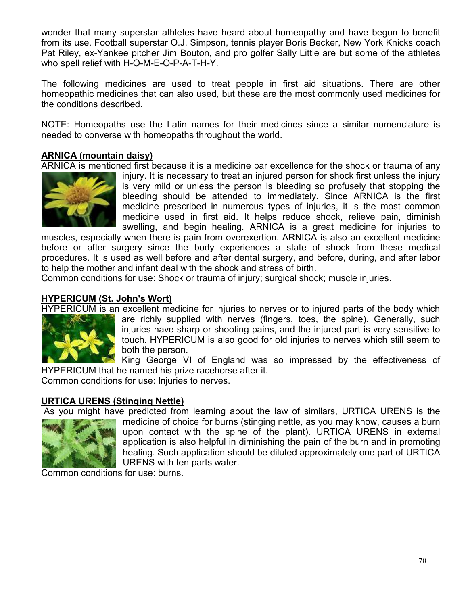wonder that many superstar athletes have heard about homeopathy and have begun to benefit from its use. Football superstar O.J. Simpson, tennis player Boris Becker, New York Knicks coach Pat Riley, ex-Yankee pitcher Jim Bouton, and pro golfer Sally Little are but some of the athletes who spell relief with H-O-M-E-O-P-A-T-H-Y.

The following medicines are used to treat people in first aid situations. There are other homeopathic medicines that can also used, but these are the most commonly used medicines for the conditions described.

NOTE: Homeopaths use the Latin names for their medicines since a similar nomenclature is needed to converse with homeopaths throughout the world.

# **ARNICA (mountain daisy)**

ARNICA is mentioned first because it is a medicine par excellence for the shock or trauma of any



injury. It is necessary to treat an injured person for shock first unless the injury is very mild or unless the person is bleeding so profusely that stopping the bleeding should be attended to immediately. Since ARNICA is the first medicine prescribed in numerous types of injuries, it is the most common medicine used in first aid. It helps reduce shock, relieve pain, diminish swelling, and begin healing. ARNICA is a great medicine for injuries to

muscles, especially when there is pain from overexertion. ARNICA is also an excellent medicine before or after surgery since the body experiences a state of shock from these medical procedures. It is used as well before and after dental surgery, and before, during, and after labor to help the mother and infant deal with the shock and stress of birth.

Common conditions for use: Shock or trauma of injury; surgical shock; muscle injuries.

# **HYPERICUM (St. John's Wort)**

HYPERICUM is an excellent medicine for injuries to nerves or to injured parts of the body which are richly supplied with nerves (fingers, toes, the spine). Generally, such injuries have sharp or shooting pains, and the injured part is very sensitive to touch. HYPERICUM is also good for old injuries to nerves which still seem to both the person.

King George VI of England was so impressed by the effectiveness of HYPERICUM that he named his prize racehorse after it.

Common conditions for use: Injuries to nerves.

## **URTICA URENS (Stinging Nettle)**

As you might have predicted from learning about the law of similars, URTICA URENS is the



medicine of choice for burns (stinging nettle, as you may know, causes a burn upon contact with the spine of the plant). URTICA URENS in external application is also helpful in diminishing the pain of the burn and in promoting healing. Such application should be diluted approximately one part of URTICA URENS with ten parts water.

Common conditions for use: burns.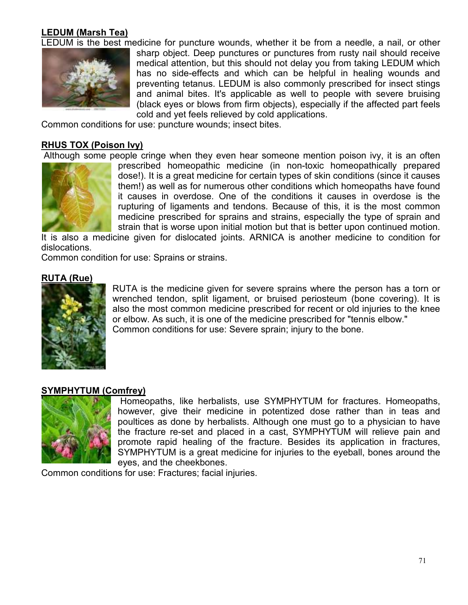# **LEDUM (Marsh Tea)**

LEDUM is the best medicine for puncture wounds, whether it be from a needle, a nail, or other



sharp object. Deep punctures or punctures from rusty nail should receive medical attention, but this should not delay you from taking LEDUM which has no side-effects and which can be helpful in healing wounds and preventing tetanus. LEDUM is also commonly prescribed for insect stings and animal bites. It's applicable as well to people with severe bruising (black eyes or blows from firm objects), especially if the affected part feels cold and yet feels relieved by cold applications.

Common conditions for use: puncture wounds; insect bites.

### **RHUS TOX (Poison Ivy)**

Although some people cringe when they even hear someone mention poison ivy, it is an often



prescribed homeopathic medicine (in non-toxic homeopathically prepared dose!). It is a great medicine for certain types of skin conditions (since it causes them!) as well as for numerous other conditions which homeopaths have found it causes in overdose. One of the conditions it causes in overdose is the rupturing of ligaments and tendons. Because of this, it is the most common medicine prescribed for sprains and strains, especially the type of sprain and strain that is worse upon initial motion but that is better upon continued motion.

It is also a medicine given for dislocated joints. ARNICA is another medicine to condition for dislocations.

Common condition for use: Sprains or strains.

#### **RUTA (Rue)**



RUTA is the medicine given for severe sprains where the person has a torn or wrenched tendon, split ligament, or bruised periosteum (bone covering). It is also the most common medicine prescribed for recent or old injuries to the knee or elbow. As such, it is one of the medicine prescribed for "tennis elbow." Common conditions for use: Severe sprain; injury to the bone.

#### **SYMPHYTUM (Comfrey)**



 Homeopaths, like herbalists, use SYMPHYTUM for fractures. Homeopaths, however, give their medicine in potentized dose rather than in teas and poultices as done by herbalists. Although one must go to a physician to have the fracture re-set and placed in a cast, SYMPHYTUM will relieve pain and promote rapid healing of the fracture. Besides its application in fractures, SYMPHYTUM is a great medicine for injuries to the eyeball, bones around the eyes, and the cheekbones.

Common conditions for use: Fractures; facial injuries.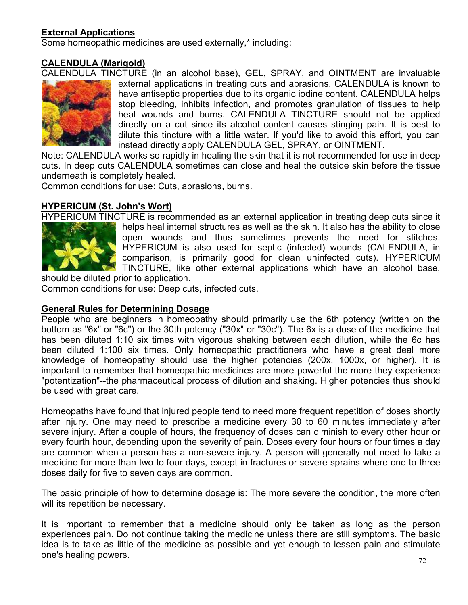## **External Applications**

Some homeopathic medicines are used externally,\* including:

# **CALENDULA (Marigold)**

CALENDULA TINCTURE (in an alcohol base), GEL, SPRAY, and OINTMENT are invaluable



external applications in treating cuts and abrasions. CALENDULA is known to have antiseptic properties due to its organic iodine content. CALENDULA helps stop bleeding, inhibits infection, and promotes granulation of tissues to help heal wounds and burns. CALENDULA TINCTURE should not be applied directly on a cut since its alcohol content causes stinging pain. It is best to dilute this tincture with a little water. If you'd like to avoid this effort, you can instead directly apply CALENDULA GEL, SPRAY, or OINTMENT.

Note: CALENDULA works so rapidly in healing the skin that it is not recommended for use in deep cuts. In deep cuts CALENDULA sometimes can close and heal the outside skin before the tissue underneath is completely healed.

Common conditions for use: Cuts, abrasions, burns.

## **HYPERICUM (St. John's Wort)**



HYPERICUM TINCTURE is recommended as an external application in treating deep cuts since it helps heal internal structures as well as the skin. It also has the ability to close open wounds and thus sometimes prevents the need for stitches. HYPERICUM is also used for septic (infected) wounds (CALENDULA, in comparison, is primarily good for clean uninfected cuts). HYPERICUM TINCTURE, like other external applications which have an alcohol base,

should be diluted prior to application. Common conditions for use: Deep cuts, infected cuts.

## **General Rules for Determining Dosage**

People who are beginners in homeopathy should primarily use the 6th potency (written on the bottom as "6x" or "6c") or the 30th potency ("30x" or "30c"). The 6x is a dose of the medicine that has been diluted 1:10 six times with vigorous shaking between each dilution, while the 6c has been diluted 1:100 six times. Only homeopathic practitioners who have a great deal more knowledge of homeopathy should use the higher potencies (200x, 1000x, or higher). It is important to remember that homeopathic medicines are more powerful the more they experience "potentization"--the pharmaceutical process of dilution and shaking. Higher potencies thus should be used with great care.

Homeopaths have found that injured people tend to need more frequent repetition of doses shortly after injury. One may need to prescribe a medicine every 30 to 60 minutes immediately after severe injury. After a couple of hours, the frequency of doses can diminish to every other hour or every fourth hour, depending upon the severity of pain. Doses every four hours or four times a day are common when a person has a non-severe injury. A person will generally not need to take a medicine for more than two to four days, except in fractures or severe sprains where one to three doses daily for five to seven days are common.

The basic principle of how to determine dosage is: The more severe the condition, the more often will its repetition be necessary.

It is important to remember that a medicine should only be taken as long as the person experiences pain. Do not continue taking the medicine unless there are still symptoms. The basic idea is to take as little of the medicine as possible and yet enough to lessen pain and stimulate one's healing powers.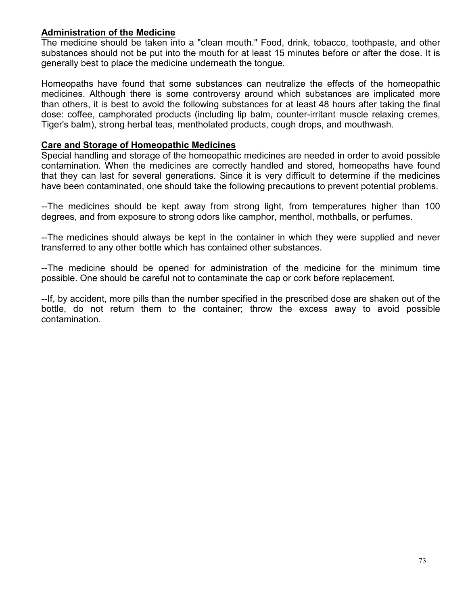## **Administration of the Medicine**

The medicine should be taken into a "clean mouth." Food, drink, tobacco, toothpaste, and other substances should not be put into the mouth for at least 15 minutes before or after the dose. It is generally best to place the medicine underneath the tongue.

Homeopaths have found that some substances can neutralize the effects of the homeopathic medicines. Although there is some controversy around which substances are implicated more than others, it is best to avoid the following substances for at least 48 hours after taking the final dose: coffee, camphorated products (including lip balm, counter-irritant muscle relaxing cremes, Tiger's balm), strong herbal teas, mentholated products, cough drops, and mouthwash.

## **Care and Storage of Homeopathic Medicines**

Special handling and storage of the homeopathic medicines are needed in order to avoid possible contamination. When the medicines are correctly handled and stored, homeopaths have found that they can last for several generations. Since it is very difficult to determine if the medicines have been contaminated, one should take the following precautions to prevent potential problems.

--The medicines should be kept away from strong light, from temperatures higher than 100 degrees, and from exposure to strong odors like camphor, menthol, mothballs, or perfumes.

--The medicines should always be kept in the container in which they were supplied and never transferred to any other bottle which has contained other substances.

--The medicine should be opened for administration of the medicine for the minimum time possible. One should be careful not to contaminate the cap or cork before replacement.

--If, by accident, more pills than the number specified in the prescribed dose are shaken out of the bottle, do not return them to the container; throw the excess away to avoid possible contamination.